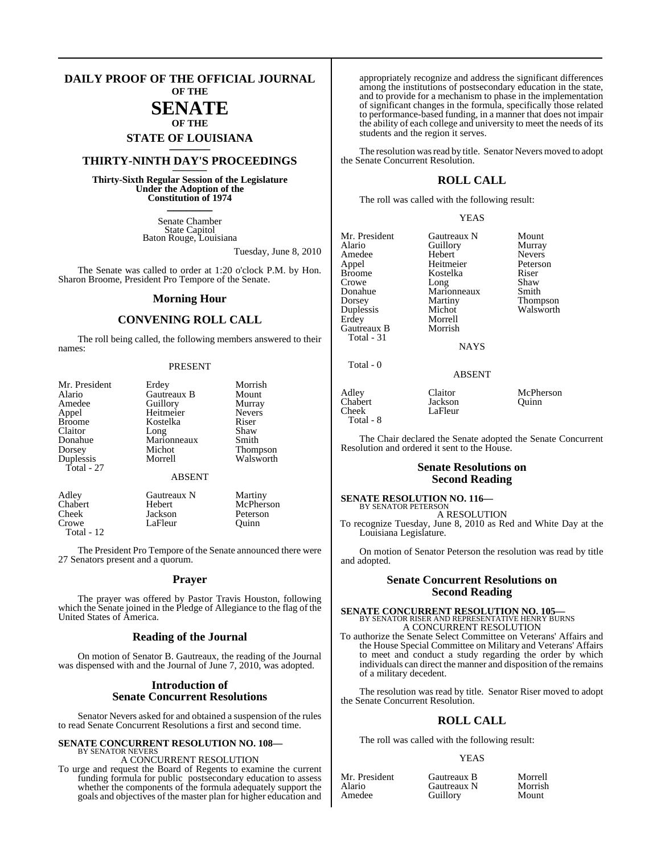#### **DAILY PROOF OF THE OFFICIAL JOURNAL OF THE**

### **SENATE OF THE**

## **STATE OF LOUISIANA \_\_\_\_\_\_\_**

### **THIRTY-NINTH DAY'S PROCEEDINGS \_\_\_\_\_\_\_**

**Thirty-Sixth Regular Session of the Legislature Under the Adoption of the Constitution of 1974 \_\_\_\_\_\_\_**

> Senate Chamber State Capitol Baton Rouge, Louisiana

> > Tuesday, June 8, 2010

The Senate was called to order at 1:20 o'clock P.M. by Hon. Sharon Broome, President Pro Tempore of the Senate.

#### **Morning Hour**

### **CONVENING ROLL CALL**

The roll being called, the following members answered to their names:

#### PRESENT

| <b>Thompson</b> |
|-----------------|
| Walsworth       |
|                 |
|                 |
|                 |
| McPherson       |
|                 |
|                 |

Crowe LaFleur Quinn

Total - 12

The President Pro Tempore of the Senate announced there were 27 Senators present and a quorum.

#### **Prayer**

The prayer was offered by Pastor Travis Houston, following which the Senate joined in the Pledge of Allegiance to the flag of the United States of America.

#### **Reading of the Journal**

On motion of Senator B. Gautreaux, the reading of the Journal was dispensed with and the Journal of June 7, 2010, was adopted.

#### **Introduction of Senate Concurrent Resolutions**

Senator Nevers asked for and obtained a suspension of the rules to read Senate Concurrent Resolutions a first and second time.

#### **SENATE CONCURRENT RESOLUTION NO. 108—** BY SENATOR NEVERS

A CONCURRENT RESOLUTION

To urge and request the Board of Regents to examine the current funding formula for public postsecondary education to assess whether the components of the formula adequately support the goals and objectives of the master plan for higher education and

appropriately recognize and address the significant differences among the institutions of postsecondary education in the state, and to provide for a mechanism to phase in the implementation of significant changes in the formula, specifically those related to performance-based funding, in a manner that does not impair the ability of each college and university to meet the needs of its students and the region it serves.

The resolution was read by title. Senator Nevers moved to adopt the Senate Concurrent Resolution.

#### **ROLL CALL**

The roll was called with the following result:

#### YEAS

Mr. President Gautreaux N Mount<br>Alario Guillory Murray Amedee Hebert Nevers<br>
Appel Heitmeier Peterson Appel Heitmeier Peterson Broome Kostelka Riser<br>Crowe Long Shaw Crowe Long Shaw Donahue Marionneaux Smith Dorsey Martiny Thompson<br>
Duplessis Michot Walsworth Duplessis Michot Walsworth Gautreaux B Total - 31

Guillory Morrell<br>Morrish

**NAYS** 

ABSENT

Jackson<br>LaFleur

Adley Claitor McPherson<br>Chabert Jackson Ouinn  $Cheek$ Total - 8

Total - 0

The Chair declared the Senate adopted the Senate Concurrent Resolution and ordered it sent to the House.

#### **Senate Resolutions on Second Reading**

**SENATE RESOLUTION NO. 116—** BY SENATOR PETERSON

A RESOLUTION

To recognize Tuesday, June 8, 2010 as Red and White Day at the Louisiana Legislature.

On motion of Senator Peterson the resolution was read by title and adopted.

#### **Senate Concurrent Resolutions on Second Reading**

### **SENATE CONCURRENT RESOLUTION NO. 105—** BY SENATOR RISER AND REPRESENTATIVE HENRY BURNS A CONCURRENT RESOLUTION

To authorize the Senate Select Committee on Veterans' Affairs and the House Special Committee on Military and Veterans' Affairs to meet and conduct a study regarding the order by which individuals can direct the manner and disposition of the remains of a military decedent.

The resolution was read by title. Senator Riser moved to adopt the Senate Concurrent Resolution.

### **ROLL CALL**

The roll was called with the following result:

**Guillory** 

#### YEAS

|        | Mr. President |  |
|--------|---------------|--|
| Alario |               |  |
|        | Amedee        |  |

Gautreaux B Morrell<br>
Gautreaux N Morrish Gautreaux N Morris<br>
Guillory Mount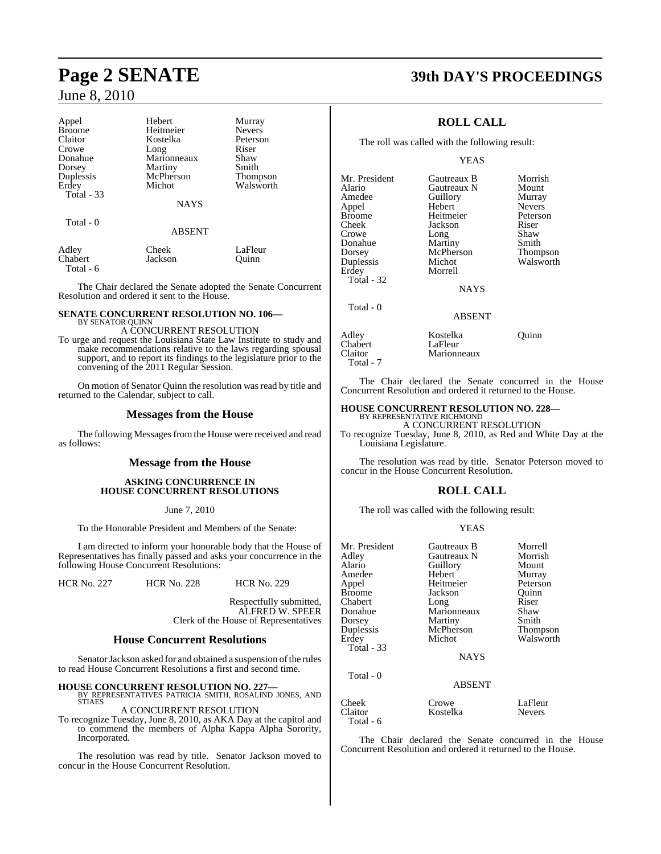| Appel         | Hebert        | Murray          |
|---------------|---------------|-----------------|
| <b>Broome</b> | Heitmeier     | <b>Nevers</b>   |
| Claitor       | Kostelka      | Peterson        |
| Crowe         | Long          | Riser           |
| Donahue       | Marionneaux   | Shaw            |
| Dorsey        | Martiny       | Smith           |
| Duplessis     | McPherson     | <b>Thompson</b> |
| Erdey         | Michot        | Walsworth       |
| Total - 33    |               |                 |
|               | <b>NAYS</b>   |                 |
| Total - 0     |               |                 |
|               | <b>ABSENT</b> |                 |
|               |               |                 |

Adley Cheek LaFleur<br>
Chabert Jackson Quinn Jackson Total - 6

The Chair declared the Senate adopted the Senate Concurrent Resolution and ordered it sent to the House.

### **SENATE CONCURRENT RESOLUTION NO. 106—** BY SENATOR QUINN A CONCURRENT RESOLUTION

To urge and request the Louisiana State Law Institute to study and make recommendations relative to the laws regarding spousal support, and to report its findings to the legislature prior to the convening of the 2011 Regular Session.

On motion of Senator Quinn the resolution was read by title and returned to the Calendar, subject to call.

#### **Messages from the House**

The following Messages from the House were received and read as follows:

#### **Message from the House**

#### **ASKING CONCURRENCE IN HOUSE CONCURRENT RESOLUTIONS**

#### June 7, 2010

To the Honorable President and Members of the Senate:

I am directed to inform your honorable body that the House of Representatives has finally passed and asks your concurrence in the following House Concurrent Resolutions:

HCR No. 227 HCR No. 228 HCR No. 229

Respectfully submitted, ALFRED W. SPEER Clerk of the House of Representatives

#### **House Concurrent Resolutions**

Senator Jackson asked for and obtained a suspension of the rules to read House Concurrent Resolutions a first and second time.

**HOUSE CONCURRENT RESOLUTION NO. 227—** BY REPRESENTATIVES PATRICIA SMITH, ROSALIND JONES, AND STIAES

A CONCURRENT RESOLUTION

To recognize Tuesday, June 8, 2010, as AKA Day at the capitol and to commend the members of Alpha Kappa Alpha Sorority, Incorporated.

The resolution was read by title. Senator Jackson moved to concur in the House Concurrent Resolution.

## **Page 2 SENATE 39th DAY'S PROCEEDINGS**

### **ROLL CALL**

The roll was called with the following result:

#### YEAS

Mr. President Gautreaux B Morrish<br>Alario Gautreaux N Mount Amedee Guillory Murray<br>Appel Hebert Nevers Appel Hebert Nevers<br>Broome Heitmeier Peterson Broome Heitmeier Peters<br>
Cheek Jackson Riser Cheek Jackson Riser Crowe Long Shaw<br>
Donahue Martiny Smith Donahue Martiny Smith<br>
Dorsey McPherson Thompson Dorsey McPherson<br>
Duplessis Michot Duplessis Michot Walsworth Total - 32 Total - 0

Morrell

Gautreaux N Mount<br> **Alario Guillory** Murray

NAYS

#### ABSENT

| Adley     | Kostelka    | Ouinn |
|-----------|-------------|-------|
| Chabert   | LaFleur     |       |
| Claitor   | Marionneaux |       |
| Total - 7 |             |       |

The Chair declared the Senate concurred in the House Concurrent Resolution and ordered it returned to the House.

#### **HOUSE CONCURRENT RESOLUTION NO. 228—** BY REPRESENTATIVE RICHMOND

A CONCURRENT RESOLUTION

To recognize Tuesday, June 8, 2010, as Red and White Day at the Louisiana Legislature.

The resolution was read by title. Senator Peterson moved to concur in the House Concurrent Resolution.

### **ROLL CALL**

The roll was called with the following result:

#### YEAS

| Mr. President<br>Adley<br>Alario<br>Amedee<br>Appel<br><b>Broome</b><br>Chabert<br>Donahue<br>Dorsey<br>Duplessis<br>Erdey<br>Total - 33 | Gautreaux B<br>Gautreaux N<br>Guillory<br>Hebert<br>Heitmeier<br>Jackson<br>Long<br>Marionneaux<br>Martiny<br>McPherson<br>Michot<br><b>NAYS</b> | Morrell<br>Morrish<br>Mount<br>Murray<br>Peterson<br>Ouinn<br>Riser<br>Shaw<br>Smith<br>Thompson<br>Walsworth |
|------------------------------------------------------------------------------------------------------------------------------------------|--------------------------------------------------------------------------------------------------------------------------------------------------|---------------------------------------------------------------------------------------------------------------|
| Total - 0                                                                                                                                | <b>ABSENT</b>                                                                                                                                    |                                                                                                               |
| Cheek<br>Claitor                                                                                                                         | Crowe<br>Kostelka                                                                                                                                | LaFleur<br><b>Nevers</b>                                                                                      |

Total - 6

The Chair declared the Senate concurred in the House Concurrent Resolution and ordered it returned to the House.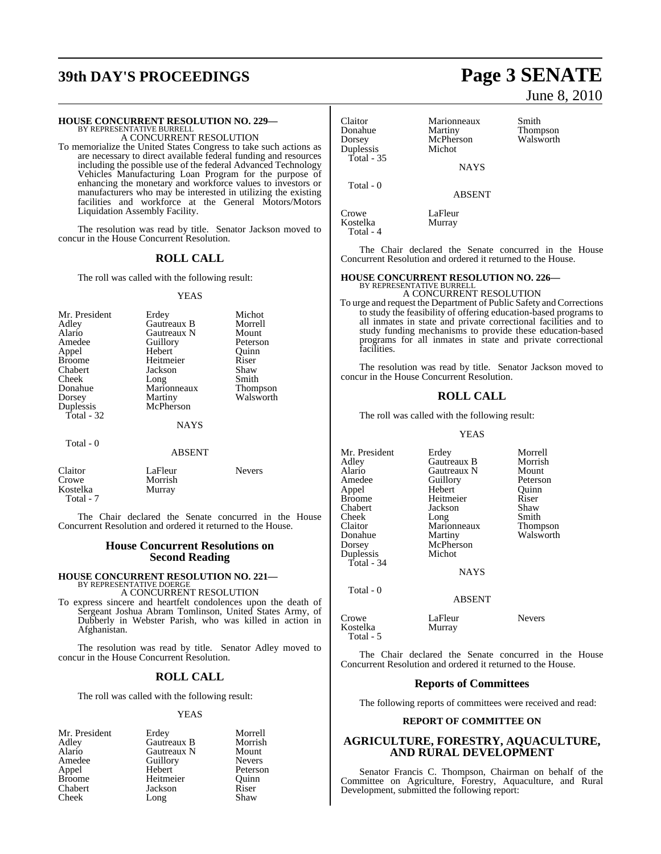## **39th DAY'S PROCEEDINGS Page 3 SENATE**

### **HOUSE CONCURRENT RESOLUTION NO. 229—** BY REPRESENTATIVE BURRELL

A CONCURRENT RESOLUTION

To memorialize the United States Congress to take such actions as are necessary to direct available federal funding and resources including the possible use of the federal Advanced Technology Vehicles Manufacturing Loan Program for the purpose of enhancing the monetary and workforce values to investors or manufacturers who may be interested in utilizing the existing facilities and workforce at the General Motors/Motors Liquidation Assembly Facility.

The resolution was read by title. Senator Jackson moved to concur in the House Concurrent Resolution.

#### **ROLL CALL**

The roll was called with the following result:

#### YEAS

| Mr. President | Erdey       | Michot          |
|---------------|-------------|-----------------|
| Adley         | Gautreaux B | Morrell         |
| Alario        | Gautreaux N | Mount           |
| Amedee        | Guillory    | Peterson        |
| Appel         | Hebert      | Ouinn           |
| <b>Broome</b> | Heitmeier   | Riser           |
| Chabert       | Jackson     | Shaw            |
| Cheek         | Long        | Smith           |
| Donahue       | Marionneaux | <b>Thompson</b> |
| Dorsey        | Martiny     | Walsworth       |
| Duplessis     | McPherson   |                 |
| Total - 32    |             |                 |
|               | NAYS        |                 |
| Total - 0     |             |                 |

#### ABSENT

| Claitor<br>Crowe      | LaFleur<br>Morrish | <b>Nevers</b> |
|-----------------------|--------------------|---------------|
| Kostelka<br>Total - 7 | Murray             |               |

The Chair declared the Senate concurred in the House Concurrent Resolution and ordered it returned to the House.

#### **House Concurrent Resolutions on Second Reading**

## **HOUSE CONCURRENT RESOLUTION NO. 221—** BY REPRESENTATIVE DOERGE

A CONCURRENT RESOLUTION

To express sincere and heartfelt condolences upon the death of Sergeant Joshua Abram Tomlinson, United States Army, of Dubberly in Webster Parish, who was killed in action in Afghanistan.

The resolution was read by title. Senator Adley moved to concur in the House Concurrent Resolution.

#### **ROLL CALL**

The roll was called with the following result:

#### YEAS

Mr. President Erdey Morrell<br>Adley Gautreaux B Morrish Cheek Long

Adley Gautreaux B Morrish Alario Gautreaux N Mount<br>Amedee Guillory Nevers Amedeuthory<br>
Hebert Peterson Appel Hebert Peterson<br>Broome Heitmeier Ouinn Broome Heitmeier Quinn<br>
Chabert Jackson Riser Jackson Riser<br>Long Shaw

June 8, 2010

| Claitor<br>Donahue<br>Dorsey<br>Duplessis<br>Total - 35 | Marionneaux<br>Martiny<br>McPherson<br>Michot | Smith<br>Thompson<br>Walsworth |
|---------------------------------------------------------|-----------------------------------------------|--------------------------------|
|                                                         | <b>NAYS</b>                                   |                                |
| Total - 0                                               | ABSENT                                        |                                |

Crowe LaFleur<br>Kostelka Murray

Kostelka

 Total - 4 The Chair declared the Senate concurred in the House Concurrent Resolution and ordered it returned to the House.

#### **HOUSE CONCURRENT RESOLUTION NO. 226—**

BY REPRESENTATIVE BURRELL A CONCURRENT RESOLUTION

To urge and request the Department of Public Safety and Corrections to study the feasibility of offering education-based programs to all inmates in state and private correctional facilities and to study funding mechanisms to provide these education-based programs for all inmates in state and private correctional facilities.

The resolution was read by title. Senator Jackson moved to concur in the House Concurrent Resolution.

#### **ROLL CALL**

The roll was called with the following result:

#### YEAS

| Mr. President<br>Adley<br>Alario<br>Amedee<br>Appel<br>Broome<br>Chabert<br>Cheek<br>Claitor<br>Donahue | Erdey<br>Gautreaux B<br>Gautreaux N<br>Guillory<br>Hebert<br>Heitmeier<br>Jackson<br>Long<br>Marionneaux<br>Martiny | Morrell<br>Morrish<br>Mount<br>Peterson<br>Quinn<br>Riser<br>Shaw<br>Smith<br>Thompson<br>Walsworth |
|---------------------------------------------------------------------------------------------------------|---------------------------------------------------------------------------------------------------------------------|-----------------------------------------------------------------------------------------------------|
| Dorsey<br>Duplessis                                                                                     | McPherson<br>Michot                                                                                                 |                                                                                                     |
| Total - 34                                                                                              | <b>NAYS</b>                                                                                                         |                                                                                                     |
| Total - 0                                                                                               | <b>ABSENT</b>                                                                                                       |                                                                                                     |

| Crowe     | LaFleur | <b>Nevers</b> |
|-----------|---------|---------------|
| Kostelka  | Murray  |               |
| Total - 5 |         |               |

The Chair declared the Senate concurred in the House Concurrent Resolution and ordered it returned to the House.

#### **Reports of Committees**

The following reports of committees were received and read:

#### **REPORT OF COMMITTEE ON**

#### **AGRICULTURE, FORESTRY, AQUACULTURE, AND RURAL DEVELOPMENT**

Senator Francis C. Thompson, Chairman on behalf of the Committee on Agriculture, Forestry, Aquaculture, and Rural Development, submitted the following report: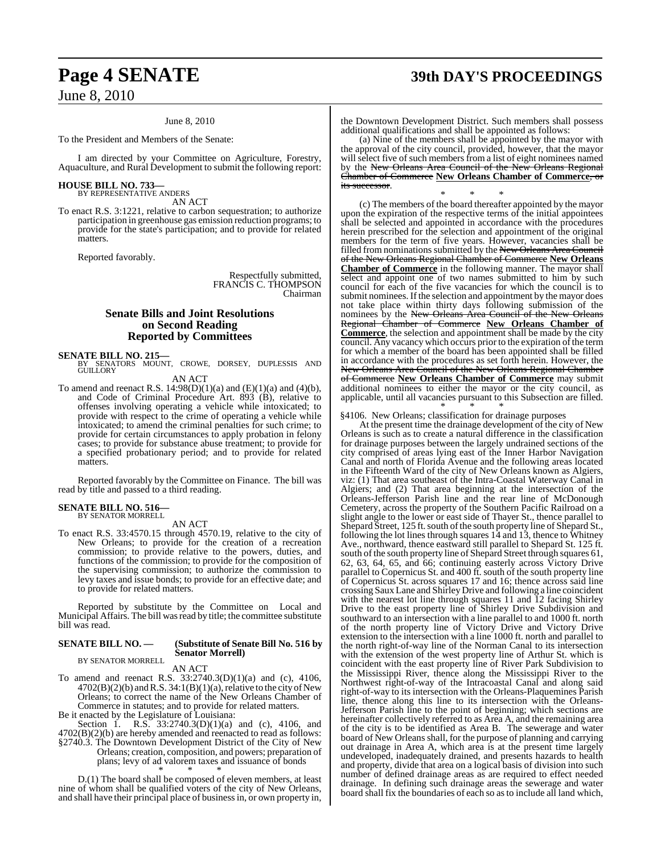#### June 8, 2010

To the President and Members of the Senate:

I am directed by your Committee on Agriculture, Forestry, Aquaculture, and Rural Development to submit the following report:

### **HOUSE BILL NO. 733—** BY REPRESENTATIVE ANDERS

AN ACT

To enact R.S. 3:1221, relative to carbon sequestration; to authorize participation in greenhouse gas emission reduction programs; to provide for the state's participation; and to provide for related **matters** 

Reported favorably.

Respectfully submitted, FRANCIS C. THOMPSON Chairman

### **Senate Bills and Joint Resolutions on Second Reading Reported by Committees**

**SENATE BILL NO. 215—**<br>BY SENATORS MOUNT, CROWE, DORSEY, DUPLESSIS AND GUILLORY AN ACT

To amend and reenact R.S.  $14:98(D)(1)(a)$  and  $(E)(1)(a)$  and  $(4)(b)$ , and Code of Criminal Procedure Art. 893 (B), relative to offenses involving operating a vehicle while intoxicated; to provide with respect to the crime of operating a vehicle while intoxicated; to amend the criminal penalties for such crime; to provide for certain circumstances to apply probation in felony cases; to provide for substance abuse treatment; to provide for a specified probationary period; and to provide for related matters.

Reported favorably by the Committee on Finance. The bill was read by title and passed to a third reading.

### **SENATE BILL NO. 516—** BY SENATOR MORRELL

AN ACT

To enact R.S. 33:4570.15 through 4570.19, relative to the city of New Orleans; to provide for the creation of a recreation commission; to provide relative to the powers, duties, and functions of the commission; to provide for the composition of the supervising commission; to authorize the commission to levy taxes and issue bonds; to provide for an effective date; and to provide for related matters.

Reported by substitute by the Committee on Local and Municipal Affairs. The bill wasread by title; the committee substitute bill was read.

#### **SENATE BILL NO. — (Substitute of Senate Bill No. 516 by Senator Morrell)**

BY SENATOR MORRELL AN ACT

To amend and reenact R.S. 33:2740.3(D)(1)(a) and (c), 4106,  $4702(B)(2)(b)$  and R.S. 34:1(B)(1)(a), relative to the city of New Orleans; to correct the name of the New Orleans Chamber of Commerce in statutes; and to provide for related matters.

Be it enacted by the Legislature of Louisiana:

Section 1. R.S. 33:2740.3(D)(1)(a) and (c), 4106, and 4702(B)(2)(b) are hereby amended and reenacted to read as follows: §2740.3. The Downtown Development District of the City of New Orleans; creation, composition, and powers; preparation of plans; levy of ad valorem taxes and issuance of bonds \* \* \*

D.(1) The board shall be composed of eleven members, at least nine of whom shall be qualified voters of the city of New Orleans, and shall have their principal place of businessin, or own property in,

#### the Downtown Development District. Such members shall possess additional qualifications and shall be appointed as follows:

(a) Nine of the members shall be appointed by the mayor with the approval of the city council, provided, however, that the mayor will select five of such members from a list of eight nominees named by the New Orleans Area Council of the New Orleans Regional Chamber of Commerce **New Orleans Chamber of Commerce**, or its successor.

\* \* \* (c) The members of the board thereafter appointed by the mayor upon the expiration of the respective terms of the initial appointees shall be selected and appointed in accordance with the procedures herein prescribed for the selection and appointment of the original members for the term of five years. However, vacancies shall be filled from nominations submitted by the New Orleans Area Council of the New Orleans Regional Chamber of Commerce **New Orleans Chamber of Commerce** in the following manner. The mayor shall select and appoint one of two names submitted to him by such council for each of the five vacancies for which the council is to submit nominees. If the selection and appointment by the mayor does not take place within thirty days following submission of the nominees by the New Orleans Area Council of the New Orleans Regional Chamber of Commerce **New Orleans Chamber of Commerce**, the selection and appointment shall be made by the city council. Any vacancy which occurs prior to the expiration of the term for which a member of the board has been appointed shall be filled in accordance with the procedures as set forth herein. However, the New Orleans Area Council of the New Orleans Regional Chamber of Commerce **New Orleans Chamber of Commerce** may submit additional nominees to either the mayor or the city council, as applicable, until all vacancies pursuant to this Subsection are filled. \* \* \*

§4106. New Orleans; classification for drainage purposes

At the present time the drainage development of the city of New Orleans is such as to create a natural difference in the classification for drainage purposes between the largely undrained sections of the city comprised of areas lying east of the Inner Harbor Navigation Canal and north of Florida Avenue and the following areas located in the Fifteenth Ward of the city of New Orleans known as Algiers, viz: (1) That area southeast of the Intra-Coastal Waterway Canal in Algiers; and (2) That area beginning at the intersection of the Orleans-Jefferson Parish line and the rear line of McDonough Cemetery, across the property of the Southern Pacific Railroad on a slight angle to the lower or east side of Thayer St., thence parallel to Shepard Street, 125 ft. south of the south property line of Shepard St., following the lot lines through squares 14 and 13, thence to Whitney Ave., northward, thence eastward still parallel to Shepard St. 125 ft. south of the south property line of Shepard Street through squares 61, 62, 63, 64, 65, and 66; continuing easterly across Victory Drive parallel to Copernicus St. and 400 ft. south of the south property line of Copernicus St. across squares 17 and 16; thence across said line crossing Saux Lane and ShirleyDrive and following a line coincident with the nearest lot line through squares 11 and 12 facing Shirley Drive to the east property line of Shirley Drive Subdivision and southward to an intersection with a line parallel to and 1000 ft. north of the north property line of Victory Drive and Victory Drive extension to the intersection with a line 1000 ft. north and parallel to the north right-of-way line of the Norman Canal to its intersection with the extension of the west property line of Arthur St. which is coincident with the east property line of River Park Subdivision to the Mississippi River, thence along the Mississippi River to the Northwest right-of-way of the Intracoastal Canal and along said right-of-way to its intersection with the Orleans-Plaquemines Parish line, thence along this line to its intersection with the Orleans-Jefferson Parish line to the point of beginning; which sections are hereinafter collectively referred to as Area A, and the remaining area of the city is to be identified as Area B. The sewerage and water board of New Orleans shall, for the purpose of planning and carrying out drainage in Area A, which area is at the present time largely undeveloped, inadequately drained, and presents hazards to health and property, divide that area on a logical basis of division into such number of defined drainage areas as are required to effect needed drainage. In defining such drainage areas the sewerage and water board shall fix the boundaries of each so asto include all land which,

**Page 4 SENATE 39th DAY'S PROCEEDINGS**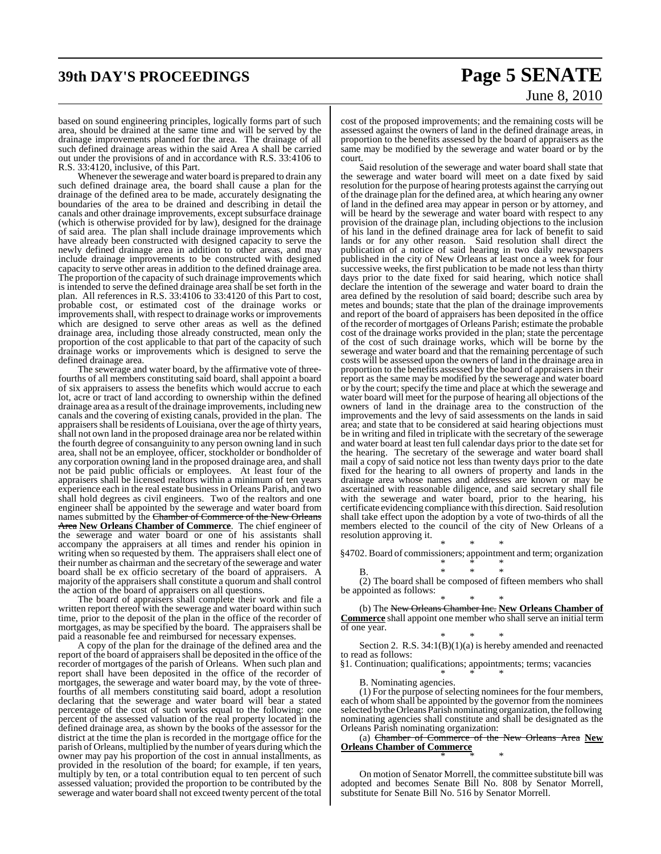## **39th DAY'S PROCEEDINGS Page 5 SENATE**

# June 8, 2010

based on sound engineering principles, logically forms part of such area, should be drained at the same time and will be served by the drainage improvements planned for the area. The drainage of all such defined drainage areas within the said Area A shall be carried out under the provisions of and in accordance with R.S. 33:4106 to R.S. 33:4120, inclusive, of this Part.

Whenever the sewerage and water board is prepared to drain any such defined drainage area, the board shall cause a plan for the drainage of the defined area to be made, accurately designating the boundaries of the area to be drained and describing in detail the canals and other drainage improvements, except subsurface drainage (which is otherwise provided for by law), designed for the drainage of said area. The plan shall include drainage improvements which have already been constructed with designed capacity to serve the newly defined drainage area in addition to other areas, and may include drainage improvements to be constructed with designed capacity to serve other areas in addition to the defined drainage area. The proportion of the capacity of such drainage improvements which is intended to serve the defined drainage area shall be set forth in the plan. All references in R.S. 33:4106 to 33:4120 of this Part to cost, probable cost, or estimated cost of the drainage works or improvements shall, with respect to drainage works or improvements which are designed to serve other areas as well as the defined drainage area, including those already constructed, mean only the proportion of the cost applicable to that part of the capacity of such drainage works or improvements which is designed to serve the defined drainage area.

The sewerage and water board, by the affirmative vote of threefourths of all members constituting said board, shall appoint a board of six appraisers to assess the benefits which would accrue to each lot, acre or tract of land according to ownership within the defined drainage area as a result of the drainage improvements, including new canals and the covering of existing canals, provided in the plan. The appraisers shall be residents of Louisiana, over the age of thirty years, shall not own land in the proposed drainage area nor be related within the fourth degree of consanguinity to any person owning land in such area, shall not be an employee, officer, stockholder or bondholder of any corporation owning land in the proposed drainage area, and shall not be paid public officials or employees. At least four of the appraisers shall be licensed realtors within a minimum of ten years experience each in the real estate business in Orleans Parish, and two shall hold degrees as civil engineers. Two of the realtors and one engineer shall be appointed by the sewerage and water board from names submitted by the Chamber of Commerce of the New Orleans Area **New Orleans Chamber of Commerce**. The chief engineer of the sewerage and water board or one of his assistants shall accompany the appraisers at all times and render his opinion in writing when so requested by them. The appraisers shall elect one of their number as chairman and the secretary of the sewerage and water board shall be ex officio secretary of the board of appraisers. A majority of the appraisers shall constitute a quorum and shall control the action of the board of appraisers on all questions.

The board of appraisers shall complete their work and file a written report thereof with the sewerage and water board within such time, prior to the deposit of the plan in the office of the recorder of mortgages, as may be specified by the board. The appraisers shall be paid a reasonable fee and reimbursed for necessary expenses.

A copy of the plan for the drainage of the defined area and the report of the board of appraisers shall be deposited in the office of the recorder of mortgages of the parish of Orleans. When such plan and report shall have been deposited in the office of the recorder of mortgages, the sewerage and water board may, by the vote of threefourths of all members constituting said board, adopt a resolution declaring that the sewerage and water board will bear a stated percentage of the cost of such works equal to the following: one percent of the assessed valuation of the real property located in the defined drainage area, as shown by the books of the assessor for the district at the time the plan is recorded in the mortgage office for the parish of Orleans, multiplied by the number of years during which the owner may pay his proportion of the cost in annual installments, as provided in the resolution of the board; for example, if ten years, multiply by ten, or a total contribution equal to ten percent of such assessed valuation; provided the proportion to be contributed by the sewerage and water board shall not exceed twenty percent of the total

cost of the proposed improvements; and the remaining costs will be assessed against the owners of land in the defined drainage areas, in proportion to the benefits assessed by the board of appraisers as the same may be modified by the sewerage and water board or by the court.

Said resolution of the sewerage and water board shall state that the sewerage and water board will meet on a date fixed by said resolution for the purpose of hearing protests against the carrying out of the drainage plan for the defined area, at which hearing any owner of land in the defined area may appear in person or by attorney, and will be heard by the sewerage and water board with respect to any provision of the drainage plan, including objections to the inclusion of his land in the defined drainage area for lack of benefit to said lands or for any other reason. Said resolution shall direct the publication of a notice of said hearing in two daily newspapers published in the city of New Orleans at least once a week for four successive weeks, the first publication to be made not less than thirty days prior to the date fixed for said hearing, which notice shall declare the intention of the sewerage and water board to drain the area defined by the resolution of said board; describe such area by metes and bounds; state that the plan of the drainage improvements and report of the board of appraisers has been deposited in the office of the recorder of mortgages of Orleans Parish; estimate the probable cost of the drainage works provided in the plan; state the percentage of the cost of such drainage works, which will be borne by the sewerage and water board and that the remaining percentage of such costs will be assessed upon the owners of land in the drainage area in proportion to the benefits assessed by the board of appraisers in their report as the same may be modified by the sewerage and water board or by the court; specify the time and place at which the sewerage and water board will meet for the purpose of hearing all objections of the owners of land in the drainage area to the construction of the improvements and the levy of said assessments on the lands in said area; and state that to be considered at said hearing objections must be in writing and filed in triplicate with the secretary of the sewerage and water board at least ten full calendar days prior to the date set for the hearing. The secretary of the sewerage and water board shall mail a copy of said notice not less than twenty days prior to the date fixed for the hearing to all owners of property and lands in the drainage area whose names and addresses are known or may be ascertained with reasonable diligence, and said secretary shall file with the sewerage and water board, prior to the hearing, his certificate evidencing compliancewith this direction. Said resolution shall take effect upon the adoption by a vote of two-thirds of all the members elected to the council of the city of New Orleans of a resolution approving it.

\* \* \* §4702. Board of commissioners; appointment and term; organization \* \* \*

$$
f_{\rm{max}}
$$

B. \* \* \* (2) The board shall be composed of fifteen members who shall be appointed as follows:

\* \* \* (b) The New Orleans Chamber Inc. **New Orleans Chamber of Commerce** shall appoint one member who shall serve an initial term of one year.

\* \* \* Section 2. R.S. 34:1(B)(1)(a) is hereby amended and reenacted to read as follows:

§1. Continuation; qualifications; appointments; terms; vacancies \* \* \*

B. Nominating agencies.

 $(1)$  For the purpose of selecting nominees for the four members, each of whom shall be appointed by the governor from the nominees selected by the Orleans Parish nominating organization, the following nominating agencies shall constitute and shall be designated as the Orleans Parish nominating organization:

(a) Chamber of Commerce of the New Orleans Area **New Orleans Chamber of Commerce** \* \* \*

On motion of Senator Morrell, the committee substitute bill was adopted and becomes Senate Bill No. 808 by Senator Morrell, substitute for Senate Bill No. 516 by Senator Morrell.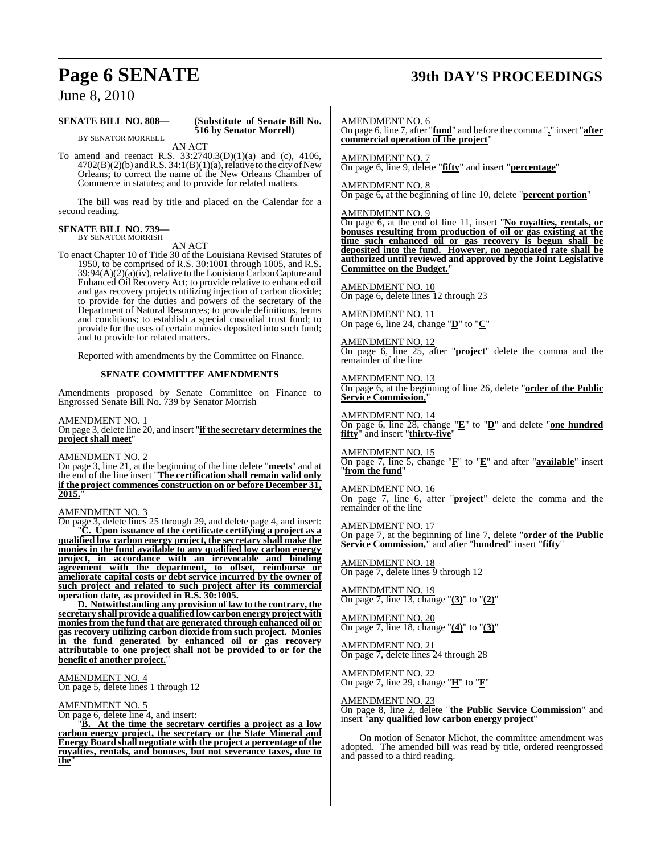## **Page 6 SENATE 39th DAY'S PROCEEDINGS**

June 8, 2010

#### **SENATE BILL NO. 808— (Substitute of Senate Bill No.**

**516 by Senator Morrell)**

BY SENATOR MORRELL AN ACT

To amend and reenact R.S. 33:2740.3(D)(1)(a) and (c), 4106,  $4702(B)(2)(b)$  and R.S.  $34:1(B)(1)(a)$ , relative to the city of New Orleans; to correct the name of the New Orleans Chamber of Commerce in statutes; and to provide for related matters.

The bill was read by title and placed on the Calendar for a second reading.

#### **SENATE BILL NO. 739—** BY SENATOR MORRISH

AN ACT

To enact Chapter 10 of Title 30 of the Louisiana Revised Statutes of 1950, to be comprised of R.S. 30:1001 through 1005, and R.S.  $39:94(A)(2)(a)(iv)$ , relative to the Louisiana Carbon Capture and Enhanced Oil Recovery Act; to provide relative to enhanced oil and gas recovery projects utilizing injection of carbon dioxide; to provide for the duties and powers of the secretary of the Department of Natural Resources; to provide definitions, terms and conditions; to establish a special custodial trust fund; to provide for the uses of certain monies deposited into such fund; and to provide for related matters.

Reported with amendments by the Committee on Finance.

#### **SENATE COMMITTEE AMENDMENTS**

Amendments proposed by Senate Committee on Finance to Engrossed Senate Bill No. 739 by Senator Morrish

#### AMENDMENT NO. 1

On page 3, delete line 20, and insert "**if the secretary determinesthe project shall meet**"

#### AMENDMENT NO. 2

On page 3, line 21, at the beginning of the line delete "**meets**" and at the end of the line insert "**The certification shall remain valid only if the project commences construction on or before December 31, 2015.**"

#### AMENDMENT NO. 3

On page 3, delete lines 25 through 29, and delete page 4, and insert: "**C. Upon issuance of the certificate certifying a project as a qualified low carbon energy project, the secretary shall make the monies in the fund available to any qualified low carbon energy project, in accordance with an irrevocable and binding agreement with the department, to offset, reimburse or ameliorate capital costs or debt service incurred by the owner of such project and related to such project after its commercial operation date, as provided in R.S. 30:1005.**

**D. Notwithstanding any provision of law to the contrary, the secretary shall provide a qualifiedlow carbonenergy project with monies from the fund that are generated through enhanced oil or gas recovery utilizing carbon dioxide from such project. Monies in the fund generated by enhanced oil or gas recovery attributable to one project shall not be provided to or for the benefit of another project.**"

#### AMENDMENT NO. 4

On page 5, delete lines 1 through 12

#### AMENDMENT NO. 5

On page 6, delete line 4, and insert:

"**B. At the time the secretary certifies a project as a low carbon energy project, the secretary or the State Mineral and Energy Board shall negotiate with the project a percentage of the royalties, rentals, and bonuses, but not severance taxes, due to the**"

AMENDMENT NO. 6

On page 6, line 7, after "**fund**" and before the comma "**,**" insert "**after commercial operation of the project**"

AMENDMENT NO. 7 On page 6, line 9, delete "**fifty**" and insert "**percentage**"

#### AMENDMENT NO. 8

On page 6, at the beginning of line 10, delete "**percent portion**"

#### AMENDMENT NO. 9

On page 6, at the end of line 11, insert "**No royalties, rentals, or bonuses resulting from production of oil or gas existing at the time such enhanced oil or gas recovery is begun shall be deposited into the fund. However, no negotiated rate shall be authorized until reviewed and approved by the Joint Legislative Committee on the Budget.**"

AMENDMENT NO. 10 On page 6, delete lines 12 through 23

AMENDMENT NO. 11 On page 6, line 24, change "**D**" to "**C**"

AMENDMENT NO. 12 On page 6, line 25, after "**project**" delete the comma and the remainder of the line

AMENDMENT NO. 13 On page 6, at the beginning of line 26, delete "**order of the Public Service Commission,**"

AMENDMENT NO. 14 On page 6, line 28, change "**E**" to "**D**" and delete "**one hundred fifty**" and insert "**thirty-five**"

AMENDMENT NO. 15 On page 7, line 5, change "**F**" to "**E**" and after "**available**" insert "**from the fund**"

#### AMENDMENT NO. 16

On page 7, line 6, after "**project**" delete the comma and the remainder of the line

AMENDMENT NO. 17 On page 7, at the beginning of line 7, delete "**order of the Public Service Commission,**" and after "**hundred**" insert "**fifty**"

AMENDMENT NO. 18 On page 7, delete lines 9 through 12

AMENDMENT NO. 19 On page 7, line 13, change "**(3)**" to "**(2)**"

AMENDMENT NO. 20 On page 7, line 18, change "**(4)**" to "**(3)**"

AMENDMENT NO. 21 On page 7, delete lines 24 through 28

<u>AMENDMENT NO. 22</u> On page 7, line 29, change "**H**" to "**F**"

AMENDMENT NO. 23 On page 8, line 2, delete "**the Public Service Commission**" and insert "**any qualified low carbon energy project**"

On motion of Senator Michot, the committee amendment was adopted. The amended bill was read by title, ordered reengrossed and passed to a third reading.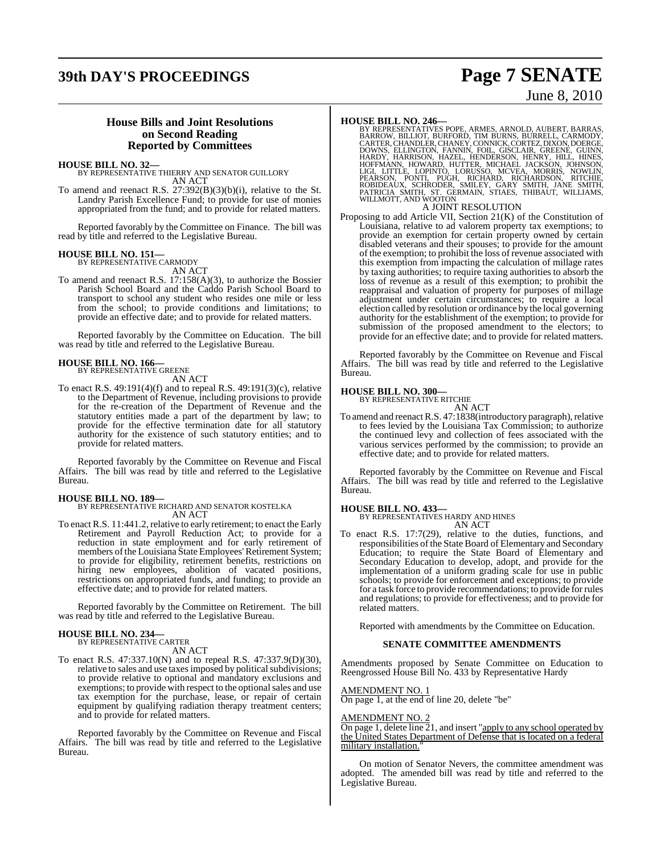## **39th DAY'S PROCEEDINGS Page 7 SENATE**

# June 8, 2010

#### **House Bills and Joint Resolutions on Second Reading Reported by Committees**

**HOUSE BILL NO. 32—** BY REPRESENTATIVE THIERRY AND SENATOR GUILLORY AN ACT

To amend and reenact R.S. 27:392(B)(3)(b)(i), relative to the St. Landry Parish Excellence Fund; to provide for use of monies appropriated from the fund; and to provide for related matters.

Reported favorably by the Committee on Finance. The bill was read by title and referred to the Legislative Bureau.

### **HOUSE BILL NO. 151—** BY REPRESENTATIVE CARMODY

AN ACT

To amend and reenact R.S. 17:158(A)(3), to authorize the Bossier Parish School Board and the Caddo Parish School Board to transport to school any student who resides one mile or less from the school; to provide conditions and limitations; to provide an effective date; and to provide for related matters.

Reported favorably by the Committee on Education. The bill was read by title and referred to the Legislative Bureau.

## **HOUSE BILL NO. 166—** BY REPRESENTATIVE GREENE

AN ACT

To enact R.S. 49:191(4)(f) and to repeal R.S. 49:191(3)(c), relative to the Department of Revenue, including provisions to provide for the re-creation of the Department of Revenue and the statutory entities made a part of the department by law; to provide for the effective termination date for all statutory authority for the existence of such statutory entities; and to provide for related matters.

Reported favorably by the Committee on Revenue and Fiscal Affairs. The bill was read by title and referred to the Legislative Bureau.

### **HOUSE BILL NO. 189—**

BY REPRESENTATIVE RICHARD AND SENATOR KOSTELKA AN ACT

To enact R.S. 11:441.2, relative to early retirement; to enact the Early Retirement and Payroll Reduction Act; to provide for a reduction in state employment and for early retirement of members of the Louisiana State Employees' Retirement System; to provide for eligibility, retirement benefits, restrictions on hiring new employees, abolition of vacated positions, restrictions on appropriated funds, and funding; to provide an effective date; and to provide for related matters.

Reported favorably by the Committee on Retirement. The bill was read by title and referred to the Legislative Bureau.

#### **HOUSE BILL NO. 234—** BY REPRESENTATIVE CARTER

AN ACT

To enact R.S. 47:337.10(N) and to repeal R.S. 47:337.9(D)(30), relative to sales and use taxes imposed by political subdivisions; to provide relative to optional and mandatory exclusions and exemptions; to provide with respect to the optional sales and use tax exemption for the purchase, lease, or repair of certain equipment by qualifying radiation therapy treatment centers; and to provide for related matters.

Reported favorably by the Committee on Revenue and Fiscal Affairs. The bill was read by title and referred to the Legislative Bureau.

HOUSE BILL NO. 246—<br>BY REPRESENTATIVES POPE, ARMES, ARNOLD, AUBERT, BARRAS,<br>BARROW, BILLIOT, BURFORD, TIM BURNS, BURRELL, CARMODY,<br>CARTER, CHANDLER, CHANEY, CONNICK, CORTEZ, DIXON, DOERGE,<br>DOWNS, ELLINGTON, FANNIN, FOIL, G

#### A JOINT RESOLUTION

Proposing to add Article VII, Section 21(K) of the Constitution of Louisiana, relative to ad valorem property tax exemptions; to provide an exemption for certain property owned by certain disabled veterans and their spouses; to provide for the amount of the exemption; to prohibit the loss of revenue associated with this exemption from impacting the calculation of millage rates by taxing authorities; to require taxing authorities to absorb the loss of revenue as a result of this exemption; to prohibit the reappraisal and valuation of property for purposes of millage adjustment under certain circumstances; to require a local election called by resolution or ordinance by the local governing authority for the establishment of the exemption; to provide for submission of the proposed amendment to the electors; to provide for an effective date; and to provide for related matters.

Reported favorably by the Committee on Revenue and Fiscal Affairs. The bill was read by title and referred to the Legislative Bureau.

#### **HOUSE BILL NO. 300—**

BY REPRESENTATIVE RITCHIE AN ACT

To amend and reenact R.S. 47:1838(introductory paragraph), relative to fees levied by the Louisiana Tax Commission; to authorize the continued levy and collection of fees associated with the various services performed by the commission; to provide an effective date; and to provide for related matters.

Reported favorably by the Committee on Revenue and Fiscal Affairs. The bill was read by title and referred to the Legislative Bureau.

#### **HOUSE BILL NO. 433—**

BY REPRESENTATIVES HARDY AND HINES AN ACT

To enact R.S. 17:7(29), relative to the duties, functions, and responsibilities of the State Board of Elementary and Secondary Education; to require the State Board of Elementary and Secondary Education to develop, adopt, and provide for the implementation of a uniform grading scale for use in public schools; to provide for enforcement and exceptions; to provide for a task force to provide recommendations; to provide for rules and regulations; to provide for effectiveness; and to provide for related matters.

Reported with amendments by the Committee on Education.

#### **SENATE COMMITTEE AMENDMENTS**

Amendments proposed by Senate Committee on Education to Reengrossed House Bill No. 433 by Representative Hardy

#### AMENDMENT NO. 1

On page 1, at the end of line 20, delete "be"

#### AMENDMENT NO. 2

 $\frac{\overline{X_{MLL}} \cdot \overline{X_{MLL}} \cdot \overline{X_{MLL}}}{\overline{X_{MRL}}}$  and insert "apply to any school operated by the United States Department of Defense that is located on a federal military installation.

On motion of Senator Nevers, the committee amendment was adopted. The amended bill was read by title and referred to the Legislative Bureau.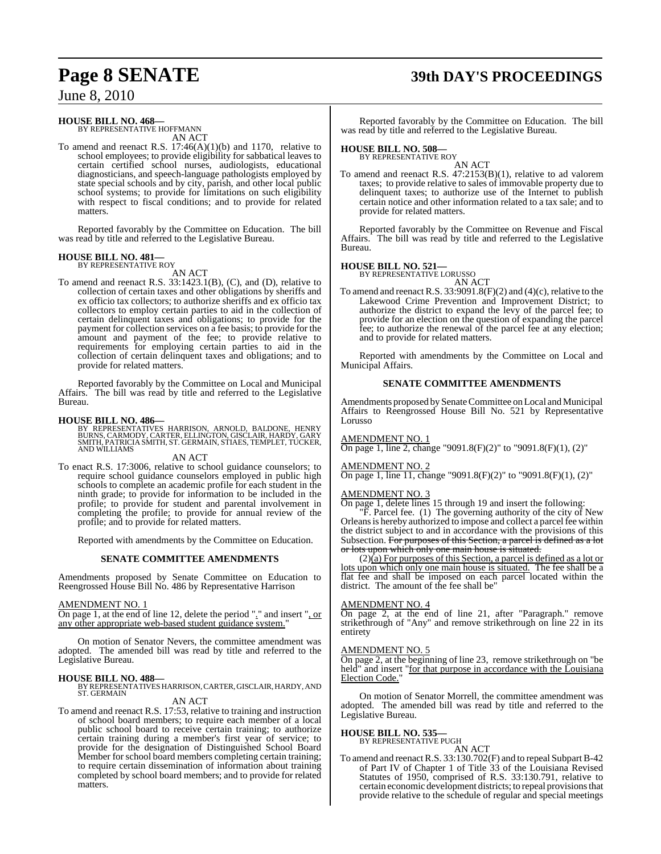## **Page 8 SENATE 39th DAY'S PROCEEDINGS**

June 8, 2010

### **HOUSE BILL NO. 468—**

BY REPRESENTATIVE HOFFMANN AN ACT

To amend and reenact R.S. 17:46(A)(1)(b) and 1170, relative to school employees; to provide eligibility for sabbatical leaves to certain certified school nurses, audiologists, educational diagnosticians, and speech-language pathologists employed by state special schools and by city, parish, and other local public school systems; to provide for limitations on such eligibility with respect to fiscal conditions; and to provide for related matters.

Reported favorably by the Committee on Education. The bill was read by title and referred to the Legislative Bureau.

#### **HOUSE BILL NO. 481—** BY REPRESENTATIVE ROY

AN ACT

To amend and reenact R.S. 33:1423.1(B), (C), and (D), relative to collection of certain taxes and other obligations by sheriffs and ex officio tax collectors; to authorize sheriffs and ex officio tax collectors to employ certain parties to aid in the collection of certain delinquent taxes and obligations; to provide for the payment for collection services on a fee basis; to provide for the amount and payment of the fee; to provide relative to requirements for employing certain parties to aid in the collection of certain delinquent taxes and obligations; and to provide for related matters.

Reported favorably by the Committee on Local and Municipal Affairs. The bill was read by title and referred to the Legislative Bureau.

**HOUSE BILL NO. 486—**<br>BY REPRESENTATIVES HARRISON, ARNOLD, BALDONE, HENRY<br>BURNS, CARMODY, CARTER, ELLINGTON, GISCLAIR, HARDY, GARY<br>SMITH, PATRICIA SMITH, ST. GERMAIN, STIAES, TEMPLET, TUCKER,<br>AND WILLIAMS

#### AN ACT

To enact R.S. 17:3006, relative to school guidance counselors; to require school guidance counselors employed in public high schools to complete an academic profile for each student in the ninth grade; to provide for information to be included in the profile; to provide for student and parental involvement in completing the profile; to provide for annual review of the profile; and to provide for related matters.

Reported with amendments by the Committee on Education.

#### **SENATE COMMITTEE AMENDMENTS**

Amendments proposed by Senate Committee on Education to Reengrossed House Bill No. 486 by Representative Harrison

#### AMENDMENT NO. 1

On page 1, at the end of line 12, delete the period "." and insert ", or any other appropriate web-based student guidance system."

On motion of Senator Nevers, the committee amendment was adopted. The amended bill was read by title and referred to the Legislative Bureau.

**HOUSE BILL NO. 488—** BY REPRESENTATIVES HARRISON, CARTER, GISCLAIR, HARDY, AND ST. GERMAIN

### AN ACT

To amend and reenact R.S. 17:53, relative to training and instruction of school board members; to require each member of a local public school board to receive certain training; to authorize certain training during a member's first year of service; to provide for the designation of Distinguished School Board Member for school board members completing certain training; to require certain dissemination of information about training completed by school board members; and to provide for related matters.

Reported favorably by the Committee on Education. The bill was read by title and referred to the Legislative Bureau.

### **HOUSE BILL NO. 508—** BY REPRESENTATIVE ROY

AN ACT To amend and reenact R.S. 47:2153(B)(1), relative to ad valorem taxes; to provide relative to sales of immovable property due to delinquent taxes; to authorize use of the Internet to publish certain notice and other information related to a tax sale; and to provide for related matters.

Reported favorably by the Committee on Revenue and Fiscal Affairs. The bill was read by title and referred to the Legislative Bureau.

**HOUSE BILL NO. 521—** BY REPRESENTATIVE LORUSSO AN ACT

To amend and reenact R.S. 33:9091.8(F)(2) and (4)(c), relative to the Lakewood Crime Prevention and Improvement District; to authorize the district to expand the levy of the parcel fee; to provide for an election on the question of expanding the parcel fee; to authorize the renewal of the parcel fee at any election; and to provide for related matters.

Reported with amendments by the Committee on Local and Municipal Affairs.

#### **SENATE COMMITTEE AMENDMENTS**

Amendments proposed by Senate Committee on Local and Municipal Affairs to Reengrossed House Bill No. 521 by Representative Lorusso

#### AMENDMENT NO. 1

On page 1, line 2, change "9091.8(F)(2)" to "9091.8(F)(1), (2)"

#### AMENDMENT NO. 2

On page 1, line 11, change "9091.8(F)(2)" to "9091.8(F)(1), (2)"

#### AMENDMENT NO. 3

On page 1, delete lines 15 through 19 and insert the following: "F. Parcel fee. (1) The governing authority of the city of New Orleans is hereby authorized to impose and collect a parcel fee within the district subject to and in accordance with the provisions of this Subsection. For purposes of this Section, a parcel is defined as a lot or lots upon which only one main house is situated.

 $(2)$ (a) For purposes of this Section, a parcel is defined as a lot or lots upon which only one main house is situated. The fee shall be a flat fee and shall be imposed on each parcel located within the district. The amount of the fee shall be"

#### AMENDMENT NO. 4

On page 2, at the end of line 21, after "Paragraph." remove strikethrough of "Any" and remove strikethrough on line 22 in its entirety

### AMENDMENT NO. 5

On page 2, at the beginning of line 23, remove strikethrough on "be held" and insert "for that purpose in accordance with the Louisiana Election Code.

On motion of Senator Morrell, the committee amendment was adopted. The amended bill was read by title and referred to the Legislative Bureau.

### **HOUSE BILL NO. 535—** BY REPRESENTATIVE PUGH

AN ACT To amend and reenact R.S. 33:130.702(F) and to repeal Subpart B-42 of Part IV of Chapter 1 of Title 33 of the Louisiana Revised Statutes of 1950, comprised of R.S. 33:130.791, relative to certain economic development districts; to repeal provisions that provide relative to the schedule of regular and special meetings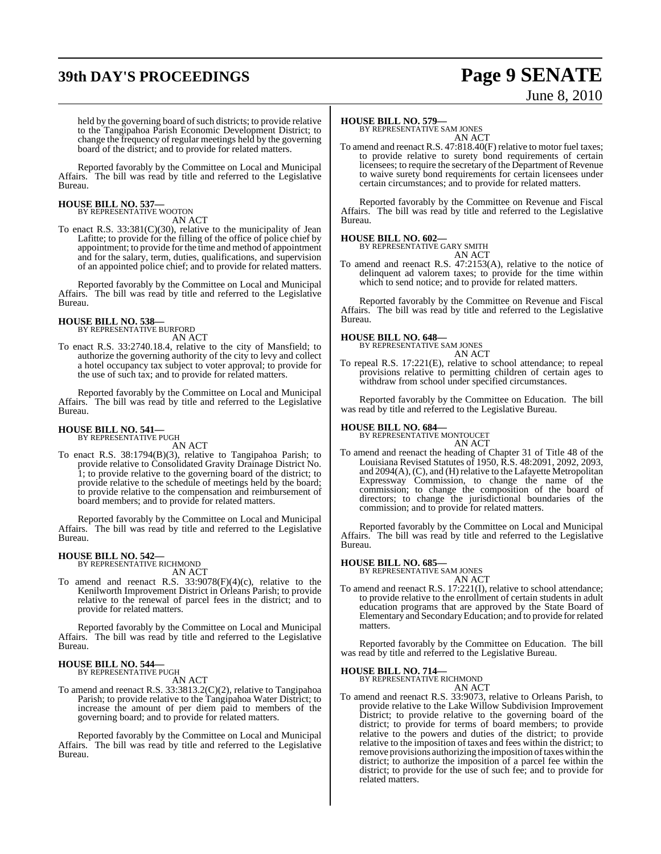## **39th DAY'S PROCEEDINGS Page 9 SENATE**

# June 8, 2010

held by the governing board of such districts; to provide relative to the Tangipahoa Parish Economic Development District; to change the frequency of regular meetings held by the governing board of the district; and to provide for related matters.

Reported favorably by the Committee on Local and Municipal Affairs. The bill was read by title and referred to the Legislative Bureau.

## **HOUSE BILL NO. 537—** BY REPRESENTATIVE WOOTON

AN ACT

To enact R.S. 33:381(C)(30), relative to the municipality of Jean Lafitte; to provide for the filling of the office of police chief by appointment; to provide for the time and method of appointment and for the salary, term, duties, qualifications, and supervision of an appointed police chief; and to provide for related matters.

Reported favorably by the Committee on Local and Municipal Affairs. The bill was read by title and referred to the Legislative Bureau.

#### **HOUSE BILL NO. 538—** BY REPRESENTATIVE BURFORD

AN ACT

To enact R.S. 33:2740.18.4, relative to the city of Mansfield; to authorize the governing authority of the city to levy and collect a hotel occupancy tax subject to voter approval; to provide for the use of such tax; and to provide for related matters.

Reported favorably by the Committee on Local and Municipal Affairs. The bill was read by title and referred to the Legislative Bureau.

#### **HOUSE BILL NO. 541—** BY REPRESENTATIVE PUGH

AN ACT

To enact R.S. 38:1794(B)(3), relative to Tangipahoa Parish; to provide relative to Consolidated Gravity Drainage District No. 1; to provide relative to the governing board of the district; to provide relative to the schedule of meetings held by the board; to provide relative to the compensation and reimbursement of board members; and to provide for related matters.

Reported favorably by the Committee on Local and Municipal Affairs. The bill was read by title and referred to the Legislative Bureau.

## **HOUSE BILL NO. 542—** BY REPRESENTATIVE RICHMOND

AN ACT

To amend and reenact R.S.  $33:9078(F)(4)(c)$ , relative to the Kenilworth Improvement District in Orleans Parish; to provide relative to the renewal of parcel fees in the district; and to provide for related matters.

Reported favorably by the Committee on Local and Municipal Affairs. The bill was read by title and referred to the Legislative Bureau.

### **HOUSE BILL NO. 544—** BY REPRESENTATIVE PUGH

AN ACT

To amend and reenact R.S. 33:3813.2(C)(2), relative to Tangipahoa Parish; to provide relative to the Tangipahoa Water District; to increase the amount of per diem paid to members of the governing board; and to provide for related matters.

Reported favorably by the Committee on Local and Municipal Affairs. The bill was read by title and referred to the Legislative Bureau.

#### **HOUSE BILL NO. 579—**

BY REPRESENTATIVE SAM JONES AN ACT

To amend and reenact R.S. 47:818.40(F) relative to motor fuel taxes; to provide relative to surety bond requirements of certain licensees; to require the secretary of the Department of Revenue to waive surety bond requirements for certain licensees under certain circumstances; and to provide for related matters.

Reported favorably by the Committee on Revenue and Fiscal Affairs. The bill was read by title and referred to the Legislative Bureau.

#### **HOUSE BILL NO. 602—**

BY REPRESENTATIVE GARY SMITH AN ACT

To amend and reenact R.S. 47:2153(A), relative to the notice of delinquent ad valorem taxes; to provide for the time within which to send notice; and to provide for related matters.

Reported favorably by the Committee on Revenue and Fiscal Affairs. The bill was read by title and referred to the Legislative Bureau.

**HOUSE BILL NO. 648—** BY REPRESENTATIVE SAM JONES AN ACT

To repeal R.S. 17:221(E), relative to school attendance; to repeal provisions relative to permitting children of certain ages to withdraw from school under specified circumstances.

Reported favorably by the Committee on Education. The bill was read by title and referred to the Legislative Bureau.

**HOUSE BILL NO. 684—** BY REPRESENTATIVE MONTOUCET AN ACT

To amend and reenact the heading of Chapter 31 of Title 48 of the Louisiana Revised Statutes of 1950, R.S. 48:2091, 2092, 2093, and 2094(A), (C), and (H) relative to the Lafayette Metropolitan Expressway Commission, to change the name of the commission; to change the composition of the board of directors; to change the jurisdictional boundaries of the commission; and to provide for related matters.

Reported favorably by the Committee on Local and Municipal Affairs. The bill was read by title and referred to the Legislative Bureau.

#### **HOUSE BILL NO. 685—**

BY REPRESENTATIVE SAM JONES AN ACT

To amend and reenact R.S. 17:221(I), relative to school attendance; to provide relative to the enrollment of certain students in adult education programs that are approved by the State Board of Elementary and SecondaryEducation; and to provide for related matters.

Reported favorably by the Committee on Education. The bill was read by title and referred to the Legislative Bureau.

## **HOUSE BILL NO. 714—** BY REPRESENTATIVE RICHMOND

AN ACT

To amend and reenact R.S. 33:9073, relative to Orleans Parish, to provide relative to the Lake Willow Subdivision Improvement District; to provide relative to the governing board of the district; to provide for terms of board members; to provide relative to the powers and duties of the district; to provide relative to the imposition of taxes and fees within the district; to remove provisions authorizing the imposition of taxes within the district; to authorize the imposition of a parcel fee within the district; to provide for the use of such fee; and to provide for related matters.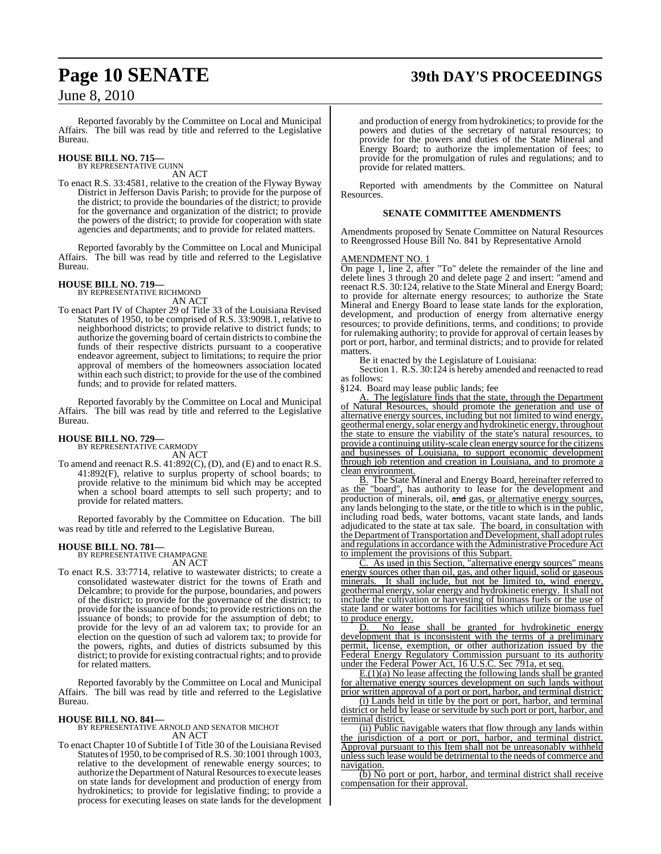## **Page 10 SENATE 39th DAY'S PROCEEDINGS**

### June 8, 2010

Reported favorably by the Committee on Local and Municipal Affairs. The bill was read by title and referred to the Legislative Bureau.

### **HOUSE BILL NO. 715—** BY REPRESENTATIVE GUINN

AN ACT

To enact R.S. 33:4581, relative to the creation of the Flyway Byway District in Jefferson Davis Parish; to provide for the purpose of the district; to provide the boundaries of the district; to provide for the governance and organization of the district; to provide the powers of the district; to provide for cooperation with state agencies and departments; and to provide for related matters.

Reported favorably by the Committee on Local and Municipal Affairs. The bill was read by title and referred to the Legislative Bureau.

#### **HOUSE BILL NO. 719—** BY REPRESENTATIVE RICHMOND

AN ACT

To enact Part IV of Chapter 29 of Title 33 of the Louisiana Revised Statutes of 1950, to be comprised of R.S. 33:9098.1, relative to neighborhood districts; to provide relative to district funds; to authorize the governing board of certain districts to combine the funds of their respective districts pursuant to a cooperative endeavor agreement, subject to limitations; to require the prior approval of members of the homeowners association located within each such district; to provide for the use of the combined funds; and to provide for related matters.

Reported favorably by the Committee on Local and Municipal Affairs. The bill was read by title and referred to the Legislative Bureau.

#### **HOUSE BILL NO. 729—** BY REPRESENTATIVE CARMODY

AN ACT

To amend and reenact R.S. 41:892(C), (D), and (E) and to enact R.S. 41:892(F), relative to surplus property of school boards; to provide relative to the minimum bid which may be accepted when a school board attempts to sell such property; and to provide for related matters.

Reported favorably by the Committee on Education. The bill was read by title and referred to the Legislative Bureau.

### **HOUSE BILL NO. 781—**

BY REPRESENTATIVE CHAMPAGNE AN ACT

To enact R.S. 33:7714, relative to wastewater districts; to create a consolidated wastewater district for the towns of Erath and Delcambre; to provide for the purpose, boundaries, and powers of the district; to provide for the governance of the district; to provide for the issuance of bonds; to provide restrictions on the issuance of bonds; to provide for the assumption of debt; to provide for the levy of an ad valorem tax; to provide for an election on the question of such ad valorem tax; to provide for the powers, rights, and duties of districts subsumed by this district; to provide for existing contractual rights; and to provide for related matters.

Reported favorably by the Committee on Local and Municipal Affairs. The bill was read by title and referred to the Legislative Bureau.

#### **HOUSE BILL NO. 841—**

BY REPRESENTATIVE ARNOLD AND SENATOR MICHOT AN ACT

To enact Chapter 10 of Subtitle I of Title 30 of the Louisiana Revised Statutes of 1950, to be comprised of R.S. 30:1001 through 1003, relative to the development of renewable energy sources; to authorize the Department of Natural Resources to execute leases on state lands for development and production of energy from hydrokinetics; to provide for legislative finding; to provide a process for executing leases on state lands for the development and production of energy from hydrokinetics; to provide for the powers and duties of the secretary of natural resources; to provide for the powers and duties of the State Mineral and Energy Board; to authorize the implementation of fees; to provide for the promulgation of rules and regulations; and to provide for related matters.

Reported with amendments by the Committee on Natural Resources.

#### **SENATE COMMITTEE AMENDMENTS**

Amendments proposed by Senate Committee on Natural Resources to Reengrossed House Bill No. 841 by Representative Arnold

#### AMENDMENT NO. 1

On page 1, line 2, after "To" delete the remainder of the line and delete lines 3 through 20 and delete page 2 and insert: "amend and reenact R.S. 30:124, relative to the State Mineral and Energy Board; to provide for alternate energy resources; to authorize the State Mineral and Energy Board to lease state lands for the exploration, development, and production of energy from alternative energy resources; to provide definitions, terms, and conditions; to provide for rulemaking authority; to provide for approval of certain leases by port or port, harbor, and terminal districts; and to provide for related matters.

Be it enacted by the Legislature of Louisiana:

Section 1. R.S. 30:124 is hereby amended and reenacted to read as follows:

§124. Board may lease public lands; fee

The legislature finds that the state, through the Department of Natural Resources, should promote the generation and use of alternative energy sources, including but not limited to wind energy, geothermal energy, solar energy and hydrokinetic energy, throughout the state to ensure the viability of the state's natural resources, to provide a continuing utility-scale clean energy source for the citizens and businesses of Louisiana, to support economic development through job retention and creation in Louisiana, and to promote a clean environment.

B. The State Mineral and Energy Board, hereinafter referred to as the "board", has authority to lease for the development and production of minerals, oil, and gas, or alternative energy sources, any lands belonging to the state, or the title to which is in the public, including road beds, water bottoms, vacant state lands, and lands adjudicated to the state at tax sale. The board, in consultation with the Department of Transportation and Development, shall adopt rules and regulations in accordance with the Administrative Procedure Act to implement the provisions of this Subpart.

As used in this Section, "alternative energy sources" means energy sources other than oil, gas, and other liquid, solid or gaseous minerals. It shall include, but not be limited to, wind energy, geothermal energy, solar energy and hydrokinetic energy. It shall not include the cultivation or harvesting of biomass fuels or the use of state land or water bottoms for facilities which utilize biomass fuel to produce energy.

D. No lease shall be granted for hydrokinetic energy development that is inconsistent with the terms of a preliminary permit, license, exemption, or other authorization issued by the Federal Energy Regulatory Commission pursuant to its authority under the Federal Power Act, 16 U.S.C. Sec 791a, et seq.

 $E(1)(a)$  No lease affecting the following lands shall be granted for alternative energy sources development on such lands without prior written approval of a port or port, harbor, and terminal district:

(i) Lands held in title by the port or port, harbor, and terminal district or held by lease or servitude by such port or port, harbor, and terminal district.

(ii) Public navigable waters that flow through any lands within the jurisdiction of a port or port, harbor, and terminal district. Approval pursuant to this Item shall not be unreasonably withheld unlesssuch lease would be detrimental to the needs of commerce and navigation.

(b) No port or port, harbor, and terminal district shall receive compensation for their approval.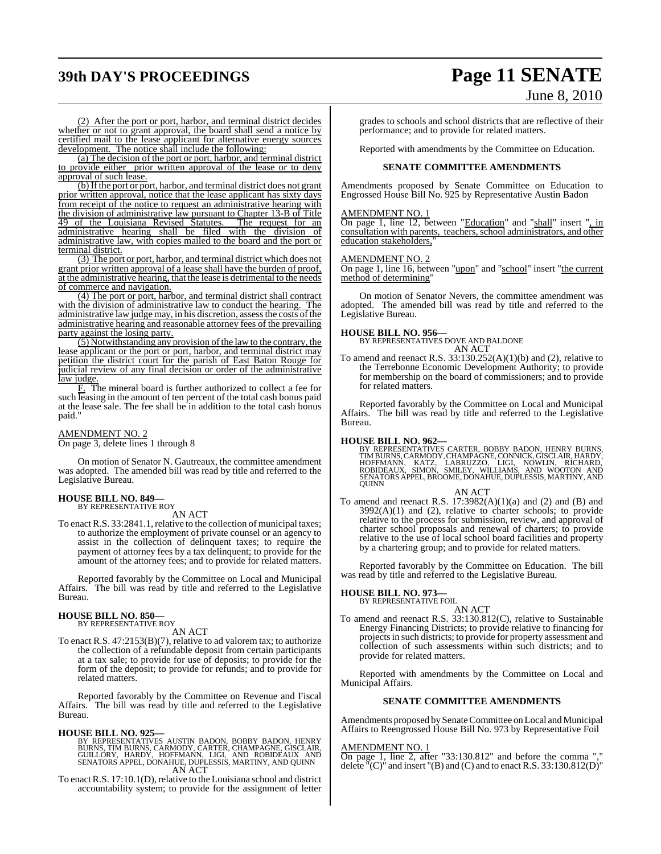## **39th DAY'S PROCEEDINGS Page 11 SENATE** June 8, 2010

(2) After the port or port, harbor, and terminal district decides whether or not to grant approval, the board shall send a notice by certified mail to the lease applicant for alternative energy sources development. The notice shall include the following:

(a) The decision of the port or port, harbor, and terminal district to provide either prior written approval of the lease or to deny approval of such lease.

(b) If the port or port, harbor, and terminal district does not grant prior written approval, notice that the lease applicant has sixty days from receipt of the notice to request an administrative hearing with the division of administrative law pursuant to Chapter 13-B of Title 49 of the Louisiana Revised Statutes. The request for an administrative hearing shall be filed with the division of administrative law, with copies mailed to the board and the port or terminal district.

(3) The port or port, harbor, and terminal district which does not grant prior written approval of a lease shall have the burden of proof, at the administrative hearing, that the lease is detrimental to the needs of commerce and navigation.

(4) The port or port, harbor, and terminal district shall contract with the division of administrative law to conduct the hearing. The administrative law judge may, in his discretion, assess the costs of the administrative hearing and reasonable attorney fees of the prevailing party against the losing party.

 $(5)$  Notwithstanding any provision of the law to the contrary, the lease applicant or the port or port, harbor, and terminal district may petition the district court for the parish of East Baton Rouge for judicial review of any final decision or order of the administrative law judge.

F. The mineral board is further authorized to collect a fee for such leasing in the amount of ten percent of the total cash bonus paid at the lease sale. The fee shall be in addition to the total cash bonus paid.

### AMENDMENT NO. 2

On page 3, delete lines 1 through 8

On motion of Senator N. Gautreaux, the committee amendment was adopted. The amended bill was read by title and referred to the Legislative Bureau.

#### **HOUSE BILL NO. 849—** BY REPRESENTATIVE ROY

AN ACT

To enact R.S. 33:2841.1, relative to the collection of municipal taxes; to authorize the employment of private counsel or an agency to assist in the collection of delinquent taxes; to require the payment of attorney fees by a tax delinquent; to provide for the amount of the attorney fees; and to provide for related matters.

Reported favorably by the Committee on Local and Municipal Affairs. The bill was read by title and referred to the Legislative Bureau.

### **HOUSE BILL NO. 850—** BY REPRESENTATIVE ROY

AN ACT

To enact R.S. 47:2153(B)(7), relative to ad valorem tax; to authorize the collection of a refundable deposit from certain participants at a tax sale; to provide for use of deposits; to provide for the form of the deposit; to provide for refunds; and to provide for related matters.

Reported favorably by the Committee on Revenue and Fiscal Affairs. The bill was read by title and referred to the Legislative Bureau.

**HOUSE BILL NO. 925—**<br>BY REPRESENTATIVES AUSTIN BADON, BOBBY BADON, HENRY<br>BURNS, TIM BURNS, CARMODY, CARTER, CHAMPAGNE, GISCLAIR,<br>GUILLORY, HARDY, HOFFMANN, LIGI, AND ROBIDEAUX AND<br>SENATORS APPEL, DONAHUE, DUPLESSIS, MARTI AN ACT

To enact R.S. 17:10.1(D), relative to the Louisiana school and district accountability system; to provide for the assignment of letter

grades to schools and school districts that are reflective of their performance; and to provide for related matters.

Reported with amendments by the Committee on Education.

#### **SENATE COMMITTEE AMENDMENTS**

Amendments proposed by Senate Committee on Education to Engrossed House Bill No. 925 by Representative Austin Badon

#### AMENDMENT NO. 1

On page 1, line 12, between "Education" and "shall" insert ", in consultation with parents, teachers, school administrators, and other education stakeholders,

#### AMENDMENT NO. 2

On page 1, line 16, between "upon" and "school" insert "the current method of determining"

On motion of Senator Nevers, the committee amendment was adopted. The amended bill was read by title and referred to the Legislative Bureau.

#### **HOUSE BILL NO. 956—**

BY REPRESENTATIVES DOVE AND BALDONE AN ACT

To amend and reenact R.S.  $33:130.252(A)(1)(b)$  and (2), relative to the Terrebonne Economic Development Authority; to provide for membership on the board of commissioners; and to provide for related matters.

Reported favorably by the Committee on Local and Municipal Affairs. The bill was read by title and referred to the Legislative Bureau.

#### **HOUSE BILL NO. 962—**

BY REPRESENTATIVES CARTER, BOBBY BADON, HENRY BURNS,<br>TIMBURNS,CARMODY,CHAMPAGNE,CONNICK,GISCLAIR,HARDY,<br>HOFFMANN, KATZ, LABRUZZO, LIGI, NOWLIN, RICHARD,<br>ROBIDEAUX, SIMON, SMILEY, WILLIAMS, AND WOOTON AND<br>SENATORS APPEL,BRO **QUINN** 

#### AN ACT

To amend and reenact R.S.  $17:3982(A)(1)(a)$  and  $(2)$  and  $(B)$  and  $3992(A)(1)$  and  $(2)$ , relative to charter schools; to provide relative to the process for submission, review, and approval of charter school proposals and renewal of charters; to provide relative to the use of local school board facilities and property by a chartering group; and to provide for related matters.

Reported favorably by the Committee on Education. The bill was read by title and referred to the Legislative Bureau.

### **HOUSE BILL NO. 973—** BY REPRESENTATIVE FOIL

AN ACT To amend and reenact R.S. 33:130.812(C), relative to Sustainable Energy Financing Districts; to provide relative to financing for projectsin such districts; to provide for property assessment and collection of such assessments within such districts; and to provide for related matters.

Reported with amendments by the Committee on Local and Municipal Affairs.

#### **SENATE COMMITTEE AMENDMENTS**

Amendments proposed by Senate Committee on Local and Municipal Affairs to Reengrossed House Bill No. 973 by Representative Foil

#### AMENDMENT NO. 1

On page 1, line 2, after "33:130.812" and before the comma "," delete  $\Gamma(C)$  and insert  $\Gamma(B)$  and (C) and to enact R.S. 33:130.812(D) $\Gamma$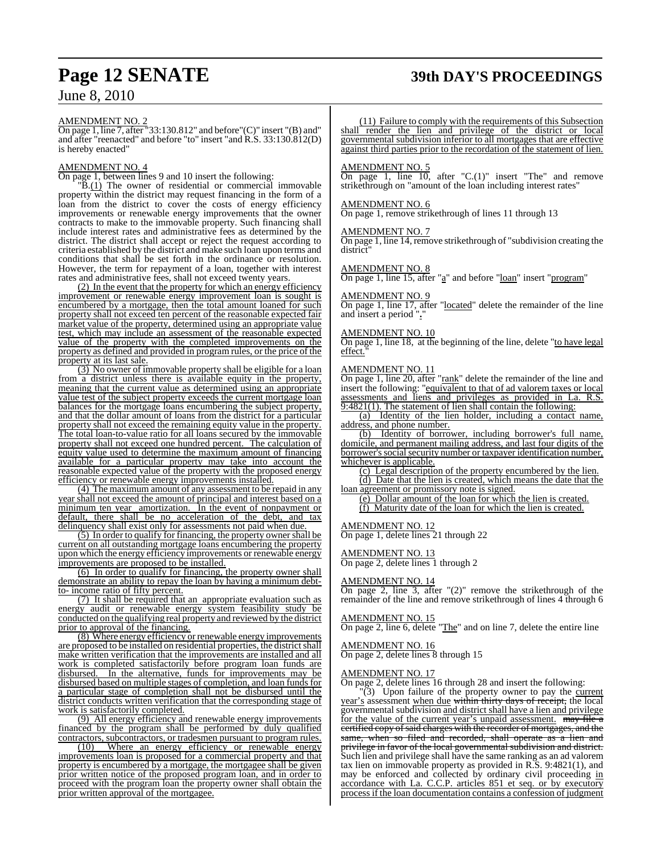## **Page 12 SENATE 39th DAY'S PROCEEDINGS**

### June 8, 2010

#### AMENDMENT NO. 2

On page 1, line 7, after "33:130.812" and before"(C)" insert "(B) and" and after "reenacted" and before "to" insert "and R.S. 33:130.812(D) is hereby enacted"

#### AMENDMENT NO. 4

On page 1, between lines 9 and 10 insert the following:

 $\overline{B(1)}$  The owner of residential or commercial immovable property within the district may request financing in the form of a loan from the district to cover the costs of energy efficiency improvements or renewable energy improvements that the owner contracts to make to the immovable property. Such financing shall include interest rates and administrative fees as determined by the district. The district shall accept or reject the request according to criteria established by the district and make such loan upon terms and conditions that shall be set forth in the ordinance or resolution. However, the term for repayment of a loan, together with interest rates and administrative fees, shall not exceed twenty years.

(2) In the event that the property for which an energy efficiency improvement or renewable energy improvement loan is sought is encumbered by a mortgage, then the total amount loaned for such property shall not exceed ten percent of the reasonable expected fair market value of the property, determined using an appropriate value test, which may include an assessment of the reasonable expected value of the property with the completed improvements on the property as defined and provided in program rules, or the price of the property at its last sale.

(3) No owner of immovable property shall be eligible for a loan from a district unless there is available equity in the property, meaning that the current value as determined using an appropriate value test of the subject property exceeds the current mortgage loan balances for the mortgage loans encumbering the subject property, and that the dollar amount of loans from the district for a particular property shall not exceed the remaining equity value in the property. The total loan-to-value ratio for all loans secured by the immovable property shall not exceed one hundred percent. The calculation of equity value used to determine the maximum amount of financing available for a particular property may take into account the reasonable expected value of the property with the proposed energy efficiency or renewable energy improvements installed.

(4) The maximum amount of any assessment to be repaid in any year shall not exceed the amount of principal and interest based on a minimum ten year amortization. In the event of nonpayment or default, there shall be no acceleration of the debt, and tax delinquency shall exist only for assessments not paid when due.

(5) In order to qualify for financing, the property owner shall be current on all outstanding mortgage loans encumbering the property upon which the energy efficiency improvements or renewable energy improvements are proposed to be installed.

(6) In order to qualify for financing, the property owner shall demonstrate an ability to repay the loan by having a minimum debtto- income ratio of fifty percent.

(7) It shall be required that an appropriate evaluation such as energy audit or renewable energy system feasibility study be conducted on the qualifying real property and reviewed by the district prior to approval of the financing.

(8) Where energy efficiency or renewable energy improvements are proposed to be installed on residential properties, the district shall make written verification that the improvements are installed and all work is completed satisfactorily before program loan funds are disbursed. In the alternative, funds for improvements may be disbursed based on multiple stages of completion, and loan funds for a particular stage of completion shall not be disbursed until the district conducts written verification that the corresponding stage of work is satisfactorily completed.

(9) All energy efficiency and renewable energy improvements financed by the program shall be performed by duly qualified contractors, subcontractors, or tradesmen pursuant to program rules.

(10) Where an energy efficiency or renewable energy improvements loan is proposed for a commercial property and that property is encumbered by a mortgage, the mortgagee shall be given prior written notice of the proposed program loan, and in order to proceed with the program loan the property owner shall obtain the prior written approval of the mortgagee.

(11) Failure to comply with the requirements of this Subsection shall render the lien and privilege of the district or local governmental subdivision inferior to all mortgages that are effective against third parties prior to the recordation of the statement of lien.

#### AMENDMENT NO. 5

On page 1, line  $10$ , after "C.(1)" insert "The" and remove strikethrough on "amount of the loan including interest rates"

#### AMENDMENT NO. 6

On page 1, remove strikethrough of lines 11 through 13

#### AMENDMENT NO. 7

On page 1, line 14, remove strikethrough of "subdivision creating the district"

#### AMENDMENT NO. 8

On page 1, line 15, after "a" and before "loan" insert "program"

#### AMENDMENT NO. 9

On page 1, line 17, after "located" delete the remainder of the line and insert a period "**.**"

#### AMENDMENT NO. 10

On page 1, line 18, at the beginning of the line, delete "to have legal effect."

#### AMENDMENT NO. 11

 $\frac{\Delta W_{12} + \Delta W_{23} + \Delta W_{33}}{\Delta n}$  after "rank" delete the remainder of the line and insert the following: "equivalent to that of ad valorem taxes or local assessments and liens and privileges as provided in La. R.S. 9:4821(1). The statement of lien shall contain the following:

(a) Identity of the lien holder, including a contact name, address, and phone number.

(b) Identity of borrower, including borrower's full name, domicile, and permanent mailing address, and last four digits of the borrower's social security number or taxpayer identification number, whichever is applicable.

(c) Legal description of the property encumbered by the lien. (d) Date that the lien is created, which means the date that the loan agreement or promissory note is signed.

(e) Dollar amount of the loan for which the lien is created. (f) Maturity date of the loan for which the lien is created.

#### AMENDMENT NO. 12

On page 1, delete lines 21 through 22

### AMENDMENT NO. 13

On page 2, delete lines 1 through 2

#### AMENDMENT NO. 14

On page 2, line 3, after "(2)" remove the strikethrough of the remainder of the line and remove strikethrough of lines 4 through 6

#### AMENDMENT NO. 15

On page 2, line 6, delete "The" and on line 7, delete the entire line

#### AMENDMENT NO. 16

On page 2, delete lines 8 through 15

#### AMENDMENT NO. 17

On page 2, delete lines 16 through 28 and insert the following:

 $\sqrt{3}$ ) Upon failure of the property owner to pay the current year's assessment when due within thirty days of receipt, the local governmental subdivision and district shall have a lien and privilege for the value of the current year's unpaid assessment. may file a certified copy of said charges with the recorder of mortgages, and the same, when so filed and recorded, shall operate as a lien and privilege in favor of the local governmental subdivision and district. Such lien and privilege shall have the same ranking as an ad valorem tax lien on immovable property as provided in R.S. 9:4821(1), and may be enforced and collected by ordinary civil proceeding in accordance with La. C.C.P. articles 851 et seq. or by executory process if the loan documentation contains a confession of judgment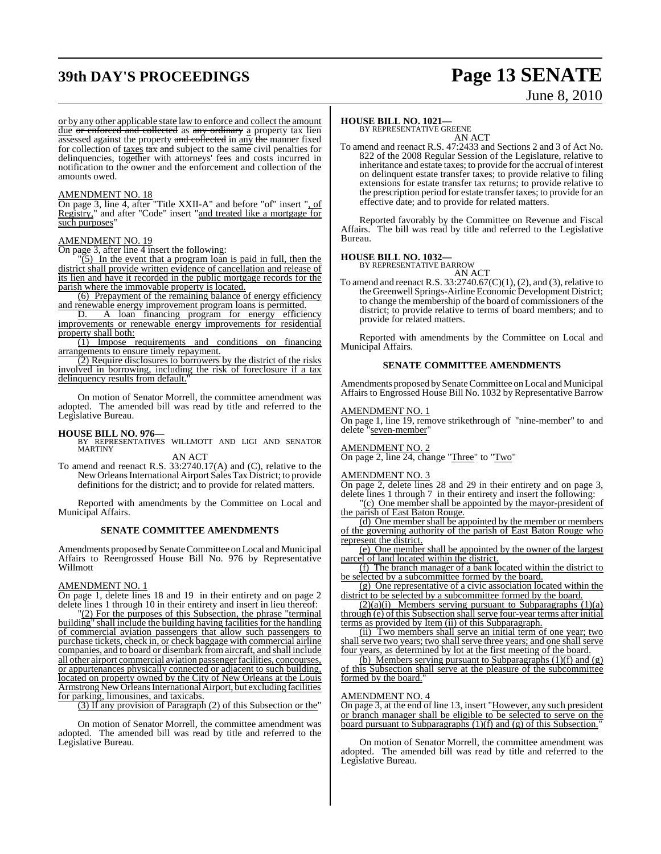## **39th DAY'S PROCEEDINGS Page 13 SENATE**

# June 8, 2010

or by any other applicable state law to enforce and collect the amount due or enforced and collected as any ordinary a property tax lien assessed against the property and collected in any the manner fixed for collection of taxes  $\tan x$  and subject to the same civil penalties for delinquencies, together with attorneys' fees and costs incurred in notification to the owner and the enforcement and collection of the amounts owed.

#### AMENDMENT NO. 18

On page 3, line 4, after "Title XXII-A" and before "of" insert ", of Registry," and after "Code" insert "and treated like a mortgage for such purposes'

#### AMENDMENT NO. 19

On page 3, after line 4 insert the following:

 $\sqrt{5}$ ) In the event that a program loan is paid in full, then the district shall provide written evidence of cancellation and release of its lien and have it recorded in the public mortgage records for the parish where the immovable property is located.

(6) Prepayment of the remaining balance of energy efficiency and renewable energy improvement program loans is permitted.

D. A loan financing program for energy efficiency improvements or renewable energy improvements for residential property shall both:

(1) Impose requirements and conditions on financing arrangements to ensure timely repayment.

(2) Require disclosures to borrowers by the district of the risks involved in borrowing, including the risk of foreclosure if a tax delinquency results from default."

On motion of Senator Morrell, the committee amendment was adopted. The amended bill was read by title and referred to the Legislative Bureau.

**HOUSE BILL NO. 976—** BY REPRESENTATIVES WILLMOTT AND LIGI AND SENATOR MARTINY

AN ACT

To amend and reenact R.S. 33:2740.17(A) and (C), relative to the New Orleans International Airport Sales Tax District; to provide definitions for the district; and to provide for related matters.

Reported with amendments by the Committee on Local and Municipal Affairs.

#### **SENATE COMMITTEE AMENDMENTS**

Amendments proposed by Senate Committee on Local and Municipal Affairs to Reengrossed House Bill No. 976 by Representative Willmott

#### AMENDMENT NO. 1

On page 1, delete lines 18 and 19 in their entirety and on page 2 delete lines 1 through 10 in their entirety and insert in lieu thereof:

"(2) For the purposes of this Subsection, the phrase "terminal building" shall include the building having facilities for the handling of commercial aviation passengers that allow such passengers to purchase tickets, check in, or check baggage with commercial airline companies, and to board or disembark fromaircraft, and shall include all other airport commercial aviation passengerfacilities, concourses, or appurtenances physically connected or adjacent to such building, located on property owned by the City of New Orleans at the Louis Armstrong New Orleans International Airport, but excluding facilities for parking, limousines, and taxicabs.

(3) If any provision of Paragraph (2) of this Subsection or the"

On motion of Senator Morrell, the committee amendment was adopted. The amended bill was read by title and referred to the Legislative Bureau.

#### **HOUSE BILL NO. 1021—**

BY REPRESENTATIVE GREENE AN ACT

To amend and reenact R.S. 47:2433 and Sections 2 and 3 of Act No. 822 of the 2008 Regular Session of the Legislature, relative to inheritance and estate taxes; to provide for the accrual of interest on delinquent estate transfer taxes; to provide relative to filing extensions for estate transfer tax returns; to provide relative to the prescription period for estate transfer taxes; to provide for an effective date; and to provide for related matters.

Reported favorably by the Committee on Revenue and Fiscal Affairs. The bill was read by title and referred to the Legislative Bureau.

#### **HOUSE BILL NO. 1032—**

BY REPRESENTATIVE BARROW AN ACT

To amend and reenact R.S.  $33:2740.67(C)(1)$ ,  $(2)$ , and  $(3)$ , relative to theGreenwell Springs-Airline Economic Development District; to change the membership of the board of commissioners of the district; to provide relative to terms of board members; and to provide for related matters.

Reported with amendments by the Committee on Local and Municipal Affairs.

#### **SENATE COMMITTEE AMENDMENTS**

Amendments proposed by Senate Committee on Local and Municipal Affairs to Engrossed House Bill No. 1032 by Representative Barrow

#### <u>AMENDMENT NO. 1</u>

On page 1, line 19, remove strikethrough of "nine-member" to and delete "seven-member"

#### AMENDMENT NO. 2

On page 2, line 24, change "Three" to "Two"

#### AMENDMENT NO. 3

On page 2, delete lines 28 and 29 in their entirety and on page 3, delete lines 1 through 7 in their entirety and insert the following:

"(c) One member shall be appointed by the mayor-president of the parish of East Baton Rouge.

(d) One member shall be appointed by the member or members of the governing authority of the parish of East Baton Rouge who represent the district.

(e) One member shall be appointed by the owner of the largest parcel of land located within the district.

(f) The branch manager of a bank located within the district to be selected by a subcommittee formed by the board.

(g) One representative of a civic association located within the district to be selected by a subcommittee formed by the board.

 $(2)(a)(i)$  Members serving pursuant to Subparagraphs  $(1)(a)$ through (e) of this Subsection shall serve four-year terms after initial terms as provided by Item (ii) of this Subparagraph.

(ii) Two members shall serve an initial term of one year; two shall serve two years; two shall serve three years; and one shall serve four years, as determined by lot at the first meeting of the board.

(b) Members serving pursuant to Subparagraphs  $(1)(f)$  and  $(g)$ of this Subsection shall serve at the pleasure of the subcommittee formed by the board.

#### AMENDMENT NO. 4

On page 3, at the end of line 13, insert "However, any such president or branch manager shall be eligible to be selected to serve on the board pursuant to Subparagraphs (1)(f) and (g) of this Subsection."

On motion of Senator Morrell, the committee amendment was adopted. The amended bill was read by title and referred to the Legislative Bureau.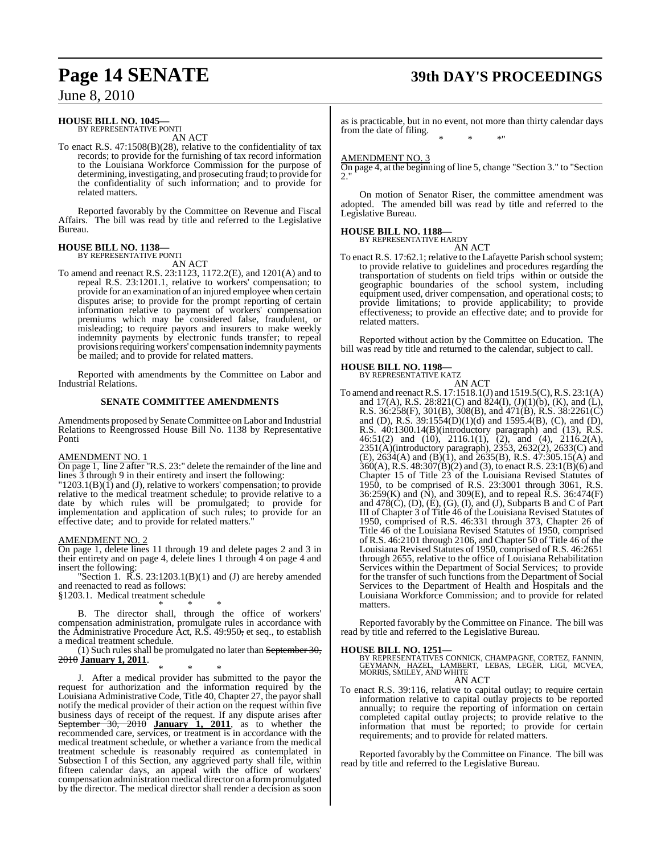## **Page 14 SENATE 39th DAY'S PROCEEDINGS**

June 8, 2010

#### **HOUSE BILL NO. 1045—**

BY REPRESENTATIVE PONTI AN ACT

To enact R.S. 47:1508(B)(28), relative to the confidentiality of tax records; to provide for the furnishing of tax record information to the Louisiana Workforce Commission for the purpose of determining, investigating, and prosecuting fraud; to provide for the confidentiality of such information; and to provide for related matters.

Reported favorably by the Committee on Revenue and Fiscal Affairs. The bill was read by title and referred to the Legislative Bureau.

#### **HOUSE BILL NO. 1138—** BY REPRESENTATIVE PONTI

AN ACT

To amend and reenact R.S. 23:1123, 1172.2(E), and 1201(A) and to repeal R.S. 23:1201.1, relative to workers' compensation; to provide for an examination of an injured employee when certain disputes arise; to provide for the prompt reporting of certain information relative to payment of workers' compensation premiums which may be considered false, fraudulent, or misleading; to require payors and insurers to make weekly indemnity payments by electronic funds transfer; to repeal provisions requiring workers' compensation indemnity payments be mailed; and to provide for related matters.

Reported with amendments by the Committee on Labor and Industrial Relations.

#### **SENATE COMMITTEE AMENDMENTS**

Amendments proposed by Senate Committee on Labor and Industrial Relations to Reengrossed House Bill No. 1138 by Representative Ponti

#### AMENDMENT NO. 1

On page 1, line 2 after "R.S. 23:" delete the remainder of the line and lines 3 through 9 in their entirety and insert the following:

 $"1203.1(B)(I)$  and (J), relative to workers' compensation; to provide relative to the medical treatment schedule; to provide relative to a date by which rules will be promulgated; to provide for implementation and application of such rules; to provide for an effective date; and to provide for related matters."

#### AMENDMENT NO. 2

On page 1, delete lines 11 through 19 and delete pages 2 and 3 in their entirety and on page 4, delete lines 1 through 4 on page 4 and insert the following:

"Section 1.  $\overline{R}$ .S. 23:1203.1(B)(1) and (J) are hereby amended and reenacted to read as follows:

§1203.1. Medical treatment schedule

\* \* \* B. The director shall, through the office of workers'

compensation administration, promulgate rules in accordance with the Administrative Procedure Act, R.S. 49:950, et seq., to establish a medical treatment schedule.

(1) Such rules shall be promulgated no later than September 30, 2010 **January 1, 2011**.

\* \* \* J. After a medical provider has submitted to the payor the request for authorization and the information required by the Louisiana Administrative Code, Title 40, Chapter 27, the payor shall notify the medical provider of their action on the request within five business days of receipt of the request. If any dispute arises after September 30, 2010 **January 1, 2011**, as to whether the recommended care, services, or treatment is in accordance with the medical treatment schedule, or whether a variance from the medical treatment schedule is reasonably required as contemplated in Subsection I of this Section, any aggrieved party shall file, within fifteen calendar days, an appeal with the office of workers' compensation administration medical director on a form promulgated by the director. The medical director shall render a decision as soon

as is practicable, but in no event, not more than thirty calendar days from the date of filing. \* \* \*"

#### AMENDMENT NO. 3

On page 4, at the beginning of line 5, change "Section 3." to "Section 2."

On motion of Senator Riser, the committee amendment was adopted. The amended bill was read by title and referred to the Legislative Bureau.

## **HOUSE BILL NO. 1188—** BY REPRESENTATIVE HARDY

AN ACT

To enact R.S. 17:62.1; relative to the Lafayette Parish school system; to provide relative to guidelines and procedures regarding the transportation of students on field trips within or outside the geographic boundaries of the school system, including equipment used, driver compensation, and operational costs; to provide limitations; to provide applicability; to provide effectiveness; to provide an effective date; and to provide for related matters.

Reported without action by the Committee on Education. The bill was read by title and returned to the calendar, subject to call.

#### **HOUSE BILL NO. 1198—**

BY REPRESENTATIVE KATZ

AN ACT To amend and reenactR.S. 17:1518.1(J) and 1519.5(C),R.S. 23:1(A) and 17(A), R.S. 28:821(C) and 824(I), (J)(1)(b), (K), and (L), R.S. 36:258(F), 301(B), 308(B), and 471(B), R.S. 38:2261(C) and (D), R.S. 39:1554(D)(1)(d) and 1595.4(B), (C), and (D), R.S. 40:1300.14(B)(introductory paragraph) and (13), R.S. 46:51(2) and (10), 2116.1(1), (2), and (4), 2116.2(A), 2351(A)(introductory paragraph), 2353, 2632(2), 2633(C) and (E),  $2634(A)$  and (B)(1), and  $2635(B)$ , R.S.  $47:305.15(A)$  and 360(A), R.S. 48:307(B)(2) and (3), to enact R.S. 23:1(B)(6) and Chapter 15 of Title 23 of the Louisiana Revised Statutes of 1950, to be comprised of R.S. 23:3001 through 3061, R.S. 36:259(K) and (N), and 309(E), and to repeal R.S. 36:474(F) and 478(C), (D), (E), (G), (I), and (J), Subparts B and C of Part III of Chapter 3 of Title 46 of the Louisiana Revised Statutes of 1950, comprised of R.S. 46:331 through 373, Chapter 26 of Title 46 of the Louisiana Revised Statutes of 1950, comprised of R.S. 46:2101 through 2106, and Chapter 50 of Title 46 of the Louisiana Revised Statutes of 1950, comprised of R.S. 46:2651 through 2655, relative to the office of Louisiana Rehabilitation Services within the Department of Social Services; to provide for the transfer of such functions from the Department of Social Services to the Department of Health and Hospitals and the Louisiana Workforce Commission; and to provide for related matters.

Reported favorably by the Committee on Finance. The bill was read by title and referred to the Legislative Bureau.

#### **HOUSE BILL NO. 1251—**

BY REPRESENTATIVES CONNICK, CHAMPAGNE, CORTEZ, FANNIN,<br>GEYMANN, HAZEL, LAMBERT, LEBAS, LEGER, LIGI, MCVEA,<br>MORRIS, SMILEY, AND WHITE

AN ACT

To enact R.S. 39:116, relative to capital outlay; to require certain information relative to capital outlay projects to be reported annually; to require the reporting of information on certain completed capital outlay projects; to provide relative to the information that must be reported; to provide for certain requirements; and to provide for related matters.

Reported favorably by the Committee on Finance. The bill was read by title and referred to the Legislative Bureau.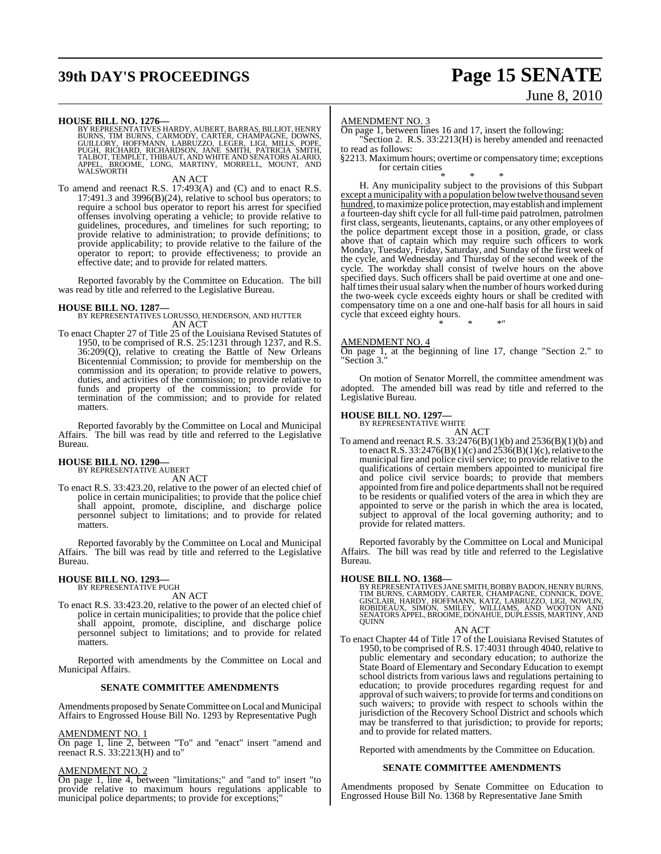## **39th DAY'S PROCEEDINGS Page 15 SENATE**

# June 8, 2010

**HOUSE BILL NO. 1276**<br>BY REPRESENTATIVES HARDY, AUBERT, BARRAS, BILLIOT, HENRY<br>BURNS, TIM BURNS, CARMODY, CARTER, CHAMPAGNE, DOWNS,<br>GUILLORY, HOFFMANN, LABRUZZO, LEGER, LIGI, MILLS, POPE,<br>PUGH, RICHARD, RICHARDSON, JANE SM APPEL, BROOME, LONG, MARTINY, MORRELL, MOUNT, AND WALSWORTH

AN ACT

To amend and reenact R.S. 17:493(A) and (C) and to enact R.S. 17:491.3 and 3996(B)(24), relative to school bus operators; to require a school bus operator to report his arrest for specified offenses involving operating a vehicle; to provide relative to guidelines, procedures, and timelines for such reporting; to provide relative to administration; to provide definitions; to provide applicability; to provide relative to the failure of the operator to report; to provide effectiveness; to provide an effective date; and to provide for related matters.

Reported favorably by the Committee on Education. The bill was read by title and referred to the Legislative Bureau.

**HOUSE BILL NO. 1287—** BY REPRESENTATIVES LORUSSO, HENDERSON, AND HUTTER AN ACT

To enact Chapter 27 of Title 25 of the Louisiana Revised Statutes of 1950, to be comprised of R.S. 25:1231 through 1237, and R.S. 36:209(Q), relative to creating the Battle of New Orleans Bicentennial Commission; to provide for membership on the commission and its operation; to provide relative to powers, duties, and activities of the commission; to provide relative to funds and property of the commission; to provide for termination of the commission; and to provide for related matters.

Reported favorably by the Committee on Local and Municipal Affairs. The bill was read by title and referred to the Legislative Bureau.

## **HOUSE BILL NO. 1290—** BY REPRESENTATIVE AUBERT

AN ACT

To enact R.S. 33:423.20, relative to the power of an elected chief of police in certain municipalities; to provide that the police chief shall appoint, promote, discipline, and discharge police personnel subject to limitations; and to provide for related matters.

Reported favorably by the Committee on Local and Municipal Affairs. The bill was read by title and referred to the Legislative Bureau.

## **HOUSE BILL NO. 1293—** BY REPRESENTATIVE PUGH

AN ACT

To enact R.S. 33:423.20, relative to the power of an elected chief of police in certain municipalities; to provide that the police chief shall appoint, promote, discipline, and discharge police personnel subject to limitations; and to provide for related matters.

Reported with amendments by the Committee on Local and Municipal Affairs.

#### **SENATE COMMITTEE AMENDMENTS**

Amendments proposed by Senate Committee on Local and Municipal Affairs to Engrossed House Bill No. 1293 by Representative Pugh

#### AMENDMENT NO. 1

On page 1, line 2, between "To" and "enact" insert "amend and reenact R.S. 33:2213(H) and to"

#### AMENDMENT NO. 2

On page 1, line 4, between "limitations;" and "and to" insert "to provide relative to maximum hours regulations applicable to municipal police departments; to provide for exceptions;

#### AMENDMENT NO. 3

On page 1, between lines 16 and 17, insert the following: "Section 2. R.S. 33:2213(H) is hereby amended and reenacted

to read as follows:

§2213. Maximum hours; overtime or compensatory time; exceptions for certain cities \* \* \*

H. Any municipality subject to the provisions of this Subpart except a municipality with a population below twelve thousand seven hundred, to maximize police protection, may establish and implement a fourteen-day shift cycle for all full-time paid patrolmen, patrolmen first class, sergeants, lieutenants, captains, or any other employees of the police department except those in a position, grade, or class above that of captain which may require such officers to work Monday, Tuesday, Friday, Saturday, and Sunday of the first week of the cycle, and Wednesday and Thursday of the second week of the cycle. The workday shall consist of twelve hours on the above specified days. Such officers shall be paid overtime at one and onehalf times their usual salary when the number of hours worked during the two-week cycle exceeds eighty hours or shall be credited with compensatory time on a one and one-half basis for all hours in said cycle that exceed eighty hours.

#### AMENDMENT NO. 4

On page 1, at the beginning of line 17, change "Section 2." to Section 3."

\* \* \*"

On motion of Senator Morrell, the committee amendment was adopted. The amended bill was read by title and referred to the Legislative Bureau.

#### **HOUSE BILL NO. 1297—**

BY REPRESENTATIVE WHITE

AN ACT To amend and reenact R.S. 33:2476(B)(1)(b) and 2536(B)(1)(b) and to enact R.S. 33:2476(B)(1)(c) and  $2536(B)(1)$ (c), relative to the municipal fire and police civil service; to provide relative to the qualifications of certain members appointed to municipal fire and police civil service boards; to provide that members appointed from fire and police departments shall not be required to be residents or qualified voters of the area in which they are appointed to serve or the parish in which the area is located, subject to approval of the local governing authority; and to provide for related matters.

Reported favorably by the Committee on Local and Municipal Affairs. The bill was read by title and referred to the Legislative Bureau.

**HOUSE BILL NO. 1368—**<br>BY REPRESENTATIVES JANE SMITH, BOBBY BADON, HENRY BURNS, TIM BURNS, CARMODY, CARTER, CHAMPAGNE, CONNICK, DOVE,<br>GISCLAIR, HARDY, HOFFMANN, KATZ, LABRUZZO, LIGI, NOWLIN,<br>ROBIDEAUX. SIMON, SMILEY, WILLI

#### AN ACT

To enact Chapter 44 of Title 17 of the Louisiana Revised Statutes of 1950, to be comprised of R.S. 17:4031 through 4040, relative to public elementary and secondary education; to authorize the State Board of Elementary and Secondary Education to exempt school districts from various laws and regulations pertaining to education; to provide procedures regarding request for and approval of such waivers; to provide for terms and conditions on such waivers; to provide with respect to schools within the jurisdiction of the Recovery School District and schools which may be transferred to that jurisdiction; to provide for reports; and to provide for related matters.

Reported with amendments by the Committee on Education.

#### **SENATE COMMITTEE AMENDMENTS**

Amendments proposed by Senate Committee on Education to Engrossed House Bill No. 1368 by Representative Jane Smith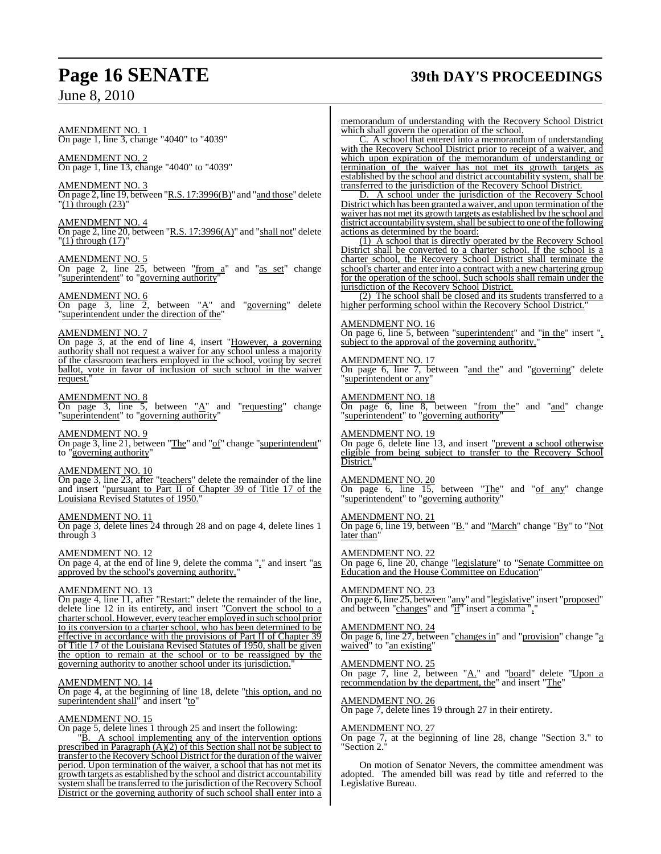## **Page 16 SENATE 39th DAY'S PROCEEDINGS**

AMENDMENT NO. 1 On page 1, line 3, change "4040" to "4039"

AMENDMENT NO. 2 On page 1, line 13, change "4040" to "4039"

AMENDMENT NO. 3 On page 2, line 19, between "R.S. 17:3996(B)" and "and those" delete  $(1)$  through  $(23)'$ 

AMENDMENT NO. 4 On page 2, line 20, between "R.S. 17:3996(A)" and "shall not" delete  $'(1)$  through  $(17)'$ 

AMENDMENT NO. 5 On page 2, line 25, between "from a" and "as set" change "superintendent" to "governing authority"

AMENDMENT NO. 6 On page 3, line 2, between  $A''$  and "governing" delete "superintendent under the direction of the"

#### AMENDMENT NO. 7

On page 3, at the end of line 4, insert "However, a governing authority shall not request a waiver for any school unless a majority of the classroom teachers employed in the school, voting by secret ballot, vote in favor of inclusion of such school in the waiver request."

#### AMENDMENT NO. 8

On page 3, line 5, between " $\underline{A}$ " and "requesting" change "superintendent" to "governing authority"

#### AMENDMENT NO. 9

On page 3, line 21, between "The" and "of" change "superintendent" to "governing authority"

#### AMENDMENT NO. 10

On page 3, line 23, after "teachers" delete the remainder of the line and insert "pursuant to Part II of Chapter 39 of Title 17 of the Louisiana Revised Statutes of 1950."

#### AMENDMENT NO. 11

On page 3, delete lines 24 through 28 and on page 4, delete lines 1 through 3

AMENDMENT NO. 12

On page 4, at the end of line 9, delete the comma "," and insert "as approved by the school's governing authority,"

#### AMENDMENT NO. 13

On page 4, line 11, after "Restart:" delete the remainder of the line, delete line 12 in its entirety, and insert "Convert the school to a charter school. However, every teacher employed in such school prior to its conversion to a charter school, who has been determined to be effective in accordance with the provisions of Part II of Chapter 39 of Title 17 of the Louisiana Revised Statutes of 1950, shall be given the option to remain at the school or to be reassigned by the governing authority to another school under its jurisdiction.

#### AMENDMENT NO. 14

On page 4, at the beginning of line 18, delete "this option, and no superintendent shall" and insert "to"

#### AMENDMENT NO. 15

On page 5, delete lines 1 through 25 and insert the following:

"B. A school implementing any of the intervention options prescribed in Paragraph (A)(2) of this Section shall not be subject to transfer to the Recovery School District for the duration of the waiver period. Upon termination of the waiver, a school that has not met its growth targets as established by the school and district accountability system shall be transferred to the jurisdiction of the Recovery School District or the governing authority of such school shall enter into a

memorandum of understanding with the Recovery School District which shall govern the operation of the school.

C. A school that entered into a memorandum of understanding with the Recovery School District prior to receipt of a waiver, and which upon expiration of the memorandum of understanding or termination of the waiver has not met its growth targets as established by the school and district accountability system, shall be transferred to the jurisdiction of the Recovery School District.

D. A school under the jurisdiction of the Recovery School District which has been granted a waiver, and upon termination of the waiver has not met its growth targets as established by the school and district accountability system, shall be subject to one of the following actions as determined by the board:

(1) A school that is directly operated by the Recovery School District shall be converted to a charter school. If the school is a charter school, the Recovery School District shall terminate the school's charter and enter into a contract with a new chartering group for the operation of the school. Such schools shall remain under the jurisdiction of the Recovery School District.

(2) The school shall be closed and its students transferred to a higher performing school within the Recovery School District."

#### AMENDMENT NO. 16

On page 6, line 5, between "superintendent" and "in the" insert ", subject to the approval of the governing authority,

#### AMENDMENT NO. 17

On page 6, line 7, between "and the" and "governing" delete superintendent or any'

#### AMENDMENT NO. 18

On page 6, line 8, between "from the" and "and" change "superintendent" to "governing authority"

#### AMENDMENT NO. 19

On page 6, delete line 13, and insert "prevent a school otherwise eligible from being subject to transfer to the Recovery School District.

#### AMENDMENT NO. 20

On page 6, line  $15$ , between "The" and " $of$  any" change "superintendent" to "governing authority"

#### AMENDMENT NO. 21

On page 6, line 19, between "B." and "March" change "By" to "Not later than'

#### AMENDMENT NO. 22

On page 6, line 20, change "legislature" to "Senate Committee on Education and the House Committee on Education"

#### AMENDMENT NO. 23

On page 6, line 25, between "any" and "legislative" insert "proposed" and between "changes" and "if" insert a comma ","

#### AMENDMENT NO. 24

On page 6, line 27, between "changes in" and "provision" change "a waived" to "an existing"

#### AMENDMENT NO. 25

On page 7, line 2, between "A." and "board" delete "Upon a recommendation by the department, the" and insert "The"

#### AMENDMENT NO. 26

On page 7, delete lines 19 through 27 in their entirety.

#### AMENDMENT NO. 27

On page 7, at the beginning of line 28, change "Section 3." to Section 2.

On motion of Senator Nevers, the committee amendment was adopted. The amended bill was read by title and referred to the Legislative Bureau.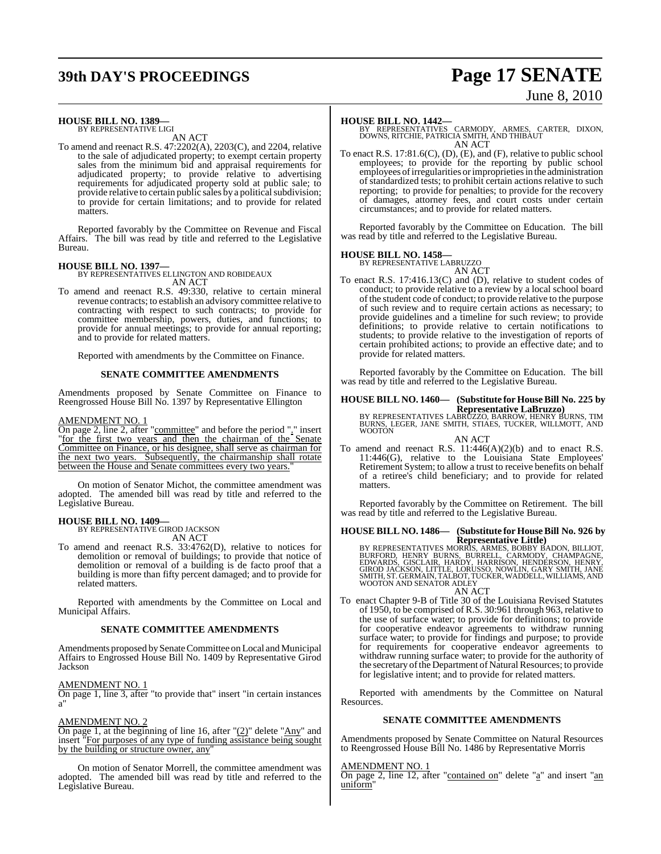## **39th DAY'S PROCEEDINGS Page 17 SENATE**

# June 8, 2010

### **HOUSE BILL NO. 1389—**

BY REPRESENTATIVE LIGI AN ACT

To amend and reenact R.S. 47:2202(A), 2203(C), and 2204, relative to the sale of adjudicated property; to exempt certain property sales from the minimum bid and appraisal requirements for adjudicated property; to provide relative to advertising requirements for adjudicated property sold at public sale; to provide relative to certain public sales by a political subdivision; to provide for certain limitations; and to provide for related matters.

Reported favorably by the Committee on Revenue and Fiscal Affairs. The bill was read by title and referred to the Legislative Bureau.

**HOUSE BILL NO. 1397—** BY REPRESENTATIVES ELLINGTON AND ROBIDEAUX AN ACT

To amend and reenact R.S. 49:330, relative to certain mineral revenue contracts; to establish an advisory committee relative to contracting with respect to such contracts; to provide for committee membership, powers, duties, and functions; to provide for annual meetings; to provide for annual reporting; and to provide for related matters.

Reported with amendments by the Committee on Finance.

#### **SENATE COMMITTEE AMENDMENTS**

Amendments proposed by Senate Committee on Finance to Reengrossed House Bill No. 1397 by Representative Ellington

#### AMENDMENT NO. 1

On page 2, line 2, after "committee" and before the period "." insert "for the first two years and then the chairman of the Senate Committee on Finance, or his designee, shall serve as chairman for the next two years. Subsequently, the chairmanship shall rotate between the House and Senate committees every two years.

On motion of Senator Michot, the committee amendment was adopted. The amended bill was read by title and referred to the Legislative Bureau.

#### **HOUSE BILL NO. 1409—**

BY REPRESENTATIVE GIROD JACKSON

- AN ACT
- To amend and reenact R.S. 33:4762(D), relative to notices for demolition or removal of buildings; to provide that notice of demolition or removal of a building is de facto proof that a building is more than fifty percent damaged; and to provide for related matters.

Reported with amendments by the Committee on Local and Municipal Affairs.

#### **SENATE COMMITTEE AMENDMENTS**

Amendments proposed by Senate Committee on Local and Municipal Affairs to Engrossed House Bill No. 1409 by Representative Girod Jackson

#### AMENDMENT NO. 1

On page 1, line 3, after "to provide that" insert "in certain instances a"

#### AMENDMENT NO. 2

On page 1, at the beginning of line 16, after "(2)" delete "Any" and insert "For purposes of any type of funding assistance being sought by the building or structure owner, any"

On motion of Senator Morrell, the committee amendment was adopted. The amended bill was read by title and referred to the Legislative Bureau.

#### **HOUSE BILL NO. 1442—**

BY REPRESENTATIVES CARMODY, ARMES, CARTER, DIXON, DOWNS, RITCHIE, PATRICIA SMITH, AND THIBAUT AN ACT

To enact R.S. 17:81.6(C), (D), (E), and (F), relative to public school employees; to provide for the reporting by public school employees ofirregularities orimproprieties in the administration of standardized tests; to prohibit certain actions relative to such reporting; to provide for penalties; to provide for the recovery of damages, attorney fees, and court costs under certain circumstances; and to provide for related matters.

Reported favorably by the Committee on Education. The bill was read by title and referred to the Legislative Bureau.

### **HOUSE BILL NO. 1458—** BY REPRESENTATIVE LABRUZZO

AN ACT To enact R.S. 17:416.13(C) and (D), relative to student codes of conduct; to provide relative to a review by a local school board of the student code of conduct; to provide relative to the purpose of such review and to require certain actions as necessary; to provide guidelines and a timeline for such review; to provide definitions; to provide relative to certain notifications to students; to provide relative to the investigation of reports of certain prohibited actions; to provide an effective date; and to provide for related matters.

Reported favorably by the Committee on Education. The bill was read by title and referred to the Legislative Bureau.

## **HOUSE BILL NO. 1460— (Substitute for HouseBill No. 225 by**

**Representative LaBruzzo)** BY REPRESENTATIVES LABRUZZO, BARROW, HENRY BURNS, TIM BURNS, LEGER, JANE SMITH, STIAES, TUCKER, WILLMOTT, AND WOOTON

AN ACT

To amend and reenact R.S.  $11:446(A)(2)(b)$  and to enact R.S. 11:446(G), relative to the Louisiana State Employees' Retirement System; to allow a trust to receive benefits on behalf of a retiree's child beneficiary; and to provide for related matters.

Reported favorably by the Committee on Retirement. The bill was read by title and referred to the Legislative Bureau.

#### **HOUSE BILL NO. 1486— (Substitute for HouseBill No. 926 by Representative Little)**

BY REPRESENTATIVES MORRIS, ARMES, BOBBY BADON, BILLIOT,<br>BURFORD, HENRY BURNS, BURRELL, CARMODY, CHAMPAGNE,<br>EDWARDS, GISCLAIR, HARDY, HARRISON, HENDERSON, HENRY,<br>GIROD JACKSON, LITTLE, LORUSSO, NOWLIN, GARY SMITH, JANE<br>SMIT

- AN ACT
- To enact Chapter 9-B of Title 30 of the Louisiana Revised Statutes of 1950, to be comprised of R.S. 30:961 through 963, relative to the use of surface water; to provide for definitions; to provide for cooperative endeavor agreements to withdraw running surface water; to provide for findings and purpose; to provide for requirements for cooperative endeavor agreements to withdraw running surface water; to provide for the authority of the secretary of the Department of Natural Resources; to provide for legislative intent; and to provide for related matters.

Reported with amendments by the Committee on Natural Resources.

#### **SENATE COMMITTEE AMENDMENTS**

Amendments proposed by Senate Committee on Natural Resources to Reengrossed House Bill No. 1486 by Representative Morris

#### AMENDMENT NO. 1

On page 2, line 12, after "contained on" delete "a" and insert "an uniform"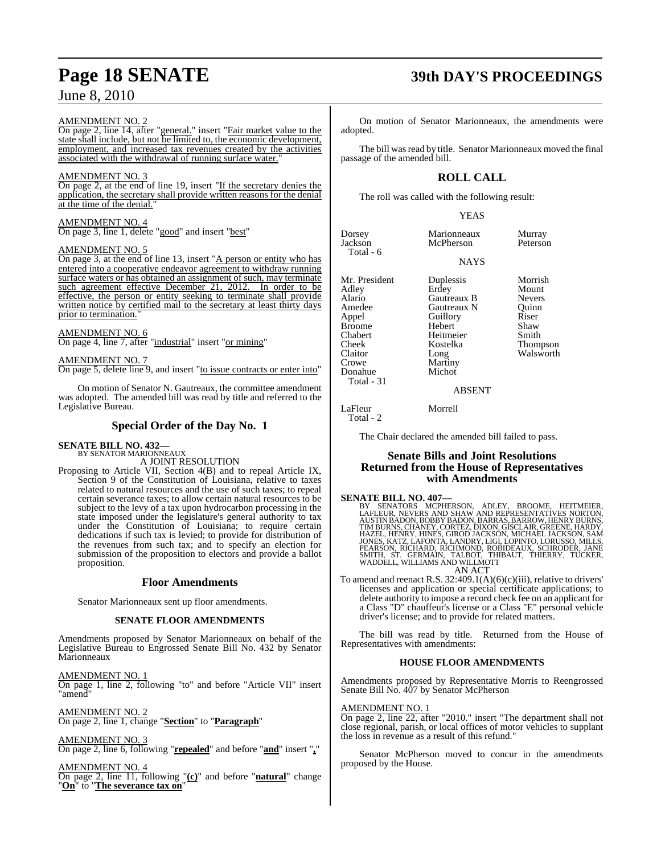#### AMENDMENT NO. 2

On page 2, line 14, after "general." insert "Fair market value to the state shall include, but not be limited to, the economic development, employment, and increased tax revenues created by the activities associated with the withdrawal of running surface water."

#### AMENDMENT NO. 3

On page 2, at the end of line 19, insert "If the secretary denies the application, the secretary shall provide written reasons for the denial at the time of the denial."

#### AMENDMENT NO. 4

On page 3, line 1, delete "good" and insert "best"

#### AMENDMENT NO. 5

On page 3, at the end of line 13, insert "A person or entity who has entered into a cooperative endeavor agreement to withdraw running surface waters or has obtained an assignment of such, may terminate such agreement effective December 21, 2012. In order to be effective, the person or entity seeking to terminate shall provide written notice by certified mail to the secretary at least thirty days prior to termination.

#### AMENDMENT NO. 6

On page 4, line 7, after "industrial" insert "or mining"

#### AMENDMENT NO. 7

On page 5, delete line 9, and insert "to issue contracts or enter into"

On motion of Senator N. Gautreaux, the committee amendment was adopted. The amended bill was read by title and referred to the Legislative Bureau.

#### **Special Order of the Day No. 1**

## **SENATE BILL NO. 432—** BY SENATOR MARIONNEAUX

A JOINT RESOLUTION

Proposing to Article VII, Section 4(B) and to repeal Article IX, Section 9 of the Constitution of Louisiana, relative to taxes related to natural resources and the use of such taxes; to repeal certain severance taxes; to allow certain natural resources to be subject to the levy of a tax upon hydrocarbon processing in the state imposed under the legislature's general authority to tax under the Constitution of Louisiana; to require certain dedications if such tax is levied; to provide for distribution of the revenues from such tax; and to specify an election for submission of the proposition to electors and provide a ballot proposition.

#### **Floor Amendments**

Senator Marionneaux sent up floor amendments.

#### **SENATE FLOOR AMENDMENTS**

Amendments proposed by Senator Marionneaux on behalf of the Legislative Bureau to Engrossed Senate Bill No. 432 by Senator Marionneaux

AMENDMENT NO. 1

On page 1, line 2, following "to" and before "Article VII" insert 'amend

AMENDMENT NO. 2 On page 2, line 1, change "**Section**" to "**Paragraph**"

AMENDMENT NO. 3 On page 2, line 6, following "**repealed**" and before "**and**" insert "**,**"

AMENDMENT NO. 4

On page 2, line 11, following "**(c)**" and before "**natural**" change "**On**" to "**The severance tax on**"

## **Page 18 SENATE 39th DAY'S PROCEEDINGS**

On motion of Senator Marionneaux, the amendments were adopted.

The bill was read by title. Senator Marionneaux moved the final passage of the amended bill.

### **ROLL CALL**

The roll was called with the following result:

YEAS

NAYS

| Dorsey    | Marionneaux | Murray   |
|-----------|-------------|----------|
| Jackson   | McPherson   | Peterson |
| Total - 6 |             |          |

Amedee Gautreaux N Quinn<br>
Appel Guillory Riser **Guillory** Chabert Heitmeier<br>
Cheek Kostelka

Mr. President Duplessis Morrish<br>
Adley Erdey Mount Adley Erdey Mount Alario Gautreaux B Nevers Broome Hebert Shaw<br>
Shaw Heitmeier Smith Cheek Kostelka Thompson Claitor Long Walsworth<br>Crowe Martiny Walsworth

#### ABSENT

LaFleur Morrell

Martiny<br>Michot

Total - 2

Donahue Total - 31

The Chair declared the amended bill failed to pass.

### **Senate Bills and Joint Resolutions Returned from the House of Representatives with Amendments**

#### **SENATE BILL NO. 407—**

BY SENATORS MCPHERSON, ADLEY, BROOME, HEITMEIER,<br>LAFLEUR, NEVERS AND SHAW AND REPRESENTATIVES NORTON,<br>AUSTINBADON,BOBBYBADON,BARRAS,BARROW,HENRYBURON,<br>TIMBURNS,CHANEY,CORTEZ,DIXON,GISCLAIR,GREENE,HARDY,<br>HAZEL,HENRY,HINES,G

AN ACT To amend and reenact R.S. 32:409.1(A)(6)(c)(iii), relative to drivers' licenses and application or special certificate applications; to delete authority to impose a record check fee on an applicant for a Class "D" chauffeur's license or a Class "E" personal vehicle driver's license; and to provide for related matters.

The bill was read by title. Returned from the House of Representatives with amendments:

#### **HOUSE FLOOR AMENDMENTS**

Amendments proposed by Representative Morris to Reengrossed Senate Bill No. 407 by Senator McPherson

#### AMENDMENT NO. 1

On page 2, line 22, after "2010." insert "The department shall not close regional, parish, or local offices of motor vehicles to supplant the loss in revenue as a result of this refund."

Senator McPherson moved to concur in the amendments proposed by the House.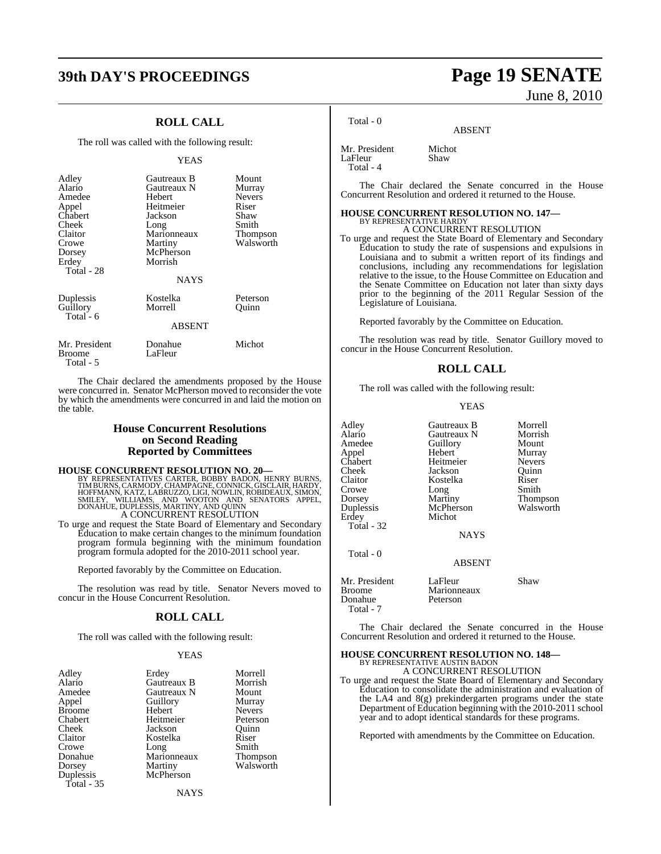## **39th DAY'S PROCEEDINGS Page 19 SENATE**

### **ROLL CALL**

The roll was called with the following result:

#### YEAS

| Adley<br>Alario<br>Amedee<br>Appel<br>Chabert<br>Cheek<br>Claitor<br>Crowe<br>Dorsey<br>Erdey<br>Total - 28 | Gautreaux B<br>Gautreaux N<br>Hebert<br>Heitmeier<br>Jackson<br>Long<br>Marionneaux<br>Martiny<br>McPherson<br>Morrish<br><b>NAYS</b> | Mount<br>Murray<br><b>Nevers</b><br>Riser<br>Shaw<br>Smith<br>Thompson<br>Walsworth |
|-------------------------------------------------------------------------------------------------------------|---------------------------------------------------------------------------------------------------------------------------------------|-------------------------------------------------------------------------------------|
| Duplessis<br>Guillory<br>Total - 6                                                                          | Kostelka<br>Morrell<br><b>ABSENT</b>                                                                                                  | Peterson<br>Ouinn                                                                   |
| Mr. President<br>Broome                                                                                     | Donahue<br>LaFleur                                                                                                                    | Michot                                                                              |

The Chair declared the amendments proposed by the House were concurred in. Senator McPherson moved to reconsider the vote by which the amendments were concurred in and laid the motion on the table.

#### **House Concurrent Resolutions on Second Reading Reported by Committees**

#### **HOUSE CONCURRENT RESOLUTION NO. 20—**

Total - 5

BY REPRESENTATIVES CARTER, BOBBY BADON, HENRY BURNS,<br>TIMBURNS,CARMODY,CHAMPAGNE,CONNICK,GISCLAIR,HARDY,<br>HOFFMANN,KATZ,LABRUZZO,LIGI,NOWLIN,ROBIDEAUX,SIMON,<br>SMILEY, WILLIAMS, AND WOOTON AND SENATORS APPEL,<br>DONAHUE,DUPLESSIS A CONCURRENT RESOLUTION

To urge and request the State Board of Elementary and Secondary Education to make certain changes to the minimum foundation program formula beginning with the minimum foundation program formula adopted for the 2010-2011 school year.

Reported favorably by the Committee on Education.

The resolution was read by title. Senator Nevers moved to concur in the House Concurrent Resolution.

#### **ROLL CALL**

The roll was called with the following result:

#### YEAS

| Adley         | Erdey       | Morrell         |
|---------------|-------------|-----------------|
| Alario        | Gautreaux B | Morrish         |
| Amedee        | Gautreaux N | Mount           |
| Appel         | Guillory    | Murray          |
| <b>Broome</b> | Hebert      | <b>Nevers</b>   |
| Chabert       | Heitmeier   | Peterson        |
| Cheek         | Jackson     | Ouinn           |
| Claitor       | Kostelka    | Riser           |
| Crowe         | Long        | Smith           |
| Donahue       | Marionneaux | <b>Thompson</b> |
| Dorsey        | Martiny     | Walsworth       |
| Duplessis     | McPherson   |                 |
| Total - 35    |             |                 |
|               | NAYS        |                 |

June 8, 2010

Total - 0

ABSENT

Mr. President Michot<br>LaFleur Shaw LaFleur Total - 4

The Chair declared the Senate concurred in the House Concurrent Resolution and ordered it returned to the House.

### **HOUSE CONCURRENT RESOLUTION NO. 147—** BY REPRESENTATIVE HARDY A CONCURRENT RESOLUTION

To urge and request the State Board of Elementary and Secondary Education to study the rate of suspensions and expulsions in Louisiana and to submit a written report of its findings and conclusions, including any recommendations for legislation relative to the issue, to the House Committee on Education and the Senate Committee on Education not later than sixty days prior to the beginning of the 2011 Regular Session of the Legislature of Louisiana.

Reported favorably by the Committee on Education.

The resolution was read by title. Senator Guillory moved to concur in the House Concurrent Resolution.

#### **ROLL CALL**

The roll was called with the following result:

#### YEAS

Adley Gautreaux B Morrell<br>Alario Gautreaux N Morrish Alario Gautreaux N Morrish Amedee Guillory Mount<br>Appel Hebert Murray Appel Hebert Murray Chabert Heitmeier Nevers<br>
Cheek Jackson Quinn Cheek Jackson Quinn Crowe Long<br>
Dorsey Martiny Dorsey Martiny Thompson<br>
Duplessis McPherson Walsworth Duplessis McPherson<br>Erdey Michot Total - 32

Total - 0

Kostelka Riser<br>Long Smith

**NAYS** 

Mr. President LaFleur Shaw<br>Broome Marionneaux Shaw Marionneaux<br>Peterson Donahue Total - 7

Michot

The Chair declared the Senate concurred in the House Concurrent Resolution and ordered it returned to the House.

ABSENT

#### **HOUSE CONCURRENT RESOLUTION NO. 148—** BY REPRESENTATIVE AUSTIN BADON A CONCURRENT RESOLUTION

To urge and request the State Board of Elementary and Secondary Education to consolidate the administration and evaluation of the LA4 and 8(g) prekindergarten programs under the state Department of Education beginning with the 2010-2011 school year and to adopt identical standards for these programs.

Reported with amendments by the Committee on Education.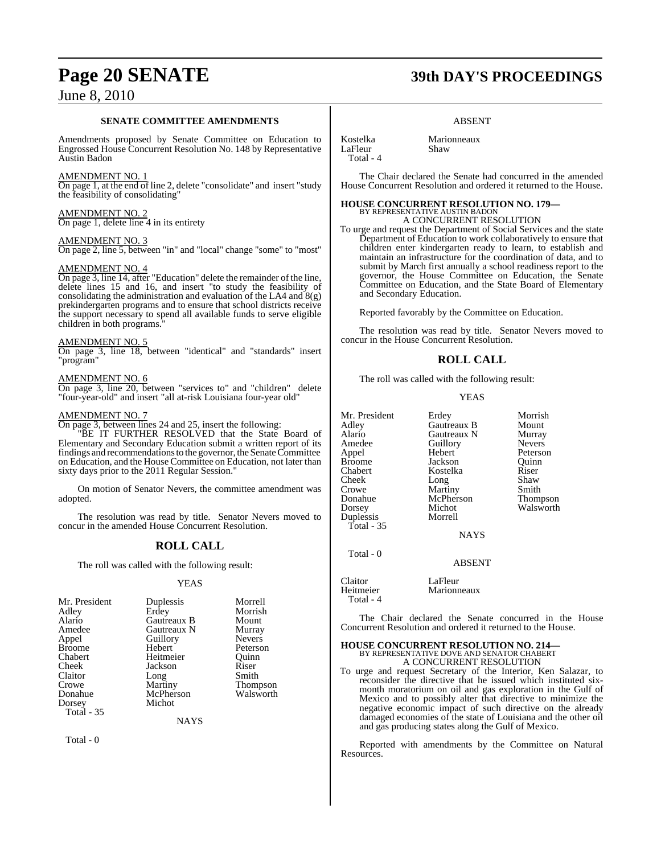#### **SENATE COMMITTEE AMENDMENTS**

Amendments proposed by Senate Committee on Education to Engrossed House Concurrent Resolution No. 148 by Representative Austin Badon

#### AMENDMENT NO. 1

On page 1, at the end of line 2, delete "consolidate" and insert "study the feasibility of consolidating"

#### AMENDMENT NO. 2 On page 1, delete line 4 in its entirety

AMENDMENT NO. 3

On page 2, line 5, between "in" and "local" change "some" to "most"

#### AMENDMENT NO. 4

On page 3, line 14, after "Education" delete the remainder of the line, delete lines 15 and 16, and insert "to study the feasibility of consolidating the administration and evaluation of the LA4 and  $8(g)$ prekindergarten programs and to ensure that school districts receive the support necessary to spend all available funds to serve eligible children in both programs.

#### AMENDMENT NO. 5

On page 3, line 18, between "identical" and "standards" insert "program"

#### AMENDMENT NO. 6

On page 3, line 20, between "services to" and "children" delete "four-year-old" and insert "all at-risk Louisiana four-year old"

#### AMENDMENT NO. 7

On page 3, between lines 24 and 25, insert the following:

"BE IT FURTHER RESOLVED that the State Board of Elementary and Secondary Education submit a written report of its findings and recommendations to the governor, the Senate Committee on Education, and the House Committee on Education, not later than sixty days prior to the 2011 Regular Session."

On motion of Senator Nevers, the committee amendment was adopted.

The resolution was read by title. Senator Nevers moved to concur in the amended House Concurrent Resolution.

### **ROLL CALL**

The roll was called with the following result:

#### YEAS

| Mr. President | Duplessis   | Morrell         |
|---------------|-------------|-----------------|
| Adley         | Erdey       | Morrish         |
| Alario        | Gautreaux B | Mount           |
| Amedee        | Gautreaux N | Murray          |
| Appel         | Guillory    | <b>Nevers</b>   |
| <b>Broome</b> | Hebert      | Peterson        |
| Chabert       | Heitmeier   | Ouinn           |
| Cheek         | Jackson     | Riser           |
| Claitor       | Long        | Smith           |
| Crowe         | Martiny     | <b>Thompson</b> |
| Donahue       | McPherson   | Walsworth       |
| Dorsey        | Michot      |                 |
| Total - 35    |             |                 |
|               | NAYS        |                 |

Total - 0

## **Page 20 SENATE 39th DAY'S PROCEEDINGS**

#### ABSENT

Kostelka Marionneaux<br>LaFleur Shaw LaFleur Total - 4

The Chair declared the Senate had concurred in the amended

House Concurrent Resolution and ordered it returned to the House.

### **HOUSE CONCURRENT RESOLUTION NO. 179—** BY REPRESENTATIVE AUSTIN BADON A CONCURRENT RESOLUTION

To urge and request the Department of Social Services and the state Department of Education to work collaboratively to ensure that children enter kindergarten ready to learn, to establish and maintain an infrastructure for the coordination of data, and to submit by March first annually a school readiness report to the governor, the House Committee on Education, the Senate Committee on Education, and the State Board of Elementary and Secondary Education.

Reported favorably by the Committee on Education.

The resolution was read by title. Senator Nevers moved to concur in the House Concurrent Resolution.

### **ROLL CALL**

The roll was called with the following result:

#### YEAS

Mr. President Erdey Morrish<br>Adlev Gautreaux B Mount Adley Gautreaux B Mount Alario Gautreaux N Murray Amedee Guillory<br>Appel Hebert Appel Hebert Peterson Broome Jackson<br>Chabert Kostelka Cheek Long Shaw<br>Crowe Martiny Smith Crowe Martiny<br>
Donahue McPherson Dorsey Michot Walsworth<br>
Duplessis Morrell Duplessis

Total - 35

Kostelka Riser<br>Long Shaw McPherson Thompson<br>Michot Walsworth

Total - 0

Claitor LaFleur<br>
Heitmeier Marionr Total - 4

The Chair declared the Senate concurred in the House Concurrent Resolution and ordered it returned to the House.

NAYS

ABSENT

## **HOUSE CONCURRENT RESOLUTION NO. 214—**<br>BY REPRESENTATIVE DOVE AND SENATOR CHABERT A CONCURRENT RESOLUTION

Marionneaux

To urge and request Secretary of the Interior, Ken Salazar, to reconsider the directive that he issued which instituted sixmonth moratorium on oil and gas exploration in the Gulf of Mexico and to possibly alter that directive to minimize the negative economic impact of such directive on the already damaged economies of the state of Louisiana and the other oil and gas producing states along the Gulf of Mexico.

Reported with amendments by the Committee on Natural Resources.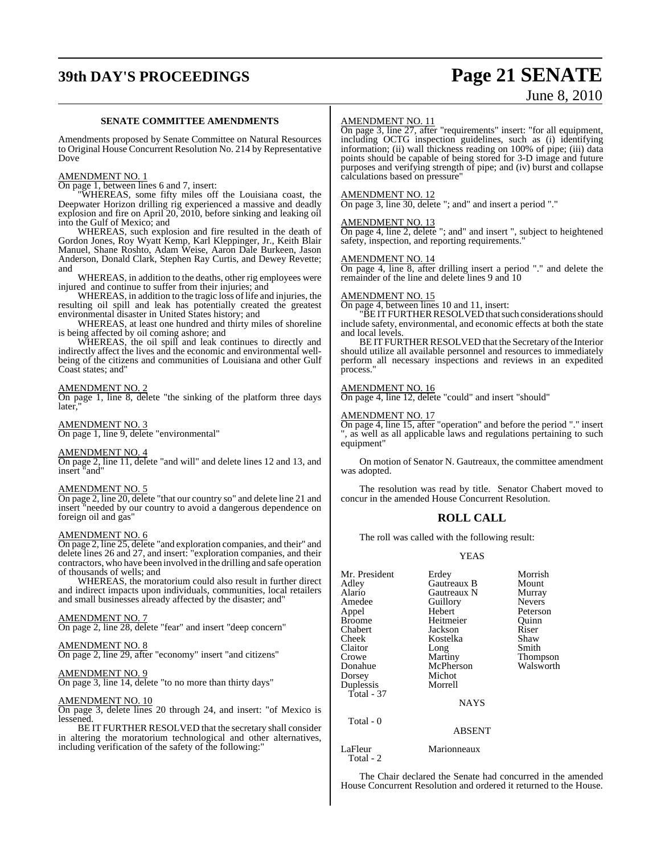## **39th DAY'S PROCEEDINGS Page 21 SENATE** June 8, 2010

#### **SENATE COMMITTEE AMENDMENTS**

Amendments proposed by Senate Committee on Natural Resources to Original House Concurrent Resolution No. 214 by Representative Dove

#### AMENDMENT NO. 1

On page 1, between lines 6 and 7, insert:

"WHEREAS, some fifty miles off the Louisiana coast, the Deepwater Horizon drilling rig experienced a massive and deadly explosion and fire on April 20, 2010, before sinking and leaking oil into the Gulf of Mexico; and

WHEREAS, such explosion and fire resulted in the death of Gordon Jones, Roy Wyatt Kemp, Karl Kleppinger, Jr., Keith Blair Manuel, Shane Roshto, Adam Weise, Aaron Dale Burkeen, Jason Anderson, Donald Clark, Stephen Ray Curtis, and Dewey Revette; and

WHEREAS, in addition to the deaths, other rig employees were injured and continue to suffer from their injuries; and

WHEREAS, in addition to the tragic loss of life and injuries, the resulting oil spill and leak has potentially created the greatest environmental disaster in United States history; and

WHEREAS, at least one hundred and thirty miles of shoreline is being affected by oil coming ashore; and

WHEREAS, the oil spill and leak continues to directly and indirectly affect the lives and the economic and environmental wellbeing of the citizens and communities of Louisiana and other Gulf Coast states; and"

#### AMENDMENT NO. 2

On page 1, line 8, delete "the sinking of the platform three days later.

AMENDMENT NO. 3 On page 1, line 9, delete "environmental"

#### AMENDMENT NO. 4

On page 2, line 11, delete "and will" and delete lines 12 and 13, and insert "and"

#### AMENDMENT NO. 5

On page 2, line 20, delete "that our country so" and delete line 21 and insert "needed by our country to avoid a dangerous dependence on foreign oil and gas"

#### AMENDMENT NO. 6

On page 2, line 25, delete "and exploration companies, and their" and delete lines 26 and 27, and insert: "exploration companies, and their contractors, who have been involved in the drilling and safe operation of thousands of wells; and

WHEREAS, the moratorium could also result in further direct and indirect impacts upon individuals, communities, local retailers and small businesses already affected by the disaster; and"

#### AMENDMENT NO. 7

On page 2, line 28, delete "fear" and insert "deep concern"

#### AMENDMENT NO. 8

On page 2, line 29, after "economy" insert "and citizens"

#### <u>AMENDMENT NO. 9</u>

On page 3, line 14, delete "to no more than thirty days"

#### AMENDMENT NO. 10

On page 3, delete lines 20 through 24, and insert: "of Mexico is lessened.

BE IT FURTHER RESOLVED that the secretary shall consider in altering the moratorium technological and other alternatives, including verification of the safety of the following:"

#### AMENDMENT NO. 11

On page 3, line 27, after "requirements" insert: "for all equipment, including OCTG inspection guidelines, such as (i) identifying information; (ii) wall thickness reading on 100% of pipe; (iii) data points should be capable of being stored for 3-D image and future purposes and verifying strength of pipe; and (iv) burst and collapse calculations based on pressure"

#### AMENDMENT NO. 12

On page 3, line 30, delete "; and" and insert a period "."

#### AMENDMENT NO. 13

On page 4, line 2, delete "; and" and insert ", subject to heightened safety, inspection, and reporting requirements."

#### AMENDMENT NO. 14

On page 4, line 8, after drilling insert a period "." and delete the remainder of the line and delete lines 9 and 10

#### AMENDMENT NO. 15

On page 4, between lines 10 and 11, insert:

"BEITFURTHERRESOLVED that such considerations should include safety, environmental, and economic effects at both the state and local levels.

BE IT FURTHER RESOLVED that the Secretary of the Interior should utilize all available personnel and resources to immediately perform all necessary inspections and reviews in an expedited process."

#### AMENDMENT NO. 16

On page 4, line 12, delete "could" and insert "should"

#### AMENDMENT NO. 17

On page 4, line 15, after "operation" and before the period "." insert ", as well as all applicable laws and regulations pertaining to such equipment"

On motion of Senator N. Gautreaux, the committee amendment was adopted.

The resolution was read by title. Senator Chabert moved to concur in the amended House Concurrent Resolution.

#### **ROLL CALL**

The roll was called with the following result:

#### YEAS

| Mr. President<br>Adley<br>Alario<br>Amedee<br>Appel<br><b>Broome</b><br>Chabert | Erdey<br>Gautreaux B<br>Gautreaux N<br>Guillory<br>Hebert<br>Heitmeier<br>Jackson | Morrish<br>Mount<br>Murray<br><b>Nevers</b><br>Peterson<br>Ouinn<br>Riser |
|---------------------------------------------------------------------------------|-----------------------------------------------------------------------------------|---------------------------------------------------------------------------|
|                                                                                 |                                                                                   |                                                                           |
|                                                                                 |                                                                                   |                                                                           |
|                                                                                 |                                                                                   |                                                                           |
| Cheek                                                                           | Kostelka                                                                          | Shaw                                                                      |
| Claitor                                                                         | Long                                                                              | Smith                                                                     |
| Crowe                                                                           | Martiny                                                                           | Thompson                                                                  |
| Donahue                                                                         | McPherson                                                                         | Walsworth                                                                 |
| Dorsey                                                                          | Michot                                                                            |                                                                           |
| Duplessis                                                                       | Morrell                                                                           |                                                                           |
| Total - $37$                                                                    |                                                                                   |                                                                           |
|                                                                                 | <b>NAYS</b>                                                                       |                                                                           |
| Total - 0                                                                       |                                                                                   |                                                                           |
|                                                                                 | ABSENT                                                                            |                                                                           |

LaFleur Marionneaux Total - 2

The Chair declared the Senate had concurred in the amended House Concurrent Resolution and ordered it returned to the House.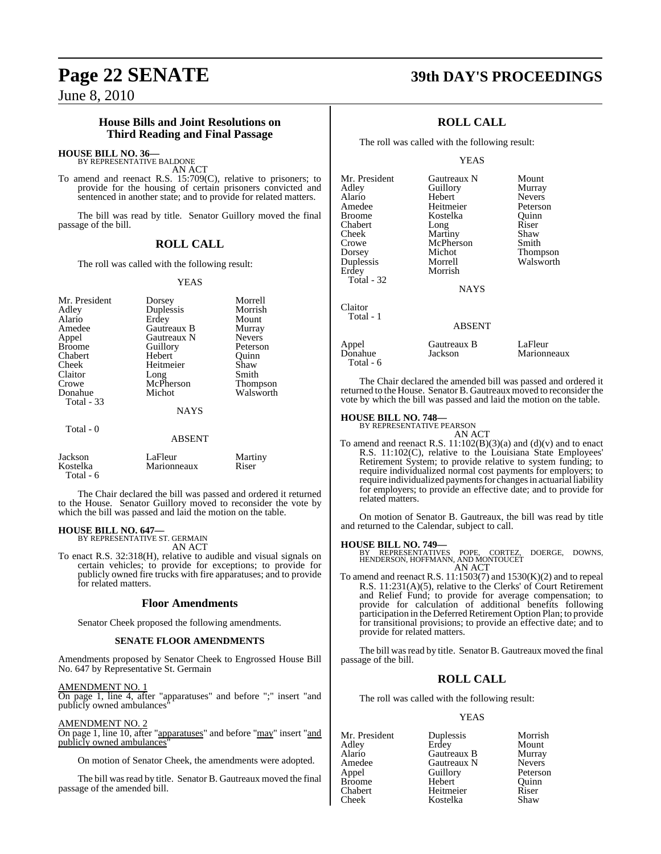#### **House Bills and Joint Resolutions on Third Reading and Final Passage**

### **HOUSE BILL NO. 36—** BY REPRESENTATIVE BALDONE

AN ACT

To amend and reenact R.S. 15:709(C), relative to prisoners; to provide for the housing of certain prisoners convicted and sentenced in another state; and to provide for related matters.

The bill was read by title. Senator Guillory moved the final passage of the bill.

#### **ROLL CALL**

The roll was called with the following result:

#### YEAS

| Mr. President                      | Dorsey                                 | Morrell       |
|------------------------------------|----------------------------------------|---------------|
| Adley                              | Duplessis                              | Morrish       |
| Alario                             | Erdey                                  | Mount         |
| Amedee                             | Gautreaux B                            | Murray        |
| Appel                              | Gautreaux N                            | <b>Nevers</b> |
| <b>Broome</b>                      | Guillory                               | Peterson      |
| Chabert                            | Hebert                                 | Ouinn         |
| Cheek                              | Heitmeier                              | Shaw          |
| Claitor                            | Long                                   | Smith         |
| Crowe                              | McPherson                              | Thompson      |
| Donahue<br>Total - 33<br>Total - 0 | Michot<br><b>NAYS</b><br><b>ABSENT</b> | Walsworth     |

| Total - 6                                                     |                                                                |  |  |  |
|---------------------------------------------------------------|----------------------------------------------------------------|--|--|--|
|                                                               | The Chair declared the bill was passed and ordered it returned |  |  |  |
| to the House Senator Guillery moyed to reconsider the yote by |                                                                |  |  |  |

to the House. Senator Guillory moved to reconsider the vote by which the bill was passed and laid the motion on the table.

### **HOUSE BILL NO. 647—** BY REPRESENTATIVE ST. GERMAIN

AN ACT

Jackson LaFleur Martiny **Marionneaux** 

To enact R.S. 32:318(H), relative to audible and visual signals on certain vehicles; to provide for exceptions; to provide for publicly owned fire trucks with fire apparatuses; and to provide for related matters.

#### **Floor Amendments**

Senator Cheek proposed the following amendments.

#### **SENATE FLOOR AMENDMENTS**

Amendments proposed by Senator Cheek to Engrossed House Bill No. 647 by Representative St. Germain

#### AMENDMENT NO. 1

On page 1, line 4, after "apparatuses" and before ";" insert "and publicly owned ambulances

#### AMENDMENT NO. 2

On page 1, line 10, after "apparatuses" and before "may" insert "and publicly owned ambulances

On motion of Senator Cheek, the amendments were adopted.

The bill was read by title. Senator B. Gautreaux moved the final passage of the amended bill.

### **Page 22 SENATE 39th DAY'S PROCEEDINGS**

### **ROLL CALL**

The roll was called with the following result:

#### YEAS

| Gautreaux N   | Mount         |
|---------------|---------------|
| Guillory      | Murray        |
| Hebert        | <b>Nevers</b> |
| Heitmeier     | Peterson      |
| Kostelka      | Ouinn         |
| Long          | Riser         |
| Martiny       | Shaw          |
| McPherson     | Smith         |
| Michot        | Thompson      |
| Morrell       | Walsworth     |
| Morrish       |               |
|               |               |
| <b>NAYS</b>   |               |
|               |               |
|               |               |
| <b>ABSENT</b> |               |
| Gautreaux B   | LaFleur       |
| Jackson       | Marionneaux   |
|               |               |

The Chair declared the amended bill was passed and ordered it returned to the House. Senator B. Gautreaux moved to reconsider the vote by which the bill was passed and laid the motion on the table.

### **HOUSE BILL NO. 748—** BY REPRESENTATIVE PEARSON

Total - 6

To amend and reenact R.S.  $11:102(B)(3)(a)$  and  $(d)(v)$  and to enact R.S. 11:102(C), relative to the Louisiana State Employees' Retirement System; to provide relative to system funding; to require individualized normal cost payments for employers; to require individualized payments for changes in actuarial liability for employers; to provide an effective date; and to provide for related matters.

On motion of Senator B. Gautreaux, the bill was read by title and returned to the Calendar, subject to call.

#### **HOUSE BILL NO. 749—**

BY REPRESENTATIVES POPE, CORTEZ, DOERGE, DOWNS, HENDERSON, HOFFMANN, AND MONTOUCET AN ACT

To amend and reenact R.S. 11:1503(7) and 1530(K)(2) and to repeal R.S. 11:231(A)(5), relative to the Clerks' of Court Retirement and Relief Fund; to provide for average compensation; to provide for calculation of additional benefits following participation in the Deferred Retirement Option Plan; to provide for transitional provisions; to provide an effective date; and to provide for related matters.

The bill was read by title. Senator B. Gautreaux moved the final passage of the bill.

#### **ROLL CALL**

The roll was called with the following result:

#### YEAS

| Mr. President | Duplessis   | Morrish       |
|---------------|-------------|---------------|
| Adley         | Erdey       | Mount         |
| Alario        | Gautreaux B | Murray        |
| Amedee        | Gautreaux N | <b>Nevers</b> |
| Appel         | Guillory    | Peterson      |
| <b>Broome</b> | Hebert      | Ouinn         |
| Chabert       | Heitmeier   | Riser         |
| Cheek         | Kostelka    | Shaw          |

AN ACT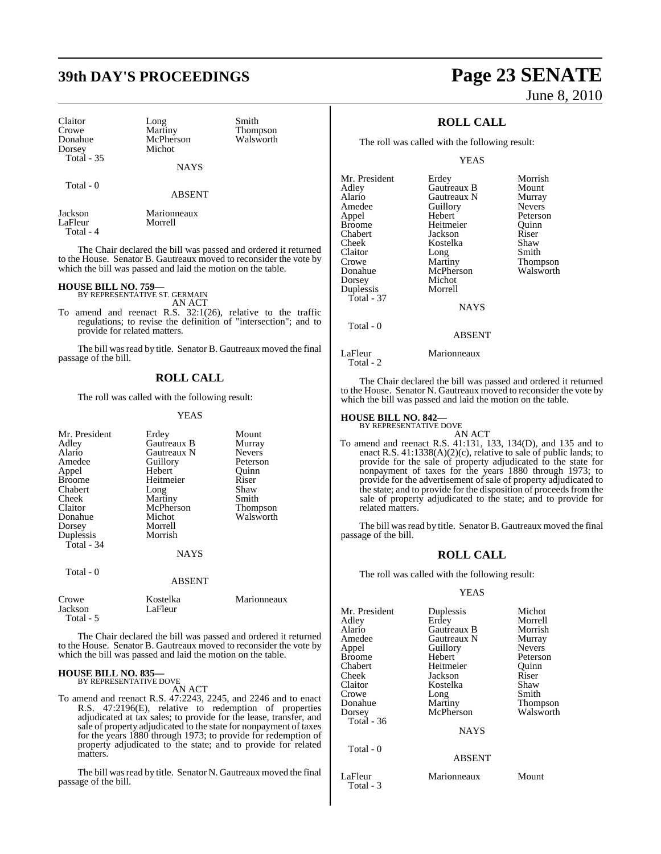## **39th DAY'S PROCEEDINGS Page 23 SENATE**

Claitor Long Smith<br>Crowe Martiny Thom Crowe Martiny Thompson<br>
Donahue McPherson Walsworth Donahue McPherson<br>Dorsey Michot Total - 35

Total - 0

Michot

NAYS

ABSENT

Jackson Marionneaux LaFleur Total - 4

The Chair declared the bill was passed and ordered it returned to the House. Senator B. Gautreaux moved to reconsider the vote by which the bill was passed and laid the motion on the table.

## **HOUSE BILL NO. 759—** BY REPRESENTATIVE ST. GERMAIN

AN ACT

To amend and reenact R.S. 32:1(26), relative to the traffic regulations; to revise the definition of "intersection"; and to provide for related matters.

The bill was read by title. Senator B. Gautreaux moved the final passage of the bill.

### **ROLL CALL**

The roll was called with the following result:

#### YEAS

| Mr. President<br>Adley<br>Alario<br>Amedee | Erdey<br>Gautreaux B<br>Gautreaux N<br>Guillory | Mount<br>Murray<br><b>Nevers</b><br>Peterson |
|--------------------------------------------|-------------------------------------------------|----------------------------------------------|
| Appel                                      | Hebert                                          | Ouinn                                        |
| <b>Broome</b>                              | Heitmeier                                       | Riser                                        |
| Chabert                                    | Long                                            | Shaw                                         |
| Cheek                                      | Martiny                                         | Smith                                        |
| Claitor                                    | McPherson                                       | Thompson                                     |
| Donahue                                    | Michot                                          | Walsworth                                    |
| Dorsey                                     | Morrell                                         |                                              |
| Duplessis<br>Total - 34                    | Morrish                                         |                                              |
|                                            | <b>NAYS</b>                                     |                                              |
| Total - 0                                  |                                                 |                                              |
|                                            | <b>ABSENT</b>                                   |                                              |
| Crowe<br>Jackson<br>Total - 5              | Kostelka<br>LaFleur                             | Marionneaux                                  |

The Chair declared the bill was passed and ordered it returned to the House. Senator B. Gautreaux moved to reconsider the vote by which the bill was passed and laid the motion on the table.

### **HOUSE BILL NO. 835—** BY REPRESENTATIVE DOVE

AN ACT

To amend and reenact R.S. 47:2243, 2245, and 2246 and to enact R.S. 47:2196(E), relative to redemption of properties adjudicated at tax sales; to provide for the lease, transfer, and sale of property adjudicated to the state for nonpayment of taxes for the years 1880 through 1973; to provide for redemption of property adjudicated to the state; and to provide for related matters.

The bill was read by title. Senator N. Gautreaux moved the final passage of the bill.

# June 8, 2010

### **ROLL CALL**

The roll was called with the following result:

YEAS

| Mr. President | Erdey         | Morrish       |
|---------------|---------------|---------------|
| Adley         | Gautreaux B   | Mount         |
| Alario        | Gautreaux N   | Murray        |
| Amedee        | Guillory      | <b>Nevers</b> |
| Appel         | Hebert        | Peterson      |
| <b>Broome</b> | Heitmeier     | Quinn         |
| Chabert       | Jackson       | Riser         |
| Cheek         | Kostelka      | Shaw          |
| Claitor       | Long          | Smith         |
| Crowe         | Martiny       | Thompson      |
| Donahue       | McPherson     | Walsworth     |
| Dorsey        | Michot        |               |
| Duplessis     | Morrell       |               |
| Total - 37    |               |               |
|               | <b>NAYS</b>   |               |
| Total - 0     |               |               |
|               | <b>ABSENT</b> |               |
| LaFleur       | Marionneaux   |               |

Total - 2

Total - 3

The Chair declared the bill was passed and ordered it returned to the House. Senator N. Gautreaux moved to reconsider the vote by which the bill was passed and laid the motion on the table.

### **HOUSE BILL NO. 842—** BY REPRESENTATIVE DOVE

AN ACT

To amend and reenact R.S. 41:131, 133, 134(D), and 135 and to enact R.S. 41:1338(A)(2)(c), relative to sale of public lands; to provide for the sale of property adjudicated to the state for nonpayment of taxes for the years 1880 through 1973; to provide for the advertisement of sale of property adjudicated to the state; and to provide for the disposition of proceeds from the sale of property adjudicated to the state; and to provide for related matters.

The bill was read by title. Senator B. Gautreaux moved the final passage of the bill.

#### **ROLL CALL**

The roll was called with the following result:

#### YEAS

| Mr. President     | Duplessis     | Michot          |
|-------------------|---------------|-----------------|
| Adley             | Erdey         | Morrell         |
| Alario            | Gautreaux B   | Morrish         |
| Amedee            | Gautreaux N   | Murray          |
| Appel             | Guillory      | <b>Nevers</b>   |
| <b>Broome</b>     | Hebert        | Peterson        |
| Chabert           | Heitmeier     | Ouinn           |
| Cheek             | Jackson       | Riser           |
| Claitor           | Kostelka      | Shaw            |
| Crowe             | Long          | Smith           |
| Donahue           | Martiny       | <b>Thompson</b> |
| Dorsey            | McPherson     | Walsworth       |
| <b>Total - 36</b> |               |                 |
|                   | <b>NAYS</b>   |                 |
| Total - 0         |               |                 |
|                   | <b>ABSENT</b> |                 |
| LaFleur           | Marionneaux   | Mount           |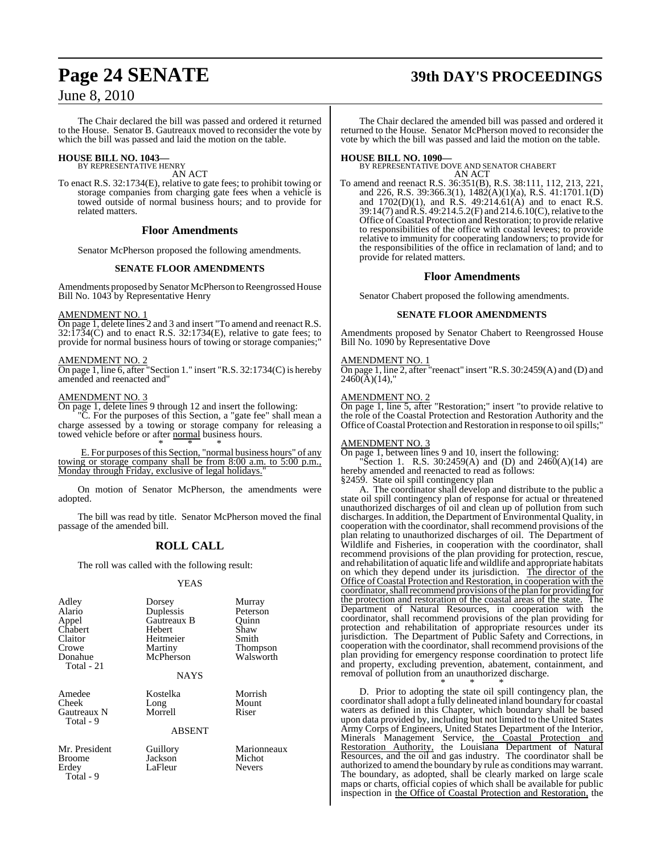## **Page 24 SENATE 39th DAY'S PROCEEDINGS**

### June 8, 2010

The Chair declared the bill was passed and ordered it returned to the House. Senator B. Gautreaux moved to reconsider the vote by which the bill was passed and laid the motion on the table.

## **HOUSE BILL NO. 1043—** BY REPRESENTATIVE HENRY

AN ACT

To enact R.S. 32:1734(E), relative to gate fees; to prohibit towing or storage companies from charging gate fees when a vehicle is towed outside of normal business hours; and to provide for related matters.

#### **Floor Amendments**

Senator McPherson proposed the following amendments.

#### **SENATE FLOOR AMENDMENTS**

Amendments proposed by Senator McPherson to Reengrossed House Bill No. 1043 by Representative Henry

#### AMENDMENT NO. 1

On page 1, delete lines 2 and 3 and insert "To amend and reenact R.S.  $32:\hat{1734}(\hat{C})$  and to enact R.S.  $32:1734(E)$ , relative to gate fees; to provide for normal business hours of towing or storage companies;"

#### AMENDMENT NO. 2

On page 1, line 6, after "Section 1." insert "R.S. 32:1734(C) is hereby amended and reenacted and"

#### AMENDMENT NO. 3

On page 1, delete lines 9 through 12 and insert the following:

"C. For the purposes of this Section, a "gate fee" shall mean a charge assessed by a towing or storage company for releasing a towed vehicle before or after normal business hours. \* \* \*

E. For purposes of this Section, "normal business hours" of any towing or storage company shall be from  $8:00$  a.m. to  $5:00$  p.m., Monday through Friday, exclusive of legal holidays."

On motion of Senator McPherson, the amendments were adopted.

The bill was read by title. Senator McPherson moved the final passage of the amended bill.

### **ROLL CALL**

The roll was called with the following result:

#### YEAS

| Adley<br>Alario<br>Appel<br>Chabert<br>Claitor<br>Crowe<br>Donahue<br>Total - 21 | Dorsey<br>Duplessis<br>Gautreaux B<br>Hebert<br>Heitmeier<br>Martiny<br>McPherson<br><b>NAYS</b> | Murray<br>Peterson<br>Ouinn<br>Shaw<br>Smith<br>Thompson<br>Walsworth |
|----------------------------------------------------------------------------------|--------------------------------------------------------------------------------------------------|-----------------------------------------------------------------------|
| Amedee<br>Cheek<br>Gautreaux N<br>Total - 9                                      | Kostelka<br>Long<br>Morrell<br><b>ABSENT</b>                                                     | Morrish<br>Mount<br>Riser                                             |
| Mr. President<br><b>Broome</b><br>Erdey<br>Total - 9                             | Guillory<br>Jackson<br>LaFleur                                                                   | Marionneaux<br>Michot<br><b>Nevers</b>                                |

The Chair declared the amended bill was passed and ordered it returned to the House. Senator McPherson moved to reconsider the vote by which the bill was passed and laid the motion on the table.

**HOUSE BILL NO. 1090—** BY REPRESENTATIVE DOVE AND SENATOR CHABERT AN ACT

To amend and reenact R.S. 36:351(B), R.S. 38:111, 112, 213, 221, and 226, R.S. 39:366.3(1), 1482(A)(1)(a), R.S. 41:1701.1(D) and  $1702(D)(1)$ , and R.S.  $49:214.61(A)$  and to enact R.S. 39:14(7) and R.S. 49:214.5.2(F) and 214.6.10(C), relative to the Office ofCoastal Protection and Restoration; to provide relative to responsibilities of the office with coastal levees; to provide relative to immunity for cooperating landowners; to provide for the responsibilities of the office in reclamation of land; and to provide for related matters.

#### **Floor Amendments**

Senator Chabert proposed the following amendments.

#### **SENATE FLOOR AMENDMENTS**

Amendments proposed by Senator Chabert to Reengrossed House Bill No. 1090 by Representative Dove

#### AMENDMENT NO. 1

On page 1, line 2, after "reenact" insert "R.S. 30:2459(A) and (D) and  $2460(A)(14)$ ,"

#### AMENDMENT NO. 2

On page 1, line 5, after "Restoration;" insert "to provide relative to the role of the Coastal Protection and Restoration Authority and the Office of Coastal Protection and Restoration in response to oil spills;"

#### AMENDMENT NO. 3

On page 1, between lines 9 and 10, insert the following:

"Section 1. R.S. 30:2459(A) and (D) and  $2460(A)(14)$  are hereby amended and reenacted to read as follows:

§2459. State oil spill contingency plan

A. The coordinator shall develop and distribute to the public a state oil spill contingency plan of response for actual or threatened unauthorized discharges of oil and clean up of pollution from such discharges. In addition, the Department of Environmental Quality, in cooperation with the coordinator, shall recommend provisions of the plan relating to unauthorized discharges of oil. The Department of Wildlife and Fisheries, in cooperation with the coordinator, shall recommend provisions of the plan providing for protection, rescue, and rehabilitation of aquatic life and wildlife and appropriate habitats on which they depend under its jurisdiction. The director of the Office of Coastal Protection and Restoration, in cooperation with the coordinator, shall recommend provisions of the plan for providing for the protection and restoration of the coastal areas of the state. The Department of Natural Resources, in cooperation with the coordinator, shall recommend provisions of the plan providing for protection and rehabilitation of appropriate resources under its jurisdiction. The Department of Public Safety and Corrections, in cooperation with the coordinator, shall recommend provisions of the plan providing for emergency response coordination to protect life and property, excluding prevention, abatement, containment, and removal of pollution from an unauthorized discharge.

\* \* \* D. Prior to adopting the state oil spill contingency plan, the coordinatorshall adopt a fully delineated inland boundary for coastal waters as defined in this Chapter, which boundary shall be based upon data provided by, including but not limited to the United States Army Corps of Engineers, United States Department of the Interior, Minerals Management Service, the Coastal Protection and Restoration Authority, the Louisiana Department of Natural Resources, and the oil and gas industry. The coordinator shall be authorized to amend the boundary by rule as conditions may warrant. The boundary, as adopted, shall be clearly marked on large scale maps or charts, official copies of which shall be available for public inspection in the Office of Coastal Protection and Restoration, the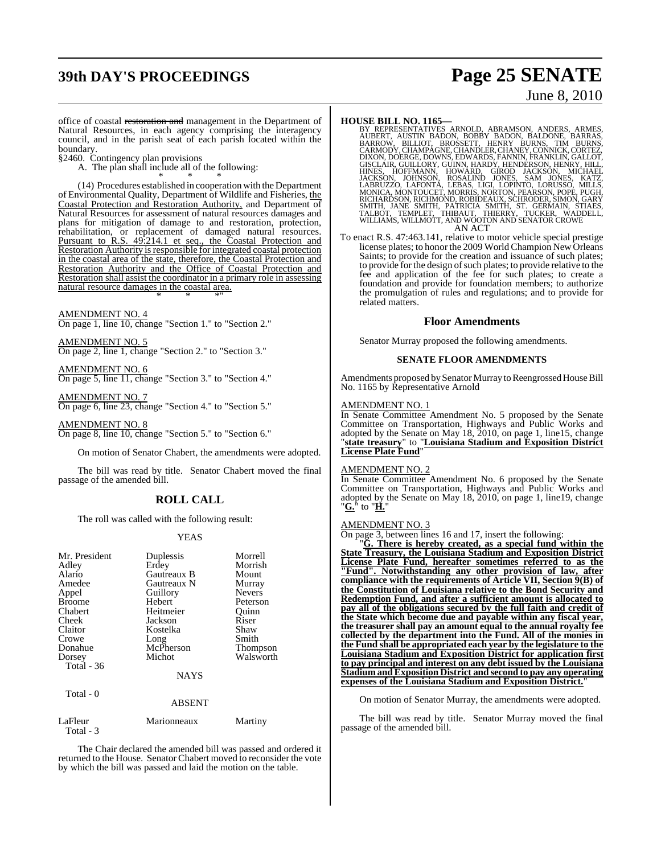## **39th DAY'S PROCEEDINGS Page 25 SENATE**

# June 8, 2010

office of coastal restoration and management in the Department of Natural Resources, in each agency comprising the interagency council, and in the parish seat of each parish located within the boundary.

§2460. Contingency plan provisions

A. The plan shall include all of the following:

\* \* \* (14) Procedures established in cooperation with the Department of Environmental Quality, Department of Wildlife and Fisheries, the Coastal Protection and Restoration Authority, and Department of Natural Resources for assessment of natural resources damages and plans for mitigation of damage to and restoration, protection, rehabilitation, or replacement of damaged natural resources. Pursuant to R.S. 49:214.1 et seq., the Coastal Protection and Restoration Authority is responsible for integrated coastal protection in the coastal area of the state, therefore, the Coastal Protection and Restoration Authority and the Office of Coastal Protection and Restoration shall assist the coordinator in a primary role in assessing natural resource damages in the coastal area. \* \* \*"

AMENDMENT NO. 4 On page 1, line 10, change "Section 1." to "Section 2."

AMENDMENT NO. 5 On page 2, line 1, change "Section 2." to "Section 3."

AMENDMENT NO. 6 On page 5, line 11, change "Section 3." to "Section 4."

AMENDMENT NO. 7 On page 6, line 23, change "Section 4." to "Section 5."

AMENDMENT NO. 8 On page 8, line 10, change "Section 5." to "Section 6."

On motion of Senator Chabert, the amendments were adopted.

The bill was read by title. Senator Chabert moved the final passage of the amended bill.

### **ROLL CALL**

The roll was called with the following result:

#### YEAS

| Mr. President<br>Adley<br>Alario<br>Amedee<br>Appel<br><b>Broome</b> | Duplessis<br>Erdey<br>Gautreaux B<br>Gautreaux N<br>Guillory<br>Hebert | Morrell<br>Morrish<br>Mount<br>Murray<br><b>Nevers</b><br>Peterson |
|----------------------------------------------------------------------|------------------------------------------------------------------------|--------------------------------------------------------------------|
| Chabert                                                              | Heitmeier                                                              | Ouinn                                                              |
| Cheek                                                                | Jackson                                                                | Riser                                                              |
| Claitor                                                              | Kostelka                                                               | Shaw                                                               |
| Crowe                                                                | Long                                                                   | Smith                                                              |
| Donahue                                                              | McPherson                                                              | Thompson                                                           |
| Dorsey                                                               | Michot                                                                 | Walsworth                                                          |
| Total - 36                                                           |                                                                        |                                                                    |
|                                                                      | <b>NAYS</b>                                                            |                                                                    |
| Total - 0                                                            |                                                                        |                                                                    |
|                                                                      | <b>ABSENT</b>                                                          |                                                                    |
| $L = \mathbf{E} \mathbf{1}$                                          | $M = 12.5$                                                             | $M = 1$                                                            |

Total - 3

LaFleur Marionneaux Martiny

The Chair declared the amended bill was passed and ordered it returned to the House. Senator Chabert moved to reconsider the vote by which the bill was passed and laid the motion on the table.

**HOUSE BILL NO. 1165**<br>BY REPRESENTATIVES ARNOLD, ABRAMSON, ANDERS, ARMES,<br>AUBERT, AUSTIN BADON, BOBBY BADON, BALDONE, BARRAS,<br>BARROW, BILLIOT, BROSSETT, HENRY BURNS, TIM BURNS,<br>CARMODY,CHAMPAGNE,CHANDLER,CHANEY,CONNICK,COR GISCLAIR, GUILLORY, GUINN, HARDY, HENDERSON, HENRY, HILL,<br>HINES, HOFFMANN, HOWARD, GIROD JACKSON, MICHAEL<br>JACKSON, JOHNSON, HOWARD, JONES, SAM JONES, KATZ,<br>LABRUZZO, LAFONTA, LEBAS, LIGI, LOPINTO, LORUSSO, MILLS,<br>MONICA, M AN ACT

To enact R.S. 47:463.141, relative to motor vehicle special prestige license plates; to honor the 2009 World Champion New Orleans Saints; to provide for the creation and issuance of such plates; to provide for the design of such plates; to provide relative to the fee and application of the fee for such plates; to create a

foundation and provide for foundation members; to authorize the promulgation of rules and regulations; and to provide for related matters.

#### **Floor Amendments**

Senator Murray proposed the following amendments.

#### **SENATE FLOOR AMENDMENTS**

Amendments proposed by Senator Murray to Reengrossed House Bill No. 1165 by Representative Arnold

#### AMENDMENT NO. 1

In Senate Committee Amendment No. 5 proposed by the Senate Committee on Transportation, Highways and Public Works and adopted by the Senate on May 18, 2010, on page 1, line15, change "**state treasury**" to "**Louisiana Stadium and Exposition District License Plate Fund**"

#### AMENDMENT NO. 2

In Senate Committee Amendment No. 6 proposed by the Senate Committee on Transportation, Highways and Public Works and adopted by the Senate on May 18, 2010, on page 1, line19, change "**G.**" to "**H.**"

#### AMENDMENT NO. 3

On page 3, between lines 16 and 17, insert the following:

"**G. There is hereby created, as a special fund within the State Treasury, the Louisiana Stadium and Exposition District License Plate Fund, hereafter sometimes referred to as the "Fund". Notwithstanding any other provision of law, after compliance with the requirements of Article VII, Section 9(B) of the Constitution of Louisiana relative to the Bond Security and Redemption Fund, and after a sufficient amount is allocated to pay all of the obligations secured by the full faith and credit of the State which become due and payable within any fiscal year, the treasurer shall pay an amount equal to the annual royalty fee collected by the department into the Fund. All of the monies in the Fund shall be appropriated each year by the legislature to the Louisiana Stadium and Exposition District for application first to pay principal and interest on any debt issued by the Louisiana Stadium andExposition District and second to pay any operating expenses of the Louisiana Stadium and Exposition District.**"

On motion of Senator Murray, the amendments were adopted.

The bill was read by title. Senator Murray moved the final passage of the amended bill.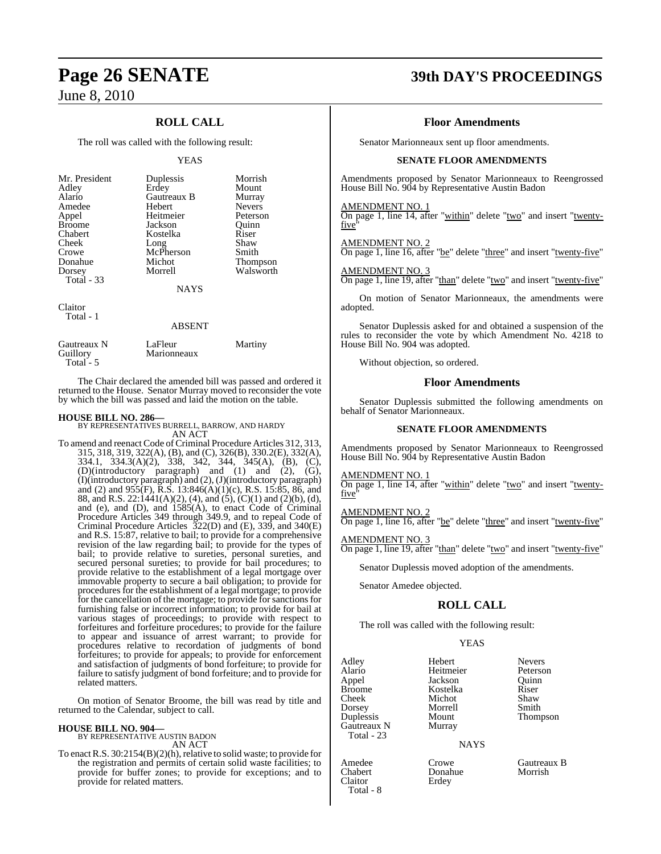### **ROLL CALL**

The roll was called with the following result:

#### YEAS

| Mr. President<br>Adley<br>Alario<br>Amedee<br>Appel<br><b>Broome</b><br>Chabert<br>Cheek<br>Crowe<br>Donahue<br>Dorsey<br><b>Total - 33</b> | Duplessis<br>Erdey<br>Gautreaux B<br>Hebert<br>Heitmeier<br>Jackson<br>Kostelka<br>Long<br>McPherson<br>Michot<br>Morrell<br><b>NAYS</b> | Morrish<br>Mount<br>Murray<br><b>Nevers</b><br>Peterson<br>Ouinn<br>Riser<br>Shaw<br>Smith<br>Thompson<br>Walsworth |
|---------------------------------------------------------------------------------------------------------------------------------------------|------------------------------------------------------------------------------------------------------------------------------------------|---------------------------------------------------------------------------------------------------------------------|
|                                                                                                                                             |                                                                                                                                          |                                                                                                                     |
| Claitor                                                                                                                                     |                                                                                                                                          |                                                                                                                     |

Total - 1

#### ABSENT

| Gautreaux N | LaFleur     | Martiny |
|-------------|-------------|---------|
| Guillory    | Marionneaux |         |
| Total $-5$  |             |         |

The Chair declared the amended bill was passed and ordered it returned to the House. Senator Murray moved to reconsider the vote by which the bill was passed and laid the motion on the table.

**HOUSE BILL NO. 286—** BY REPRESENTATIVES BURRELL, BARROW, AND HARDY AN ACT

To amend and reenact Code of Criminal Procedure Articles 312, 313, 315, 318, 319, 322(A), (B), and (C), 326(B), 330.2(E), 332(A), 334.1, 334.3(A)(2), 338, 342, 344, 345(A), (B), (C), (D)(introductory paragraph) and (1) and (2), (G), (I)(introductory paragraph) and (2), (J)(introductory paragraph) and (2) and 955(F), R.S. 13:846(A)(1)(c), R.S. 15:85, 86, and 88, and R.S. 22:1441(A)(2), (4), and (5), (C)(1) and (2)(b), (d), and (e), and (D), and 1585(A), to enact Code of Criminal Procedure Articles 349 through 349.9, and to repeal Code of Criminal Procedure Articles 322(D) and (E), 339, and 340(E) and R.S. 15:87, relative to bail; to provide for a comprehensive revision of the law regarding bail; to provide for the types of bail; to provide relative to sureties, personal sureties, and secured personal sureties; to provide for bail procedures; to provide relative to the establishment of a legal mortgage over immovable property to secure a bail obligation; to provide for procedures for the establishment of a legal mortgage; to provide for the cancellation of the mortgage; to provide for sanctions for furnishing false or incorrect information; to provide for bail at various stages of proceedings; to provide with respect to forfeitures and forfeiture procedures; to provide for the failure to appear and issuance of arrest warrant; to provide for procedures relative to recordation of judgments of bond forfeitures; to provide for appeals; to provide for enforcement and satisfaction of judgments of bond forfeiture; to provide for failure to satisfy judgment of bond forfeiture; and to provide for related matters.

On motion of Senator Broome, the bill was read by title and returned to the Calendar, subject to call.

#### **HOUSE BILL NO. 904—** BY REPRESENTATIVE AUSTIN BADON

AN ACT

To enact R.S.  $30:2154(B)(2)(h)$ , relative to solid waste; to provide for the registration and permits of certain solid waste facilities; to provide for buffer zones; to provide for exceptions; and to provide for related matters.

### **Page 26 SENATE 39th DAY'S PROCEEDINGS**

#### **Floor Amendments**

Senator Marionneaux sent up floor amendments.

#### **SENATE FLOOR AMENDMENTS**

Amendments proposed by Senator Marionneaux to Reengrossed House Bill No. 904 by Representative Austin Badon

#### AMENDMENT NO. 1

On page 1, line 14, after "within" delete "two" and insert "twentyfive<sup>'</sup>

AMENDMENT NO. 2

On page 1, line 16, after "be" delete "three" and insert "twenty-five"

AMENDMENT NO. 3 On page 1, line 19, after "than" delete "two" and insert "twenty-five"

On motion of Senator Marionneaux, the amendments were adopted.

Senator Duplessis asked for and obtained a suspension of the rules to reconsider the vote by which Amendment No. 4218 to House Bill No. 904 was adopted.

Without objection, so ordered.

#### **Floor Amendments**

Senator Duplessis submitted the following amendments on behalf of Senator Marionneaux.

#### **SENATE FLOOR AMENDMENTS**

Amendments proposed by Senator Marionneaux to Reengrossed House Bill No. 904 by Representative Austin Badon

#### AMENDMENT NO. 1

On page 1, line 14, after "within" delete "two" and insert "twentyfive

AMENDMENT NO. 2 On page 1, line 16, after "be" delete "three" and insert "twenty-five"

AMENDMENT NO. 3 On page 1, line 19, after "than" delete "two" and insert "twenty-five"

Senator Duplessis moved adoption of the amendments.

Senator Amedee objected.

#### **ROLL CALL**

The roll was called with the following result:

Kostelka<br>Michot

#### YEAS

Alario Heitmeier Peterson Appel Jackson Quinn Cheek Michot Shaw<br>
Dorsey Morrell Smith Dorsey Morrel<br>
Duplessis Mount Gautreaux N Total - 23

Total - 8

Adley Hebert Nevers Mount Thompson<br>Murrav

NAYS

Chabert Donahue<br>Claitor Erdev Erdey

Amedee Crowe Gautreaux B<br>
Chabert Donahue Morrish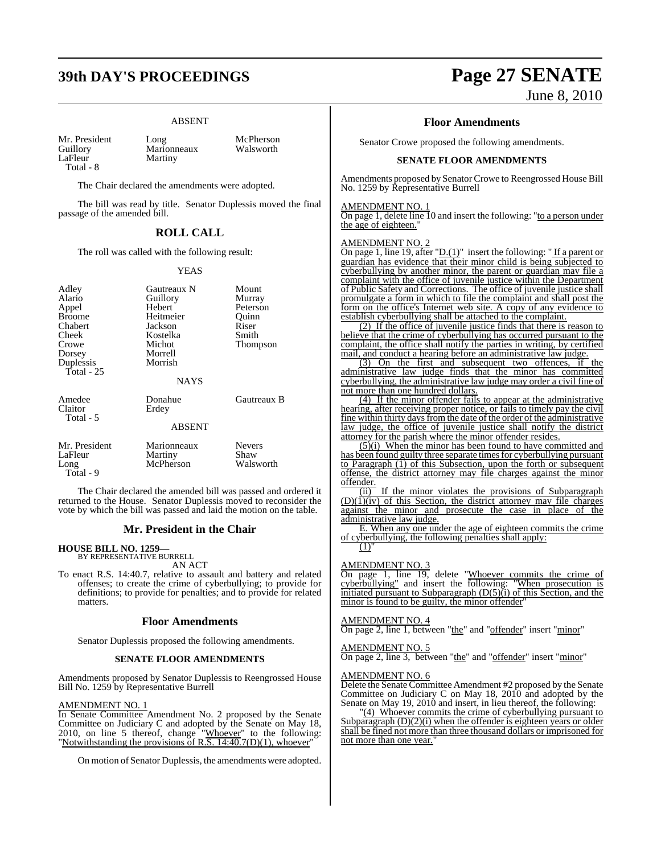## **39th DAY'S PROCEEDINGS Page 27 SENATE**

#### ABSENT

Guillory Marionneaux<br>LaFleur Martiny Total - 8

Mr. President Long McPherson<br>
Cuillory Marionneaux Walsworth

The Chair declared the amendments were adopted.

Martiny

The bill was read by title. Senator Duplessis moved the final passage of the amended bill.

### **ROLL CALL**

The roll was called with the following result:

#### YEAS

| Adley<br>Alario<br>Appel<br>Broome<br>Chabert<br>Cheek<br>Crowe<br>Dorsey<br>Duplessis<br><b>Total</b> - 25 | Gautreaux N<br>Guillory<br>Hebert<br>Heitmeier<br>Jackson<br>Kostelka<br>Michot<br>Morrell<br>Morrish<br><b>NAYS</b> | Mount<br>Murray<br>Peterson<br>Ouinn<br>Riser<br>Smith<br>Thompson |
|-------------------------------------------------------------------------------------------------------------|----------------------------------------------------------------------------------------------------------------------|--------------------------------------------------------------------|
| Amedee<br>Claitor<br>Total - 5                                                                              | Donahue<br>Erdey<br><b>ABSENT</b>                                                                                    | Gautreaux B                                                        |
| Mr. President<br>LaFleur<br>Long<br>Total - 9                                                               | Marionneaux<br>Martiny<br>McPherson                                                                                  | <b>Nevers</b><br>Shaw<br>Walsworth                                 |

The Chair declared the amended bill was passed and ordered it returned to the House. Senator Duplessis moved to reconsider the vote by which the bill was passed and laid the motion on the table.

#### **Mr. President in the Chair**

#### **HOUSE BILL NO. 1259—**

BY REPRESENTATIVE BURRELL AN ACT

To enact R.S. 14:40.7, relative to assault and battery and related offenses; to create the crime of cyberbullying; to provide for definitions; to provide for penalties; and to provide for related matters.

#### **Floor Amendments**

Senator Duplessis proposed the following amendments.

#### **SENATE FLOOR AMENDMENTS**

Amendments proposed by Senator Duplessis to Reengrossed House Bill No. 1259 by Representative Burrell

#### AMENDMENT NO. 1

In Senate Committee Amendment No. 2 proposed by the Senate Committee on Judiciary C and adopted by the Senate on May 18, 2010, on line 5 thereof, change "Whoever" to the following: "Notwithstanding the provisions of R.S.  $14:40.7(D)(1)$ , whoever"

On motion of Senator Duplessis, the amendments were adopted.

June 8, 2010

#### **Floor Amendments**

Senator Crowe proposed the following amendments.

#### **SENATE FLOOR AMENDMENTS**

Amendments proposed by Senator Crowe to Reengrossed House Bill No. 1259 by Representative Burrell

### AMENDMENT NO. 1

On page 1, delete line 10 and insert the following: "to a person under the age of eighteen."

#### AMENDMENT NO. 2

On page 1, line 19, after " $D.(1)$ " insert the following: "If a parent or guardian has evidence that their minor child is being subjected to cyberbullying by another minor, the parent or guardian may file a complaint with the office of juvenile justice within the Department of Public Safety and Corrections. The office of juvenile justice shall promulgate a form in which to file the complaint and shall post the form on the office's Internet web site. A copy of any evidence to establish cyberbullying shall be attached to the complaint.

(2) If the office of juvenile justice finds that there is reason to believe that the crime of cyberbullying has occurred pursuant to the complaint, the office shall notify the parties in writing, by certified mail, and conduct a hearing before an administrative law judge.

(3) On the first and subsequent two offences, if the administrative law judge finds that the minor has committed cyberbullying, the administrative law judge may order a civil fine of not more than one hundred dollars.

(4) If the minor offender fails to appear at the administrative hearing, after receiving proper notice, or fails to timely pay the civil fine within thirty days from the date of the order of the administrative law judge, the office of juvenile justice shall notify the district attorney for the parish where the minor offender resides.

(5)(i) When the minor has been found to have committed and has been found guilty three separate times for cyberbullying pursuant to Paragraph (1) of this Subsection, upon the forth or subsequent offense, the district attorney may file charges against the minor offender.

(ii) If the minor violates the provisions of Subparagraph  $(D)(1)(iv)$  of this Section, the district attorney may file charges against the minor and prosecute the case in place of the administrative law judge.

E. When any one under the age of eighteen commits the crime of cyberbullying, the following penalties shall apply:  $(1)'$ 

### AMENDMENT NO. 3

On page 1, line 19, delete "Whoever commits the crime of cyberbullying" and insert the following: "When prosecution is initiated pursuant to Subparagraph  $(D(5)(i))$  of this Section, and the minor is found to be guilty, the minor offender"

#### AMENDMENT NO. 4

On page 2, line 1, between "the" and "offender" insert "minor"

#### AMENDMENT NO. 5

On page 2, line 3, between "the" and "offender" insert "minor"

#### AMENDMENT NO. 6

Delete the Senate Committee Amendment #2 proposed by the Senate Committee on Judiciary C on May 18, 2010 and adopted by the Senate on May 19, 2010 and insert, in lieu thereof, the following:

"(4) Whoever commits the crime of cyberbullying pursuant to Subparagraph (D)(2)(i) when the offender is eighteen years or older shall be fined not more than three thousand dollars or imprisoned for not more than one year."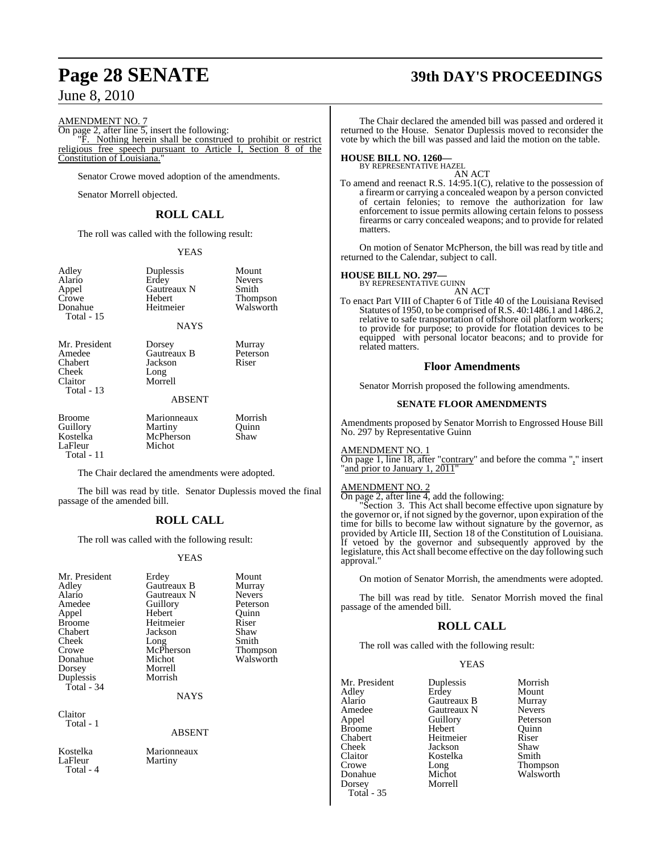#### AMENDMENT NO. 7

On page 2, after line 5, insert the following:

"F. Nothing herein shall be construed to prohibit or restrict religious free speech pursuant to Article I, Section 8 of the Constitution of Louisiana."

Senator Crowe moved adoption of the amendments.

Senator Morrell objected.

### **ROLL CALL**

The roll was called with the following result:

#### YEAS

| Adley      |
|------------|
| Alario     |
| Appel      |
| Crowe      |
| Donahue    |
| Total - 15 |

Puplessis Mount<br>
Frdev Nevers Erdey Nevers<br>Gautreaux N Smith Gautreaux N<br>Hebert Hebert Thompson<br>Heitmeier Walsworth

Walsworth

#### NAYS

Chabert Jackson<br>Cheek Long Cheek Long<br>Claitor Morre Total - 13

Mr. President Dorsey Murray<br>Amedee Gautreaux B Peterson Amedee Gautreaux B Peters<br>Chabert Jackson Riser Morrell

#### ABSENT

| Broome<br>Guillory | Marionneaux<br>Martiny | Morrish<br>Ouinn |  |
|--------------------|------------------------|------------------|--|
| Kostelka           | McPherson              | Shaw             |  |
| LaFleur            | Michot                 |                  |  |
| Total - 11         |                        |                  |  |

The Chair declared the amendments were adopted.

The bill was read by title. Senator Duplessis moved the final passage of the amended bill.

### **ROLL CALL**

The roll was called with the following result:

#### **YEAS**

| Mr. President<br>Adley<br>Alario<br>Amedee<br>Appel<br><b>Broome</b><br>Chabert<br>Cheek<br>Crowe<br>Donahue<br>Dorsey<br>Duplessis<br>$Total - 34$ | Erdey<br>Gautreaux B<br>Gautreaux N<br>Guillory<br>Hebert<br>Heitmeier<br>Jackson<br>Long<br>McPherson<br>Michot<br>Morrell<br>Morrish<br><b>NAYS</b> | Mount<br>Murray<br><b>Nevers</b><br>Peterson<br>Ouinn<br>Riser<br>Shaw<br>Smith<br>Thompson<br>Walsworth |
|-----------------------------------------------------------------------------------------------------------------------------------------------------|-------------------------------------------------------------------------------------------------------------------------------------------------------|----------------------------------------------------------------------------------------------------------|
| Claitor<br>Total - 1                                                                                                                                | <b>ABSENT</b>                                                                                                                                         |                                                                                                          |
| Kostelka<br>LaFleur<br>Total - 4                                                                                                                    | Marionneaux<br>Martiny                                                                                                                                |                                                                                                          |

## **Page 28 SENATE 39th DAY'S PROCEEDINGS**

The Chair declared the amended bill was passed and ordered it returned to the House. Senator Duplessis moved to reconsider the vote by which the bill was passed and laid the motion on the table.

## **HOUSE BILL NO. 1260—** BY REPRESENTATIVE HAZEL

AN ACT

To amend and reenact R.S. 14:95.1(C), relative to the possession of a firearm or carrying a concealed weapon by a person convicted of certain felonies; to remove the authorization for law enforcement to issue permits allowing certain felons to possess firearms or carry concealed weapons; and to provide for related matters.

On motion of Senator McPherson, the bill was read by title and returned to the Calendar, subject to call.

### **HOUSE BILL NO. 297—** BY REPRESENTATIVE GUINN

AN ACT

To enact Part VIII of Chapter 6 of Title 40 of the Louisiana Revised Statutes of 1950, to be comprised of R.S. 40:1486.1 and 1486.2, relative to safe transportation of offshore oil platform workers; to provide for purpose; to provide for flotation devices to be equipped with personal locator beacons; and to provide for related matters.

#### **Floor Amendments**

Senator Morrish proposed the following amendments.

#### **SENATE FLOOR AMENDMENTS**

Amendments proposed by Senator Morrish to Engrossed House Bill No. 297 by Representative Guinn

#### AMENDMENT NO. 1

On page 1, line 18, after "contrary" and before the comma "," insert "and prior to January 1, 2011"

#### AMENDMENT NO. 2

On page 2, after line 4, add the following:

"Section 3. This Act shall become effective upon signature by the governor or, if not signed by the governor, upon expiration of the time for bills to become law without signature by the governor, as provided by Article III, Section 18 of the Constitution of Louisiana. If vetoed by the governor and subsequently approved by the legislature, this Act shall become effective on the day following such approval."

On motion of Senator Morrish, the amendments were adopted.

The bill was read by title. Senator Morrish moved the final passage of the amended bill.

### **ROLL CALL**

The roll was called with the following result:

### YEAS

| Mr. President     | Duplessis   | Morrish         |
|-------------------|-------------|-----------------|
| Adley             | Erdey       | Mount           |
| Alario            | Gautreaux B | Murray          |
| Amedee            | Gautreaux N | <b>Nevers</b>   |
| Appel             | Guillory    | Peterson        |
| <b>Broome</b>     | Hebert      | Ouinn           |
| Chabert           | Heitmeier   | Riser           |
| Cheek             | Jackson     | Shaw            |
| Claitor           | Kostelka    | Smith           |
| Crowe             | Long        | <b>Thompson</b> |
| Donahue           | Michot      | Walsworth       |
| Dorsey            | Morrell     |                 |
| <b>Total - 35</b> |             |                 |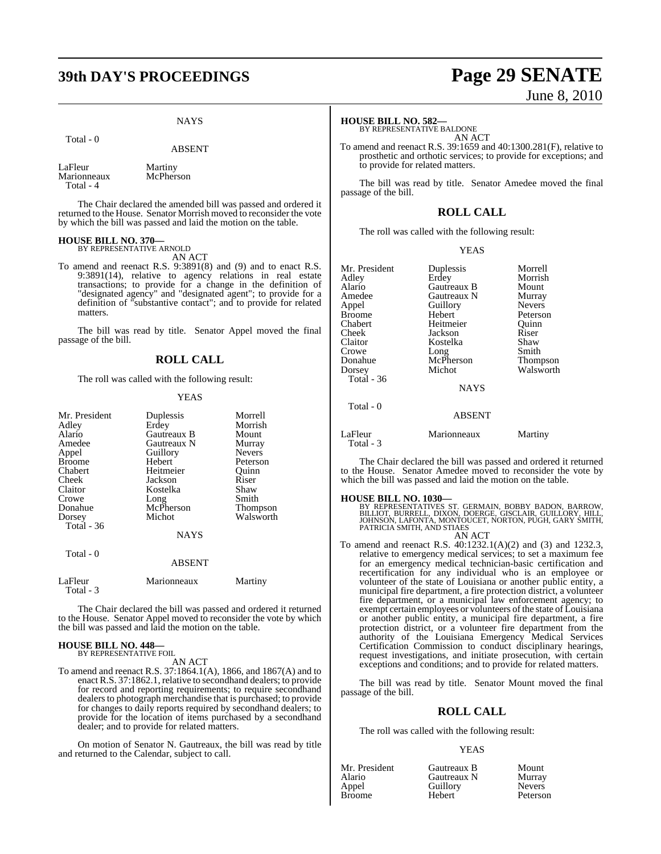## **39th DAY'S PROCEEDINGS Page 29 SENATE**

#### **NAYS**

#### Total - 0

#### ABSENT

LaFleur Martiny<br>Marionneaux McPherson Marionneaux Total - 4

The Chair declared the amended bill was passed and ordered it returned to the House. Senator Morrish moved to reconsider the vote by which the bill was passed and laid the motion on the table.

#### **HOUSE BILL NO. 370—**

BY REPRESENTATIVE ARNOLD AN ACT

To amend and reenact R.S. 9:3891(8) and (9) and to enact R.S. 9:3891(14), relative to agency relations in real estate transactions; to provide for a change in the definition of "designated agency" and "designated agent"; to provide for a definition of "substantive contact"; and to provide for related matters.

The bill was read by title. Senator Appel moved the final passage of the bill.

#### **ROLL CALL**

The roll was called with the following result:

#### YEAS

| Mr. President<br>Adley<br>Alario<br>Amedee<br>Appel<br><b>Broome</b><br>Chabert<br>Cheek<br>Claitor<br>Crowe<br>Donahue<br>Dorsey | Duplessis<br>Erdey<br>Gautreaux B<br>Gautreaux N<br>Guillory<br>Hebert<br>Heitmeier<br>Jackson<br>Kostelka<br>Long<br>McPherson<br>Michot | Morrell<br>Morrish<br>Mount<br>Murray<br><b>Nevers</b><br>Peterson<br>Quinn<br>Riser<br>Shaw<br>Smith<br>Thompson<br>Walsworth |
|-----------------------------------------------------------------------------------------------------------------------------------|-------------------------------------------------------------------------------------------------------------------------------------------|--------------------------------------------------------------------------------------------------------------------------------|
| <b>Total - 36</b>                                                                                                                 | <b>NAYS</b>                                                                                                                               |                                                                                                                                |
| Total - 0                                                                                                                         | <b>ABSENT</b>                                                                                                                             |                                                                                                                                |
| LaFleur<br>Total - 3                                                                                                              | Marionneaux                                                                                                                               | Martiny                                                                                                                        |

The Chair declared the bill was passed and ordered it returned to the House. Senator Appel moved to reconsider the vote by which the bill was passed and laid the motion on the table.

#### **HOUSE BILL NO. 448—** BY REPRESENTATIVE FOIL

AN ACT

To amend and reenact R.S. 37:1864.1(A), 1866, and 1867(A) and to enact R.S. 37:1862.1, relative to secondhand dealers; to provide for record and reporting requirements; to require secondhand dealers to photograph merchandise that is purchased; to provide for changes to daily reports required by secondhand dealers; to provide for the location of items purchased by a secondhand dealer; and to provide for related matters.

On motion of Senator N. Gautreaux, the bill was read by title and returned to the Calendar, subject to call.

# June 8, 2010

#### **HOUSE BILL NO. 582—**

BY REPRESENTATIVE BALDONE AN ACT

To amend and reenact R.S. 39:1659 and 40:1300.281(F), relative to prosthetic and orthotic services; to provide for exceptions; and to provide for related matters.

The bill was read by title. Senator Amedee moved the final passage of the bill.

### **ROLL CALL**

The roll was called with the following result:

YEAS

| Mr. President | Duplessis   | Morrell         |
|---------------|-------------|-----------------|
| Adley         | Erdey       | Morrish         |
| Alario        | Gautreaux B | Mount           |
| Amedee        | Gautreaux N | Murray          |
| Appel         | Guillory    | <b>Nevers</b>   |
| <b>Broome</b> | Hebert      | Peterson        |
| Chabert       | Heitmeier   | Ouinn           |
| Cheek         | Jackson     | Riser           |
| Claitor       | Kostelka    | Shaw            |
| Crowe         | Long        | Smith           |
| Donahue       | McPherson   | <b>Thompson</b> |
| Dorsey        | Michot      | Walsworth       |
| Total - 36    |             |                 |
|               | NI A V.C    |                 |

Total - 0

### NAYS

#### ABSENT

LaFleur Marionneaux Martiny Total - 3

The Chair declared the bill was passed and ordered it returned to the House. Senator Amedee moved to reconsider the vote by which the bill was passed and laid the motion on the table.

#### **HOUSE BILL NO. 1030—**

BY REPRESENTATIVES ST. GERMAIN, BOBBY BADON, BARROW,<br>BILLIOT, BURRELL, DIXON, DOERGE, GISCLAIR, GUILLORY, HILL,<br>JOHNSON, LAFONTA, MONTOUCET, NORTON, PUGH, GARY SMITH,<br>PATRICIA SMITH, AND STIAES

AN ACT

To amend and reenact R.S. 40:1232.1(A)(2) and (3) and 1232.3, relative to emergency medical services; to set a maximum fee for an emergency medical technician-basic certification and recertification for any individual who is an employee or volunteer of the state of Louisiana or another public entity, a municipal fire department, a fire protection district, a volunteer fire department, or a municipal law enforcement agency; to exempt certain employees or volunteers of the state of Louisiana or another public entity, a municipal fire department, a fire protection district, or a volunteer fire department from the authority of the Louisiana Emergency Medical Services Certification Commission to conduct disciplinary hearings, request investigations, and initiate prosecution, with certain exceptions and conditions; and to provide for related matters.

The bill was read by title. Senator Mount moved the final passage of the bill.

#### **ROLL CALL**

The roll was called with the following result:

#### YEAS

| Mr. President | Gautreaux B | Mount         |
|---------------|-------------|---------------|
| Alario        | Gautreaux N | Murray        |
| Appel         | Guillory    | <b>Nevers</b> |
| <b>Broome</b> | Hebert      | Peterso       |

Gautreaux N Murray<br>
Guillorv Nevers Hebert Peterson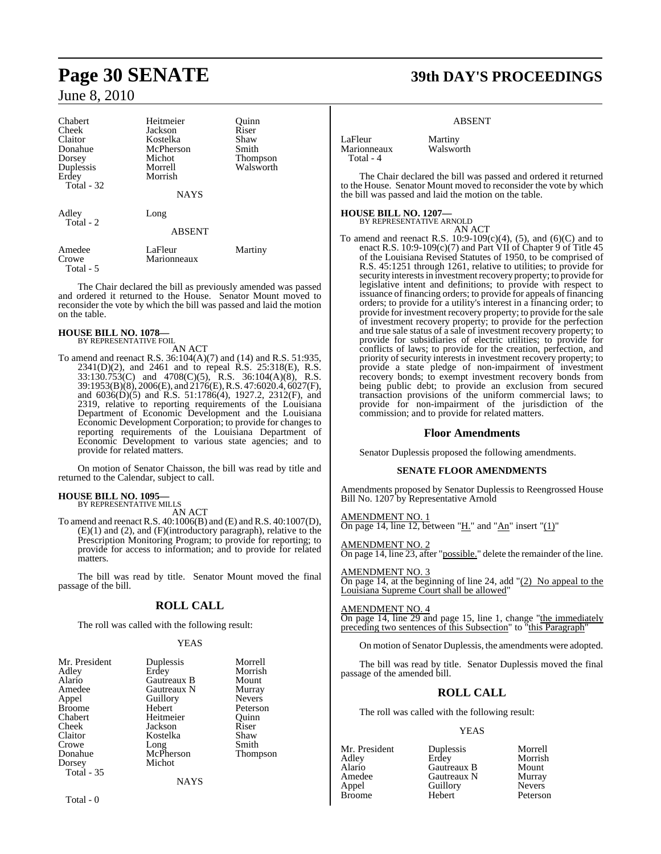| Chabert<br>Cheek<br>Claitor<br>Donahue<br>Dorsey<br>Duplessis<br>Erdey<br>Total - 32 | Heitmeier<br>Jackson<br>Kostelka<br>McPherson<br>Michot<br>Morrell<br>Morrish<br><b>NAYS</b> | Quinn<br>Riser<br>Shaw<br>Smith<br><b>Thompson</b><br>Walsworth |
|--------------------------------------------------------------------------------------|----------------------------------------------------------------------------------------------|-----------------------------------------------------------------|
| Adley<br>Total - 2                                                                   | Long<br><b>ABSENT</b>                                                                        |                                                                 |
| Amedee<br>Crowe<br>Total - 5                                                         | LaFleur<br>Marionneaux                                                                       | Martiny                                                         |

The Chair declared the bill as previously amended was passed and ordered it returned to the House. Senator Mount moved to reconsider the vote by which the bill was passed and laid the motion on the table.

#### **HOUSE BILL NO. 1078—** BY REPRESENTATIVE FOIL

AN ACT

To amend and reenact R.S. 36:104(A)(7) and (14) and R.S. 51:935, 2341(D)(2), and 2461 and to repeal R.S. 25:318(E), R.S. 33:130.753(C) and 4708(C)(5), R.S. 36:104(A)(8), R.S. 39:1953(B)(8), 2006(E), and 2176(E), R.S. 47:6020.4, 6027(F), and 6036(D)(5) and R.S. 51:1786(4), 1927.2, 2312(F), and 2319, relative to reporting requirements of the Louisiana Department of Economic Development and the Louisiana Economic Development Corporation; to provide for changes to reporting requirements of the Louisiana Department of Economic Development to various state agencies; and to provide for related matters.

On motion of Senator Chaisson, the bill was read by title and returned to the Calendar, subject to call.

## **HOUSE BILL NO. 1095—** BY REPRESENTATIVE MILLS

AN ACT

To amend and reenact R.S. 40:1006(B) and (E) and R.S. 40:1007(D), (E)(1) and (2), and (F)(introductory paragraph), relative to the Prescription Monitoring Program; to provide for reporting; to provide for access to information; and to provide for related matters.

The bill was read by title. Senator Mount moved the final passage of the bill.

### **ROLL CALL**

The roll was called with the following result:

#### YEAS

| Mr. President     | Duplessis   | Morrell       |
|-------------------|-------------|---------------|
| Adley             | Erdey       | Morrish       |
| Alario            | Gautreaux B | Mount         |
| Amedee            | Gautreaux N | Murray        |
| Appel             | Guillory    | <b>Nevers</b> |
| <b>Broome</b>     | Hebert      | Peterson      |
| Chabert           | Heitmeier   | Ouinn         |
| Cheek             | Jackson     | Riser         |
| Claitor           | Kostelka    | Shaw          |
| Crowe             | Long        | Smith         |
| Donahue           | McPherson   | Thompson      |
| Dorsey            | Michot      |               |
| <b>Total - 35</b> |             |               |
|                   | NAYS        |               |

## **Page 30 SENATE 39th DAY'S PROCEEDINGS**

#### ABSENT

LaFleur Martiny<br>Marionneaux Walswo Total - 4

Walsworth

The Chair declared the bill was passed and ordered it returned to the House. Senator Mount moved to reconsider the vote by which the bill was passed and laid the motion on the table.

### **HOUSE BILL NO. 1207—**

BY REPRESENTATIVE ARNOLD AN ACT

To amend and reenact R.S.  $10:9-109(c)(4)$ , (5), and (6)(C) and to enact R.S.  $10:9-109(c)(7)$  and Part VII of Chapter 9 of Title 45 of the Louisiana Revised Statutes of 1950, to be comprised of R.S. 45:1251 through 1261, relative to utilities; to provide for security interests in investment recovery property; to provide for legislative intent and definitions; to provide with respect to issuance of financing orders; to provide for appeals of financing orders; to provide for a utility's interest in a financing order; to provide for investment recovery property; to provide for the sale of investment recovery property; to provide for the perfection and true sale status of a sale of investment recovery property; to provide for subsidiaries of electric utilities; to provide for conflicts of laws; to provide for the creation, perfection, and priority of security interests in investment recovery property; to provide a state pledge of non-impairment of investment recovery bonds; to exempt investment recovery bonds from being public debt; to provide an exclusion from secured transaction provisions of the uniform commercial laws; to provide for non-impairment of the jurisdiction of the commission; and to provide for related matters.

### **Floor Amendments**

Senator Duplessis proposed the following amendments.

#### **SENATE FLOOR AMENDMENTS**

Amendments proposed by Senator Duplessis to Reengrossed House Bill No. 1207 by Representative Arnold

AMENDMENT NO. 1 On page 14, line 12, between "H." and "An" insert "(1)"

MEND<u>MENT NO. 2</u> On page 14, line 23, after "possible." delete the remainder of the line.

AMENDMENT NO. 3 On page 14, at the beginning of line 24, add  $\frac{1}{2}$  No appeal to the Louisiana Supreme Court shall be allowed"

#### AMENDMENT NO. 4

On page 14, line 29 and page 15, line 1, change "the immediately preceding two sentences of this Subsection" to "this Paragraph"

On motion of Senator Duplessis, the amendments were adopted.

The bill was read by title. Senator Duplessis moved the final passage of the amended bill.

### **ROLL CALL**

The roll was called with the following result:

#### YEAS

Adley Erdey Morrish Alario Gautreaux B Mount Amedee Gautreaux N Murray<br>
Appel Guillory Nevers Appel Guillory<br>
Rroome Hebert

Mr. President Duplessis Morrell

Peterson

Total - 0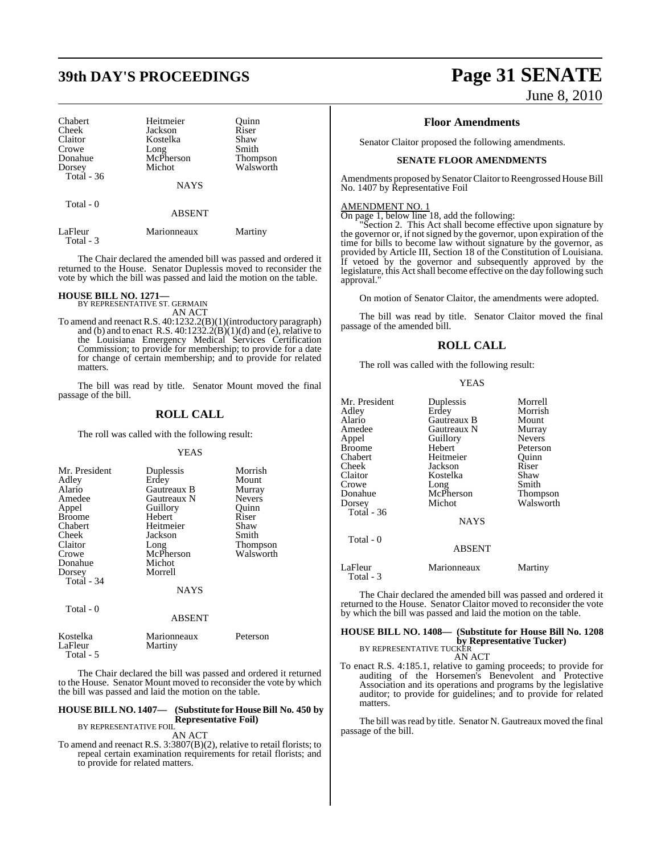## **39th DAY'S PROCEEDINGS Page 31 SENATE**

| Chabert<br>Cheek<br>Claitor | Heitmeier<br>Jackson<br>Kostelka | Ouinn<br>Riser<br>Shaw |
|-----------------------------|----------------------------------|------------------------|
| Crowe                       | Long                             | Smith                  |
| Donahue                     | McPherson                        | <b>Thompson</b>        |
| Dorsey                      | Michot                           | Walsworth              |
| Total - 36                  |                                  |                        |
|                             | <b>NAYS</b>                      |                        |
| Total - 0                   |                                  |                        |
|                             | <b>ABSENT</b>                    |                        |
| LaFleur                     | Marionneaux                      | Martinv                |

Total - 3

The Chair declared the amended bill was passed and ordered it returned to the House. Senator Duplessis moved to reconsider the vote by which the bill was passed and laid the motion on the table.

#### **HOUSE BILL NO. 1271—**

BY REPRESENTATIVE ST. GERMAIN AN ACT

To amend and reenact R.S. 40:1232.2(B)(1)(introductory paragraph) and (b) and to enact R.S.  $40:1232.2(B)(1)(d)$  and (e), relative to the Louisiana Emergency Medical Services Certification Commission; to provide for membership; to provide for a date for change of certain membership; and to provide for related matters.

The bill was read by title. Senator Mount moved the final passage of the bill.

#### **ROLL CALL**

The roll was called with the following result:

#### YEAS

| Mr. President<br>Adley<br>Alario<br>Amedee<br>Appel<br><b>Broome</b><br>Chabert<br>Cheek<br>Claitor<br>Crowe<br>Donahue<br>Dorsey<br>Total - 34 | Duplessis<br>Erdey<br>Gautreaux B<br>Gautreaux N<br>Guillory<br>Hebert<br>Heitmeier<br>Jackson<br>Long<br>McPherson<br>Michot<br>Morrell | Morrish<br>Mount<br>Murray<br><b>Nevers</b><br>Ouinn<br>Riser<br>Shaw<br>Smith<br>Thompson<br>Walsworth |
|-------------------------------------------------------------------------------------------------------------------------------------------------|------------------------------------------------------------------------------------------------------------------------------------------|---------------------------------------------------------------------------------------------------------|
|                                                                                                                                                 | <b>NAYS</b>                                                                                                                              |                                                                                                         |
| Total - 0                                                                                                                                       | <b>ABSENT</b>                                                                                                                            |                                                                                                         |
| $\bm{V} = -4 - 11$                                                                                                                              | $M = 12.2$                                                                                                                               | $D - 1 - 2 - 3$                                                                                         |

| Kostelka  | Marionneaux | Peterson |
|-----------|-------------|----------|
| LaFleur   | Martiny     |          |
| Total - 5 |             |          |

The Chair declared the bill was passed and ordered it returned to the House. Senator Mount moved to reconsider the vote by which the bill was passed and laid the motion on the table.

#### **HOUSE BILL NO. 1407— (Substitute for HouseBill No. 450 by Representative Foil)**

BY REPRESENTATIVE FOIL AN ACT

To amend and reenact R.S. 3:3807(B)(2), relative to retail florists; to repeal certain examination requirements for retail florists; and to provide for related matters.

# June 8, 2010

#### **Floor Amendments**

Senator Claitor proposed the following amendments.

#### **SENATE FLOOR AMENDMENTS**

Amendments proposed by Senator Claitor to Reengrossed House Bill No. 1407 by Representative Foil

#### AMENDMENT NO. 1

Total - 3

On page 1, below line 18, add the following:

"Section 2. This Act shall become effective upon signature by the governor or, if not signed by the governor, upon expiration of the time for bills to become law without signature by the governor, as provided by Article III, Section 18 of the Constitution of Louisiana. If vetoed by the governor and subsequently approved by the legislature, this Act shall become effective on the day following such approval."

On motion of Senator Claitor, the amendments were adopted.

The bill was read by title. Senator Claitor moved the final passage of the amended bill.

### **ROLL CALL**

YEAS

The roll was called with the following result:

| Mr. President<br>Adlev<br>Alario<br>Amedee<br>Appel<br>Broome<br>Chabert<br>Cheek<br>Claitor<br>Crowe<br>Donahue<br>Dorsey<br>Total - 36 | Duplessis<br>Erdey<br>Gautreaux B<br>Gautreaux N<br>Guillory<br>Hebert<br>Heitmeier<br>Jackson<br>Kostelka<br>Long<br>McPherson<br>Michot<br><b>NAYS</b> | Morrell<br>Morrish<br>Mount<br>Murray<br><b>Nevers</b><br>Peterson<br>Ouinn<br>Riser<br>Shaw<br>Smith<br>Thompson<br>Walsworth |
|------------------------------------------------------------------------------------------------------------------------------------------|----------------------------------------------------------------------------------------------------------------------------------------------------------|--------------------------------------------------------------------------------------------------------------------------------|
| Total $-0$                                                                                                                               | <b>ABSENT</b>                                                                                                                                            |                                                                                                                                |
| LaFleur                                                                                                                                  | Marionneaux                                                                                                                                              | Martiny                                                                                                                        |

The Chair declared the amended bill was passed and ordered it returned to the House. Senator Claitor moved to reconsider the vote by which the bill was passed and laid the motion on the table.

#### **HOUSE BILL NO. 1408— (Substitute for House Bill No. 1208 by Representative Tucker)** BY REPRESENTATIVE TUCKER

AN ACT

To enact R.S. 4:185.1, relative to gaming proceeds; to provide for auditing of the Horsemen's Benevolent and Protective Association and its operations and programs by the legislative auditor; to provide for guidelines; and to provide for related matters.

The bill was read by title. Senator N. Gautreaux moved the final passage of the bill.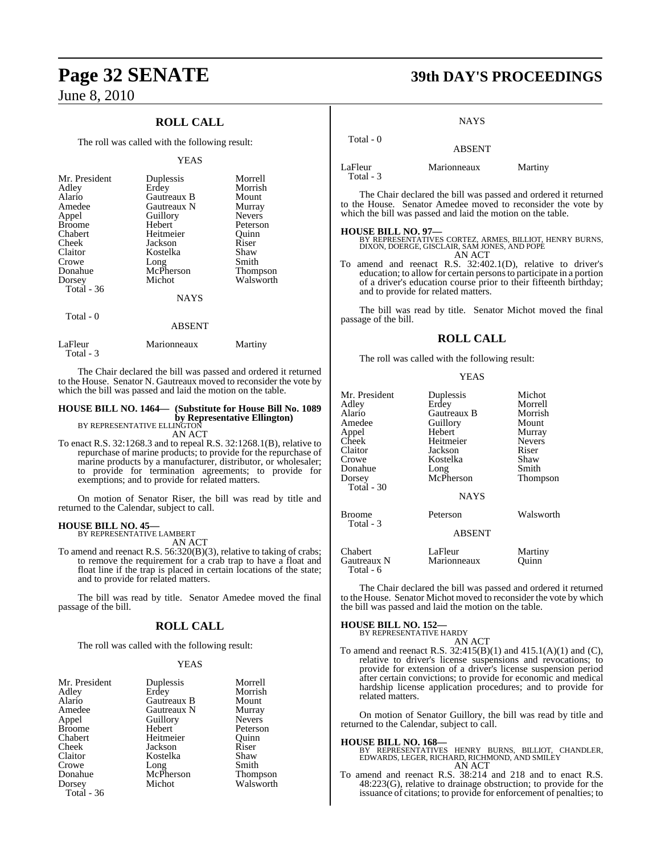### **ROLL CALL**

The roll was called with the following result:

#### YEAS

| Mr. President           | Duplessis   | Morrell         |
|-------------------------|-------------|-----------------|
| Adley                   | Erdey       | Morrish         |
| Alario                  | Gautreaux B | Mount           |
| Amedee                  | Gautreaux N | Murray          |
| Appel                   | Guillory    | <b>Nevers</b>   |
| <b>Broome</b>           | Hebert      | Peterson        |
| Chabert                 | Heitmeier   | Quinn           |
| Cheek                   | Jackson     | Riser           |
| Claitor                 | Kostelka    | Shaw            |
| Crowe                   | Long        | Smith           |
| Donahue                 | McPherson   | <b>Thompson</b> |
| Dorsey                  | Michot      | Walsworth       |
| Total - 36<br>Total - 0 | <b>NAYS</b> |                 |

#### ABSENT

| Marionneaux | Martiny |
|-------------|---------|
|             |         |

The Chair declared the bill was passed and ordered it returned to the House. Senator N. Gautreaux moved to reconsider the vote by which the bill was passed and laid the motion on the table.

### **HOUSE BILL NO. 1464— (Substitute for House Bill No. 1089 by Representative Ellington)**<br>BY REPRESENTATIVE ELLINGTON

AN ACT

To enact R.S. 32:1268.3 and to repeal R.S. 32:1268.1(B), relative to repurchase of marine products; to provide for the repurchase of marine products by a manufacturer, distributor, or wholesaler; to provide for termination agreements; to provide for exemptions; and to provide for related matters.

On motion of Senator Riser, the bill was read by title and returned to the Calendar, subject to call.

#### **HOUSE BILL NO. 45—**

BY REPRESENTATIVE LAMBERT AN ACT

To amend and reenact R.S. 56:320(B)(3), relative to taking of crabs; to remove the requirement for a crab trap to have a float and float line if the trap is placed in certain locations of the state; and to provide for related matters.

The bill was read by title. Senator Amedee moved the final passage of the bill.

#### **ROLL CALL**

The roll was called with the following result:

#### YEAS

| Mr. President | Duplessis   | Morrell         |
|---------------|-------------|-----------------|
| Adley         | Erdey       | Morrish         |
| Alario        | Gautreaux B | Mount           |
| Amedee        | Gautreaux N | Murray          |
| Appel         | Guillory    | <b>Nevers</b>   |
| <b>Broome</b> | Hebert      | Peterson        |
| Chabert       | Heitmeier   | Ouinn           |
| Cheek         | Jackson     | Riser           |
| Claitor       | Kostelka    | Shaw            |
| Crowe         | Long        | Smith           |
| Donahue       | McPherson   | <b>Thompson</b> |
| Dorsey        | Michot      | Walsworth       |
| Total - 36    |             |                 |

## **Page 32 SENATE 39th DAY'S PROCEEDINGS**

#### **NAYS**

| Total - 0 | <b>ABSENT</b> |         |
|-----------|---------------|---------|
| LaFleur   | Marionneaux   | Martiny |

Total - 3

The Chair declared the bill was passed and ordered it returned to the House. Senator Amedee moved to reconsider the vote by which the bill was passed and laid the motion on the table.

**HOUSE BILL NO. 97—** BY REPRESENTATIVES CORTEZ, ARMES, BILLIOT, HENRY BURNS, DIXON, DOERGE, GISCLAIR, SAM JONES, AND POPE AN ACT

To amend and reenact R.S. 32:402.1(D), relative to driver's education; to allow for certain personsto participate in a portion of a driver's education course prior to their fifteenth birthday; and to provide for related matters.

The bill was read by title. Senator Michot moved the final passage of the bill.

#### **ROLL CALL**

The roll was called with the following result:

#### **YEAS**

| Mr. President<br>Adley<br>Alario<br>Amedee<br>Appel<br>Cheek<br>Claitor<br>Crowe<br>Donahue<br>Dorsey<br>Total - 30 | Duplessis<br>Erdey<br>Gautreaux B<br>Guillory<br>Hebert<br>Heitmeier<br>Jackson<br>Kostelka<br>Long<br>McPherson<br><b>NAYS</b> | Michot<br>Morrell<br>Morrish<br>Mount<br>Murray<br><b>Nevers</b><br>Riser<br>Shaw<br>Smith<br>Thompson |
|---------------------------------------------------------------------------------------------------------------------|---------------------------------------------------------------------------------------------------------------------------------|--------------------------------------------------------------------------------------------------------|
| Broome<br>Total - 3                                                                                                 | Peterson<br><b>ABSENT</b>                                                                                                       | Walsworth                                                                                              |
| Chabert<br>Gautreaux N<br>Total - 6                                                                                 | LaFleur<br>Marionneaux                                                                                                          | Martiny<br>Ouinn                                                                                       |

The Chair declared the bill was passed and ordered it returned to the House. Senator Michot moved to reconsider the vote by which the bill was passed and laid the motion on the table.

## **HOUSE BILL NO. 152—** BY REPRESENTATIVE HARDY

AN ACT To amend and reenact R.S. 32:415(B)(1) and 415.1(A)(1) and (C), relative to driver's license suspensions and revocations; to provide for extension of a driver's license suspension period after certain convictions; to provide for economic and medical hardship license application procedures; and to provide for related matters.

On motion of Senator Guillory, the bill was read by title and returned to the Calendar, subject to call.

**HOUSE BILL NO. 168—** BY REPRESENTATIVES HENRY BURNS, BILLIOT, CHANDLER, EDWARDS, LEGER, RICHARD, RICHMOND, AND SMILEY

- AN ACT
- To amend and reenact R.S. 38:214 and 218 and to enact R.S. 48:223(G), relative to drainage obstruction; to provide for the issuance of citations; to provide for enforcement of penalties; to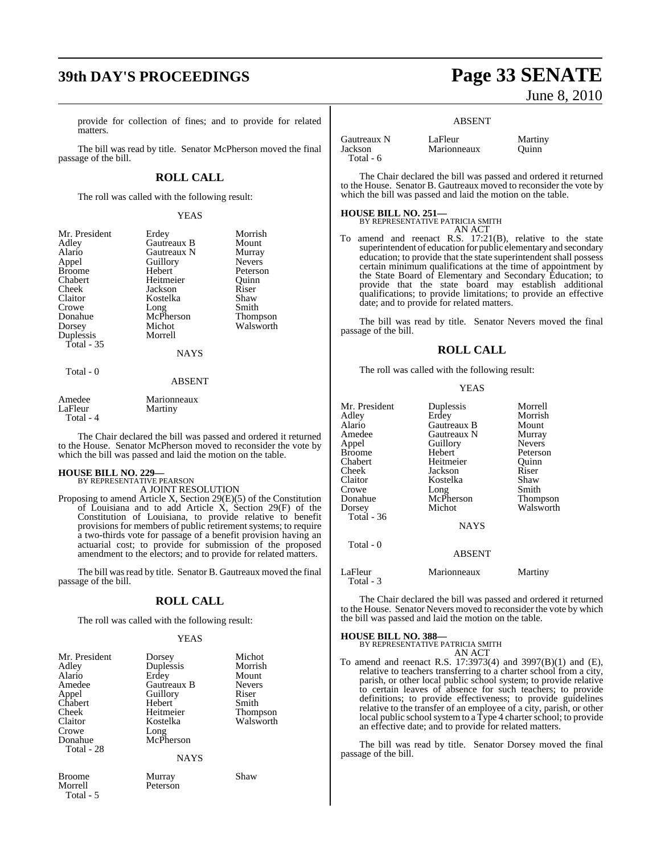## **39th DAY'S PROCEEDINGS Page 33 SENATE**

provide for collection of fines; and to provide for related matters.

The bill was read by title. Senator McPherson moved the final passage of the bill.

#### **ROLL CALL**

The roll was called with the following result:

#### YEAS

| Mr. President | Erdey       | Morrish       |
|---------------|-------------|---------------|
|               |             |               |
| Adley         | Gautreaux B | Mount         |
| Alario        | Gautreaux N | Murray        |
| Appel         | Guillory    | <b>Nevers</b> |
| <b>Broome</b> | Hebert      | Peterson      |
| Chabert       | Heitmeier   | Ouinn         |
| Cheek         | Jackson     | Riser         |
| Claitor       | Kostelka    | Shaw          |
| Crowe         | Long        | Smith         |
| Donahue       | McPherson   | Thompson      |
| Dorsey        | Michot      | Walsworth     |
| Duplessis     | Morrell     |               |
| Total - 35    |             |               |
|               | <b>NAYS</b> |               |
| Total - 0     |             |               |

#### ABSENT

| Amedee    | Marionneaux |
|-----------|-------------|
| LaFleur   | Martiny     |
| Total - 4 |             |

The Chair declared the bill was passed and ordered it returned to the House. Senator McPherson moved to reconsider the vote by which the bill was passed and laid the motion on the table.

#### **HOUSE BILL NO. 229—**

Total - 5

BY REPRESENTATIVE PEARSON A JOINT RESOLUTION

Proposing to amend Article X, Section 29(E)(5) of the Constitution of Louisiana and to add Article X, Section 29(F) of the Constitution of Louisiana, to provide relative to benefit provisions for members of public retirement systems; to require a two-thirds vote for passage of a benefit provision having an actuarial cost; to provide for submission of the proposed amendment to the electors; and to provide for related matters.

The bill was read by title. Senator B. Gautreaux moved the final passage of the bill.

### **ROLL CALL**

The roll was called with the following result:

#### YEAS

| Mr. President | Dorsey      | Michot        |
|---------------|-------------|---------------|
| Adley         | Duplessis   | Morrish       |
| Alario        | Erdey       | Mount         |
| Amedee        | Gautreaux B | <b>Nevers</b> |
| Appel         | Guillory    | Riser         |
| Chabert       | Hebert      | Smith         |
| Cheek         | Heitmeier   | Thompson      |
| Claitor       | Kostelka    | Walsworth     |
| Crowe         | Long        |               |
| Donahue       | McPherson   |               |
| Total - 28    |             |               |
|               | <b>NAYS</b> |               |
| <b>Broome</b> | Murray      | Shaw          |
| Morrell       | Peterson    |               |

# June 8, 2010

#### ABSENT

| Gautreaux N | LaFleur     | Martiny |
|-------------|-------------|---------|
| Jackson     | Marionneaux | Ouinn   |
| Total - $6$ |             |         |

The Chair declared the bill was passed and ordered it returned to the House. Senator B. Gautreaux moved to reconsider the vote by which the bill was passed and laid the motion on the table.

#### **HOUSE BILL NO. 251—**

BY REPRESENTATIVE PATRICIA SMITH AN ACT

To amend and reenact R.S. 17:21(B), relative to the state superintendent of education for public elementary and secondary education; to provide that the state superintendent shall possess certain minimum qualifications at the time of appointment by the State Board of Elementary and Secondary Education; to provide that the state board may establish additional qualifications; to provide limitations; to provide an effective date; and to provide for related matters.

The bill was read by title. Senator Nevers moved the final passage of the bill.

#### **ROLL CALL**

The roll was called with the following result:

YEAS

| Mr. President<br>Adley<br>Alario<br>Amedee<br>Appel<br><b>Broome</b> | Duplessis<br>Erdey<br>Gautreaux B<br>Gautreaux N<br>Guillory<br>Hebert | Morrell<br>Morrish<br>Mount<br>Murray<br><b>Nevers</b><br>Peterson |
|----------------------------------------------------------------------|------------------------------------------------------------------------|--------------------------------------------------------------------|
| Chabert                                                              | Heitmeier                                                              | Ouinn                                                              |
| Cheek                                                                | Jackson                                                                | Riser                                                              |
| Claitor                                                              | Kostelka                                                               | Shaw                                                               |
| Crowe                                                                | Long                                                                   | Smith                                                              |
| Donahue                                                              | McPherson                                                              | Thompson                                                           |
| Dorsey                                                               | Michot                                                                 | Walsworth                                                          |
| Total $-36$                                                          |                                                                        |                                                                    |
|                                                                      | <b>NAYS</b>                                                            |                                                                    |
| Total - 0                                                            |                                                                        |                                                                    |
|                                                                      | <b>ABSENT</b>                                                          |                                                                    |
| LaFleur<br>Total - 3                                                 | Marionneaux                                                            | Martiny                                                            |

The Chair declared the bill was passed and ordered it returned to the House. Senator Nevers moved to reconsider the vote by which the bill was passed and laid the motion on the table.

### **HOUSE BILL NO. 388—** BY REPRESENTATIVE PATRICIA SMITH

AN ACT

To amend and reenact R.S. 17:3973(4) and 3997(B)(1) and (E), relative to teachers transferring to a charter school from a city, parish, or other local public school system; to provide relative to certain leaves of absence for such teachers; to provide definitions; to provide effectiveness; to provide guidelines relative to the transfer of an employee of a city, parish, or other local public school system to a Type 4 charter school; to provide an effective date; and to provide for related matters.

The bill was read by title. Senator Dorsey moved the final passage of the bill.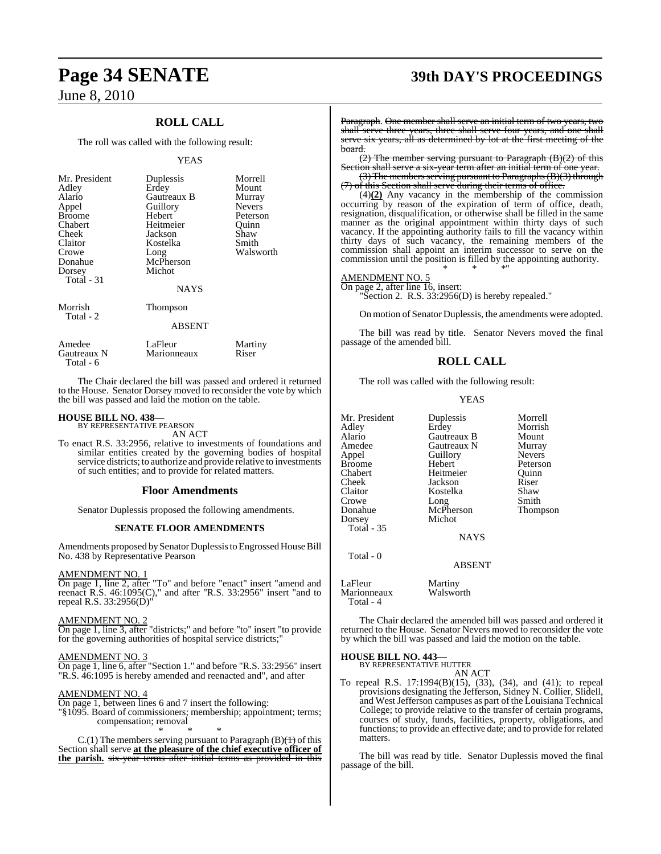### **ROLL CALL**

The roll was called with the following result:

#### YEAS

| Mr. President<br>Adley<br>Alario<br>Appel<br><b>Broome</b><br>Chabert<br>Cheek<br>Claitor<br>Crowe<br>Donahue<br>Dorsey<br>Total - 31 | Duplessis<br>Erdey<br>Gautreaux B<br>Guillory<br>Hebert<br>Heitmeier<br>Jackson<br>Kostelka<br>Long<br>McPherson<br>Michot<br><b>NAYS</b> | Morrell<br>Mount<br>Murray<br><b>Nevers</b><br>Peterson<br>Ouinn<br>Shaw<br>Smith<br>Walsworth |
|---------------------------------------------------------------------------------------------------------------------------------------|-------------------------------------------------------------------------------------------------------------------------------------------|------------------------------------------------------------------------------------------------|
| Morrish<br>Total - 2                                                                                                                  | Thompson<br><b>ABSENT</b>                                                                                                                 |                                                                                                |
| Amedee<br>Gautreaux N                                                                                                                 | LaFleur<br>Marionneaux                                                                                                                    | Martiny<br>Riser                                                                               |

Total - 6

The Chair declared the bill was passed and ordered it returned to the House. Senator Dorsey moved to reconsider the vote by which the bill was passed and laid the motion on the table.

### **HOUSE BILL NO. 438—** BY REPRESENTATIVE PEARSON

AN ACT

To enact R.S. 33:2956, relative to investments of foundations and similar entities created by the governing bodies of hospital service districts; to authorize and provide relative to investments of such entities; and to provide for related matters.

#### **Floor Amendments**

Senator Duplessis proposed the following amendments.

#### **SENATE FLOOR AMENDMENTS**

Amendments proposed bySenator Duplessis to Engrossed House Bill No. 438 by Representative Pearson

#### AMENDMENT NO. 1

On page 1, line 2, after "To" and before "enact" insert "amend and reenact R.S. 46:1095(C)," and after "R.S. 33:2956" insert "and to repeal R.S. 33:2956(D)"

#### AMENDMENT NO. 2

On page 1, line 3, after "districts;" and before "to" insert "to provide for the governing authorities of hospital service districts;"

#### AMENDMENT NO. 3

On page 1, line 6, after "Section 1." and before "R.S. 33:2956" insert "R.S. 46:1095 is hereby amended and reenacted and", and after

#### AMENDMENT NO. 4

On page 1, between lines 6 and 7 insert the following:

"§1095. Board of commissioners; membership; appointment; terms; compensation; removal

\* \* \* C.(1) The members serving pursuant to Paragraph (B) $\left(\frac{1}{1}\right)$  of this Section shall serve **at the pleasure of the chief executive officer of the parish.** six-year terms after initial terms as provided in this

## **Page 34 SENATE 39th DAY'S PROCEEDINGS**

Paragraph. One member shall serve an initial term of two years, two shall serve three years, three shall serve four years, and one shall serve six years, all as determined by lot at the first meeting of the board.

(2) The member serving pursuant to Paragraph (B)(2) of this Section shall serve a six-year term after an initial term of one year.

(3) The members serving pursuant to Paragraphs (B)(3) through (7) of this Section shall serve during their terms of office.

(4)**(2)** Any vacancy in the membership of the commission occurring by reason of the expiration of term of office, death, resignation, disqualification, or otherwise shall be filled in the same manner as the original appointment within thirty days of such vacancy. If the appointing authority fails to fill the vacancy within thirty days of such vacancy, the remaining members of the commission shall appoint an interim successor to serve on the commission until the position is filled by the appointing authority. \* \* \*"

#### AMENDMENT NO. 5

On page 2, after line 16, insert: "Section 2. R.S. 33:2956(D) is hereby repealed."

On motion of Senator Duplessis, the amendments were adopted.

The bill was read by title. Senator Nevers moved the final passage of the amended bill.

#### **ROLL CALL**

The roll was called with the following result:

#### YEAS

| Mr. President<br>Adley<br>Alario | Duplessis<br>Erdey<br>Gautreaux B | Morrell<br>Morrish<br>Mount |
|----------------------------------|-----------------------------------|-----------------------------|
| Amedee                           | Gautreaux N                       | Murray                      |
| Appel                            | Guillory                          | <b>Nevers</b>               |
| Broome                           | Hebert                            | Peterson                    |
| Chabert                          | Heitmeier                         | Ouinn                       |
| Cheek                            | Jackson                           | Riser                       |
| Claitor                          | Kostelka                          | Shaw                        |
| Crowe                            | Long                              | Smith                       |
| Donahue                          | McPherson                         | Thompson                    |
| Dorsey                           | Michot                            |                             |
| Total - 35                       |                                   |                             |
|                                  | <b>NAYS</b>                       |                             |
| Total $-0$                       | <b>ABSENT</b>                     |                             |
|                                  |                                   |                             |

LaFleur Martiny<br>Marionneaux Walsworth Marionneaux Total - 4

The Chair declared the amended bill was passed and ordered it returned to the House. Senator Nevers moved to reconsider the vote by which the bill was passed and laid the motion on the table.

#### **HOUSE BILL NO. 443—**

BY REPRESENTATIVE HUTTER AN ACT

To repeal R.S. 17:1994(B)(15), (33), (34), and (41); to repeal provisions designating the Jefferson, Sidney N. Collier, Slidell, and West Jefferson campuses as part of the Louisiana Technical College; to provide relative to the transfer of certain programs, courses of study, funds, facilities, property, obligations, and functions; to provide an effective date; and to provide forrelated matters.

The bill was read by title. Senator Duplessis moved the final passage of the bill.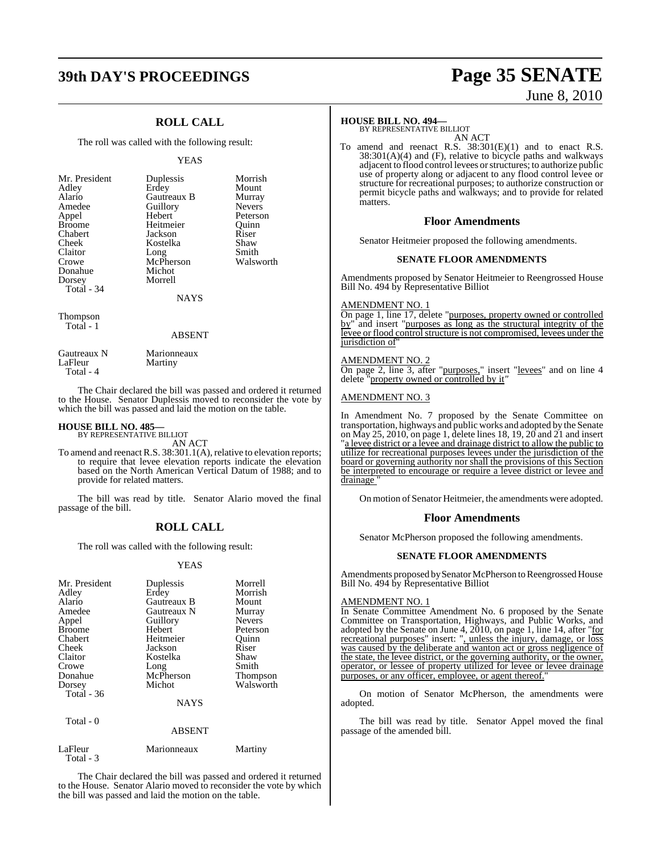## **39th DAY'S PROCEEDINGS Page 35 SENATE**

### **ROLL CALL**

The roll was called with the following result:

#### YEAS

| Mr. President | <b>Duplessi</b> |
|---------------|-----------------|
| Adley         | Erdey           |
| Alario        | Gautreau        |
| Amedee        | Guillory        |
| Appel         | Hebert          |
| <b>Broome</b> | Heitmeie        |
| Chabert       | Jackson         |
| Cheek         | Kostelka        |
| Claitor       | Long            |
| Crowe         | McPhers         |
| Donahue       | Michot          |
| Dorsey        | Morrell         |
| Total - 34    |                 |
|               |                 |

Puplessis Morrish<br>President Duplessis<br>Mount Alario Gautreaux B Murray Feitmeier Quinn<br>Broomen Riser ackson Riser<br>Costelka Shaw ong Smith<br>AcPherson Walsworth McPherson

Mount

Peterson<br>Quinn

Thompson Total - 1

#### ABSENT

NAYS

| Gautreaux N | Marionneaux |
|-------------|-------------|
| LaFleur     | Martiny     |
| Total - 4   |             |

The Chair declared the bill was passed and ordered it returned to the House. Senator Duplessis moved to reconsider the vote by which the bill was passed and laid the motion on the table.

### **HOUSE BILL NO. 485—** BY REPRESENTATIVE BILLIOT

AN ACT

To amend and reenact R.S. 38:301.1(A), relative to elevation reports; to require that levee elevation reports indicate the elevation based on the North American Vertical Datum of 1988; and to provide for related matters.

The bill was read by title. Senator Alario moved the final passage of the bill.

### **ROLL CALL**

The roll was called with the following result:

#### YEAS

| LaFleur   | Marionneaux | Martiny |
|-----------|-------------|---------|
| Total - 3 |             |         |

The Chair declared the bill was passed and ordered it returned to the House. Senator Alario moved to reconsider the vote by which the bill was passed and laid the motion on the table.

# June 8, 2010

#### **HOUSE BILL NO. 494—**

BY REPRESENTATIVE BILLIOT AN ACT

To amend and reenact R.S. 38:301(E)(1) and to enact R.S.  $38:301(A)(4)$  and (F), relative to bicycle paths and walkways adjacent to flood control levees orstructures; to authorize public use of property along or adjacent to any flood control levee or structure for recreational purposes; to authorize construction or permit bicycle paths and walkways; and to provide for related matters.

#### **Floor Amendments**

Senator Heitmeier proposed the following amendments.

#### **SENATE FLOOR AMENDMENTS**

Amendments proposed by Senator Heitmeier to Reengrossed House Bill No. 494 by Representative Billiot

#### AMENDMENT NO. 1

On page 1, line 17, delete "purposes, property owned or controlled by" and insert "purposes as long as the structural integrity of the levee or flood control structure is not compromised, levees under the jurisdiction of

#### AMENDMENT NO. 2

On page 2, line 3, after "purposes," insert "levees" and on line 4 delete "property owned or controlled by it*"*

#### AMENDMENT NO. 3

In Amendment No. 7 proposed by the Senate Committee on transportation, highways and public works and adopted by the Senate on May 25, 2010, on page 1, delete lines 18, 19, 20 and 21 and insert "a levee district or a levee and drainage district to allow the public to utilize for recreational purposes levees under the jurisdiction of the board or governing authority nor shall the provisions of this Section be interpreted to encourage or require a levee district or levee and drainage "

On motion of Senator Heitmeier, the amendments were adopted.

#### **Floor Amendments**

Senator McPherson proposed the following amendments.

#### **SENATE FLOOR AMENDMENTS**

Amendments proposed by Senator McPherson to Reengrossed House Bill No. 494 by Representative Billiot

#### AMENDMENT NO. 1

In Senate Committee Amendment No. 6 proposed by the Senate Committee on Transportation, Highways, and Public Works, and adopted by the Senate on June 4, 2010, on page 1, line 14, after "for recreational purposes" insert: ", unless the injury, damage, or loss was caused by the deliberate and wanton act or gross negligence of the state, the levee district, or the governing authority, or the owner, operator, or lessee of property utilized for levee or levee drainage purposes, or any officer, employee, or agent thereof.

On motion of Senator McPherson, the amendments were adopted.

The bill was read by title. Senator Appel moved the final passage of the amended bill.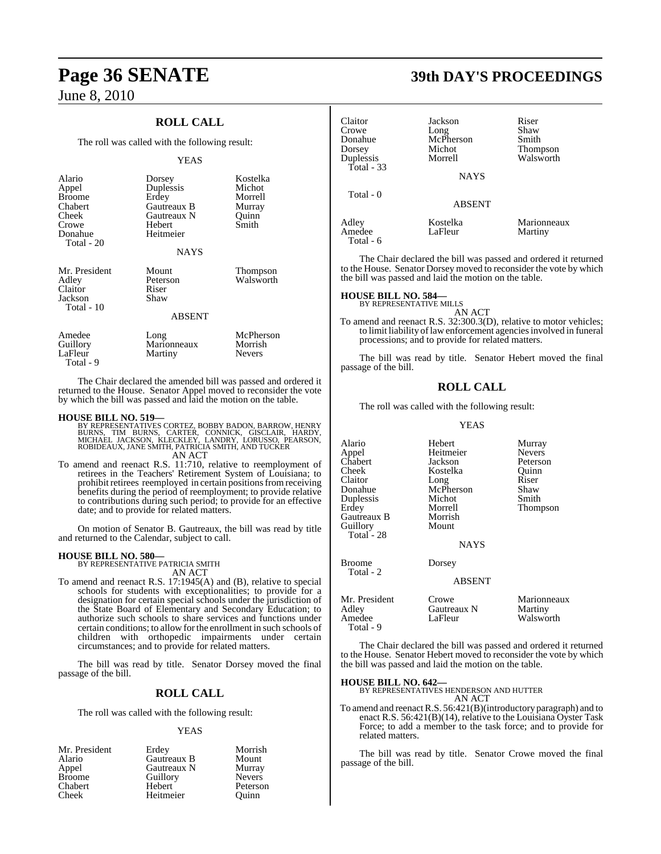## **Page 36 SENATE 39th DAY'S PROCEEDINGS**

June 8, 2010

### **ROLL CALL**

The roll was called with the following result:

#### YEAS

| Alario<br>Appel<br><b>Broome</b><br>Chabert<br>Cheek<br>Crowe<br>Donahue<br>Total - 20 | Dorsey<br>Duplessis<br>Erdey<br>Gautreaux B<br>Gautreaux N<br>Hebert<br>Heitmeier<br><b>NAYS</b> | Kostelka<br>Michot<br>Morrell<br>Murray<br>Ouinn<br>Smith |
|----------------------------------------------------------------------------------------|--------------------------------------------------------------------------------------------------|-----------------------------------------------------------|
| Mr. President<br>Adley<br>Claitor<br>Jackson<br>Total - 10                             | Mount<br>Peterson<br>Riser<br>Shaw<br><b>ABSENT</b>                                              | Thompson<br>Walsworth                                     |
| Amedee<br>Guillory<br>LaFleur                                                          | Long<br>Marionneaux<br>Martiny                                                                   | McPherson<br>Morrish<br><b>Nevers</b>                     |

The Chair declared the amended bill was passed and ordered it returned to the House. Senator Appel moved to reconsider the vote by which the bill was passed and laid the motion on the table.

Total - 9

**HOUSE BILL NO. 519—**<br>BY REPRESENTATIVES CORTEZ, BOBBY BADON, BARROW, HENRY<br>BURNS, TIM BURNS, CARTER, CONNICK, GISCLAIR, HARDY,<br>MICHAEL JACKSON, KLECKLEY, LANDRY, LORUSSO, PEARSON,<br>ROBIDEAUX, JANE SMITH, PATRICIA SMITH, AN AN ACT

To amend and reenact R.S. 11:710, relative to reemployment of retirees in the Teachers' Retirement System of Louisiana; to prohibit retirees reemployed in certain positions from receiving benefits during the period of reemployment; to provide relative to contributions during such period; to provide for an effective date; and to provide for related matters.

On motion of Senator B. Gautreaux, the bill was read by title and returned to the Calendar, subject to call.

**HOUSE BILL NO. 580—** BY REPRESENTATIVE PATRICIA SMITH

AN ACT

To amend and reenact R.S. 17:1945(A) and (B), relative to special schools for students with exceptionalities; to provide for a designation for certain special schools under the jurisdiction of the State Board of Elementary and Secondary Education; to authorize such schools to share services and functions under certain conditions; to allow forthe enrollment in such schools of children with orthopedic impairments under certain circumstances; and to provide for related matters.

The bill was read by title. Senator Dorsey moved the final passage of the bill.

#### **ROLL CALL**

The roll was called with the following result:

#### YEAS

| Mr. President | Erdey       | Morrish       |
|---------------|-------------|---------------|
| Alario        | Gautreaux B | Mount         |
| Appel         | Gautreaux N | Murray        |
| <b>Broome</b> | Guillory    | <b>Nevers</b> |
| Chabert       | Hebert      | Peterson      |
| Cheek         | Heitmeier   | Ouinn         |

| Claitor<br>Crowe<br>Donahue<br>Dorsey<br>Duplessis<br>Total $-33$ | Jackson<br>Long<br>McPherson<br>Michot<br>Morrell<br><b>NAYS</b> | Riser<br>Shaw<br>Smith<br><b>Thompson</b><br>Walsworth |
|-------------------------------------------------------------------|------------------------------------------------------------------|--------------------------------------------------------|
| Total - 0                                                         | <b>ABSENT</b>                                                    |                                                        |
| Adley<br>Amedee                                                   | Kostelka<br>LaFleur                                              | Marionneaux<br>Martiny                                 |

The Chair declared the bill was passed and ordered it returned to the House. Senator Dorsey moved to reconsider the vote by which the bill was passed and laid the motion on the table.

#### **HOUSE BILL NO. 584—**

Total - 6

BY REPRESENTATIVE MILLS AN ACT

To amend and reenact R.S. 32:300.3(D), relative to motor vehicles; to limit liability of law enforcement agencies involved in funeral processions; and to provide for related matters.

The bill was read by title. Senator Hebert moved the final passage of the bill.

### **ROLL CALL**

The roll was called with the following result:

#### YEAS

| Alario<br>Appel<br>Chabert<br>Cheek<br>Claitor<br>Donahue<br>Duplessis<br>Erdey<br>Gautreaux B<br>Guillory<br>Total - 28 | Hebert<br>Heitmeier<br>Jackson<br>Kostelka<br>Long<br>McPherson<br>Michot<br>Morrell<br>Morrish<br>Mount<br><b>NAYS</b> | Murray<br><b>Nevers</b><br>Peterson<br>Ouinn<br>Riser<br>Shaw<br>Smith<br>Thompson |
|--------------------------------------------------------------------------------------------------------------------------|-------------------------------------------------------------------------------------------------------------------------|------------------------------------------------------------------------------------|
| <b>Broome</b><br>Total - 2                                                                                               | Dorsey<br><b>ABSENT</b>                                                                                                 |                                                                                    |
| Mr. President<br>Adley<br>Amedee<br>Total - 9                                                                            | Crowe<br>Gautreaux N<br>LaFleur                                                                                         | Marionneaux<br>Martiny<br>Walsworth                                                |

The Chair declared the bill was passed and ordered it returned to the House. Senator Hebert moved to reconsider the vote by which the bill was passed and laid the motion on the table.

**HOUSE BILL NO. 642—**

BY REPRESENTATIVES HENDERSON AND HUTTER AN ACT

To amend and reenactR.S. 56:421(B)(introductory paragraph) and to enact R.S. 56:421(B)(14), relative to the Louisiana Oyster Task Force; to add a member to the task force; and to provide for related matters.

The bill was read by title. Senator Crowe moved the final passage of the bill.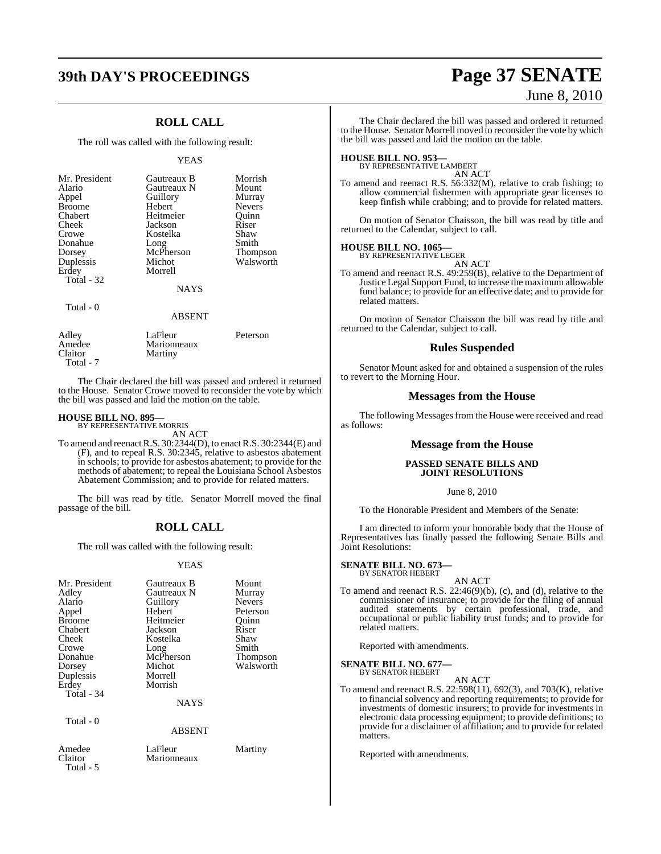## **39th DAY'S PROCEEDINGS Page 37 SENATE**

### **ROLL CALL**

The roll was called with the following result:

#### YEAS

| Mr. President<br>Alario<br>Appel<br><b>Broome</b><br>Chabert<br>Cheek<br>Crowe<br>Donahue<br>Dorsey<br>Duplessis<br>Erdey<br>Total - 32 | Gautreaux B<br>Gautreaux N<br>Guillory<br>Hebert<br>Heitmeier<br>Jackson<br>Kostelka<br>Long<br>McPherson<br>Michot<br>Morrell<br><b>NAYS</b> | Morrish<br>Mount<br>Murray<br><b>Nevers</b><br>Quinn<br>Riser<br>Shaw<br>Smith<br><b>Thompson</b><br>Walsworth |
|-----------------------------------------------------------------------------------------------------------------------------------------|-----------------------------------------------------------------------------------------------------------------------------------------------|----------------------------------------------------------------------------------------------------------------|
|                                                                                                                                         |                                                                                                                                               |                                                                                                                |
| Total - 0                                                                                                                               | <b>ABSENT</b>                                                                                                                                 |                                                                                                                |
| $A = 11 - 1$                                                                                                                            | $L = \Box L$                                                                                                                                  | $D - 1 - 2 - 2 - 2$                                                                                            |

Adley LaFleur Peterson<br>Amedee Marionneaux Amedee Marionneaux<br>Claitor Martiny Martiny Total - 7

The Chair declared the bill was passed and ordered it returned to the House. Senator Crowe moved to reconsider the vote by which the bill was passed and laid the motion on the table.

### **HOUSE BILL NO. 895—** BY REPRESENTATIVE MORRIS

AN ACT

To amend and reenactR.S. 30:2344(D), to enactR.S. 30:2344(E) and (F), and to repeal R.S. 30:2345, relative to asbestos abatement in schools; to provide for asbestos abatement; to provide for the methods of abatement; to repeal the Louisiana School Asbestos Abatement Commission; and to provide for related matters.

The bill was read by title. Senator Morrell moved the final passage of the bill.

### **ROLL CALL**

The roll was called with the following result:

#### YEAS

| Mr. President<br>Adley<br>Alario<br>Appel<br><b>Broome</b><br>Chabert<br>Cheek<br>Crowe<br>Donahue<br>Dorsey<br>Duplessis<br>Erdey<br>Total - 34 | Gautreaux B<br>Gautreaux N<br>Guillory<br>Hebert<br>Heitmeier<br>Jackson<br>Kostelka<br>Long<br>McPherson<br>Michot<br>Morrell<br>Morrish<br><b>NAYS</b> | Mount<br>Murray<br><b>Nevers</b><br>Peterson<br>Quinn<br>Riser<br>Shaw<br>Smith<br><b>Thompson</b><br>Walsworth |
|--------------------------------------------------------------------------------------------------------------------------------------------------|----------------------------------------------------------------------------------------------------------------------------------------------------------|-----------------------------------------------------------------------------------------------------------------|
| Total - 0                                                                                                                                        | ABSENT                                                                                                                                                   |                                                                                                                 |
| Amedee                                                                                                                                           | LaFleur                                                                                                                                                  | Martiny                                                                                                         |

# June 8, 2010

The Chair declared the bill was passed and ordered it returned to the House. Senator Morrell moved to reconsider the vote by which the bill was passed and laid the motion on the table.

**HOUSE BILL NO. 953—** BY REPRESENTATIVE LAMBERT AN ACT

To amend and reenact R.S. 56:332(M), relative to crab fishing; to allow commercial fishermen with appropriate gear licenses to keep finfish while crabbing; and to provide for related matters.

On motion of Senator Chaisson, the bill was read by title and returned to the Calendar, subject to call.

#### **HOUSE BILL NO. 1065—**

BY REPRESENTATIVE LEGER AN ACT

To amend and reenact R.S. 49:259(B), relative to the Department of Justice Legal Support Fund, to increase the maximum allowable fund balance; to provide for an effective date; and to provide for related matters.

On motion of Senator Chaisson the bill was read by title and returned to the Calendar, subject to call.

#### **Rules Suspended**

Senator Mount asked for and obtained a suspension of the rules to revert to the Morning Hour.

#### **Messages from the House**

The following Messages from the House were received and read as follows:

#### **Message from the House**

#### **PASSED SENATE BILLS AND JOINT RESOLUTIONS**

#### June 8, 2010

To the Honorable President and Members of the Senate:

I am directed to inform your honorable body that the House of Representatives has finally passed the following Senate Bills and Joint Resolutions:

### **SENATE BILL NO. 673—** BY SENATOR HEBERT

AN ACT

To amend and reenact R.S. 22:46(9)(b), (c), and (d), relative to the commissioner of insurance; to provide for the filing of annual audited statements by certain professional, trade, and occupational or public liability trust funds; and to provide for related matters.

Reported with amendments.

**SENATE BILL NO. 677—** BY SENATOR HEBERT

AN ACT

To amend and reenact R.S. 22:598(11), 692(3), and 703(K), relative to financial solvency and reporting requirements; to provide for investments of domestic insurers; to provide for investments in electronic data processing equipment; to provide definitions; to provide for a disclaimer of affiliation; and to provide for related matters.

Reported with amendments.

Claitor Marionneaux

Total - 5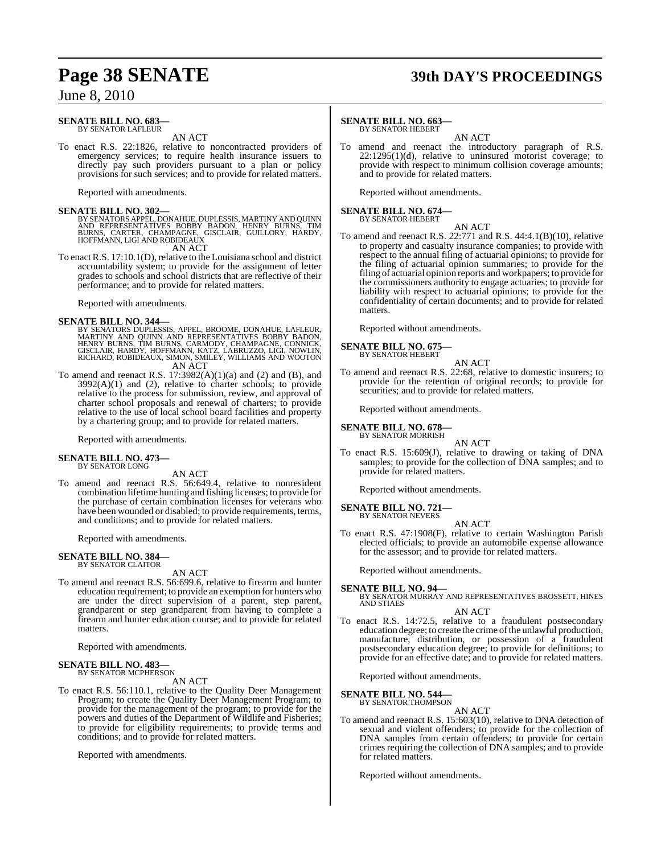#### **SENATE BILL NO. 683—** BY SENATOR LAFLEUR

AN ACT

To enact R.S. 22:1826, relative to noncontracted providers of emergency services; to require health insurance issuers to directly pay such providers pursuant to a plan or policy provisions for such services; and to provide for related matters.

Reported with amendments.

**SENATE BILL NO. 302—**<br>BY SENATORS APPEL, DONAHUE, DUPLESSIS, MARTINY AND QUINN<br>AND REPRESENTATIVES BOBBY BADON, HENRY BURNS, TIM<br>BURNS, CARTER, CHAMPAGNE, GISCLAIR, GUILLORY, HARDY,<br>HOFFMANN, LIGI AND ROBIDEAUX

AN ACT

To enact R.S. 17:10.1(D), relative to the Louisiana school and district accountability system; to provide for the assignment of letter grades to schools and school districts that are reflective of their performance; and to provide for related matters.

Reported with amendments.

#### **SENATE BILL NO. 344—**

- BY SENATORS DUPLESSIS, APPEL, BROOME, DONAHUE, LAFLEUR,<br>MARTINY AND QUINN AND REPRESENTATIVES BOBBY BADON,<br>HENRY BURNS, TIM BURNS, CARMODY, CHAMPAGNE, CONNICK,<br>GISCLAIR, HARDY, HOFFMANN, KATZ, LABRUZZO, LIGI, NOWLIN,<br>RICHA AN ACT
- To amend and reenact R.S.  $17:3982(A)(1)(a)$  and  $(2)$  and  $(B)$ , and  $3992(A)(1)$  and  $(2)$ , relative to charter schools; to provide relative to the process for submission, review, and approval of charter school proposals and renewal of charters; to provide relative to the use of local school board facilities and property by a chartering group; and to provide for related matters.

Reported with amendments.

#### **SENATE BILL NO. 473—** BY SENATOR LONG

AN ACT

To amend and reenact R.S. 56:649.4, relative to nonresident combination lifetime hunting and fishing licenses; to provide for the purchase of certain combination licenses for veterans who have been wounded or disabled; to provide requirements, terms, and conditions; and to provide for related matters.

Reported with amendments.

#### **SENATE BILL NO. 384—** BY SENATOR CLAITOR

AN ACT

To amend and reenact R.S. 56:699.6, relative to firearm and hunter education requirement; to provide an exemption for hunters who are under the direct supervision of a parent, step parent, grandparent or step grandparent from having to complete a firearm and hunter education course; and to provide for related matters.

Reported with amendments.

#### **SENATE BILL NO. 483—** BY SENATOR MCPHERSON

AN ACT

To enact R.S. 56:110.1, relative to the Quality Deer Management Program; to create the Quality Deer Management Program; to provide for the management of the program; to provide for the powers and duties of the Department of Wildlife and Fisheries; to provide for eligibility requirements; to provide terms and conditions; and to provide for related matters.

Reported with amendments.

## **Page 38 SENATE 39th DAY'S PROCEEDINGS**

#### **SENATE BILL NO. 663—**

BY SENATOR HEBERT

AN ACT To amend and reenact the introductory paragraph of R.S.  $22:1295(1)(d)$ , relative to uninsured motorist coverage; to provide with respect to minimum collision coverage amounts; and to provide for related matters.

Reported without amendments.

## **SENATE BILL NO. 674—** BY SENATOR HEBERT

AN ACT

To amend and reenact R.S. 22:771 and R.S. 44:4.1(B)(10), relative to property and casualty insurance companies; to provide with respect to the annual filing of actuarial opinions; to provide for the filing of actuarial opinion summaries; to provide for the filing of actuarial opinion reports and workpapers; to provide for the commissioners authority to engage actuaries; to provide for liability with respect to actuarial opinions; to provide for the confidentiality of certain documents; and to provide for related matters.

Reported without amendments.

#### **SENATE BILL NO. 675—** BY SENATOR HEBERT

- AN ACT
- To amend and reenact R.S. 22:68, relative to domestic insurers; to provide for the retention of original records; to provide for securities; and to provide for related matters.

Reported without amendments.

#### **SENATE BILL NO. 678—**

BY SENATOR MORRISH AN ACT

To enact R.S. 15:609(J), relative to drawing or taking of DNA samples; to provide for the collection of DNA samples; and to provide for related matters.

Reported without amendments.

#### **SENATE BILL NO. 721—** BY SENATOR NEVERS

AN ACT

To enact R.S. 47:1908(F), relative to certain Washington Parish elected officials; to provide an automobile expense allowance for the assessor; and to provide for related matters.

Reported without amendments.

#### **SENATE BILL NO. 94—**

BY SENATOR MURRAY AND REPRESENTATIVES BROSSETT, HINES AND STIAES

- AN ACT
- To enact R.S. 14:72.5, relative to a fraudulent postsecondary education degree; to create the crime of the unlawful production, manufacture, distribution, or possession of a fraudulent postsecondary education degree; to provide for definitions; to provide for an effective date; and to provide for related matters.

Reported without amendments.

#### **SENATE BILL NO. 544—**

BY SENATOR THOMPSON AN ACT

To amend and reenact R.S. 15:603(10), relative to DNA detection of sexual and violent offenders; to provide for the collection of DNA samples from certain offenders; to provide for certain crimes requiring the collection of DNA samples; and to provide for related matters.

Reported without amendments.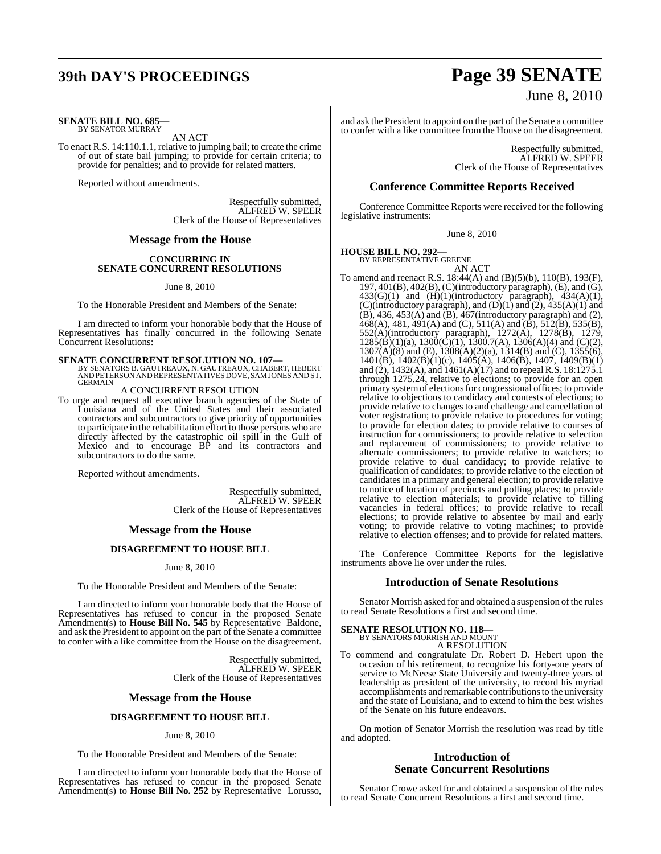## **39th DAY'S PROCEEDINGS Page 39 SENATE**

#### **SENATE BILL NO. 685—** BY SENATOR MURRAY

AN ACT

To enact R.S. 14:110.1.1, relative to jumping bail; to create the crime of out of state bail jumping; to provide for certain criteria; to provide for penalties; and to provide for related matters.

Reported without amendments.

Respectfully submitted, ALFRED W. SPEER Clerk of the House of Representatives

#### **Message from the House**

#### **CONCURRING IN SENATE CONCURRENT RESOLUTIONS**

June 8, 2010

To the Honorable President and Members of the Senate:

I am directed to inform your honorable body that the House of Representatives has finally concurred in the following Senate Concurrent Resolutions:

#### **SENATE CONCURRENT RESOLUTION NO. 107—**

BY SENATORS B. GAUTREAUX, N. GAUTREAUX, CHABERT, HEBERT AND PETERSONAND REPRESENTATIVESDOVE, SAMJONES AND ST. GERMAIN

A CONCURRENT RESOLUTION

To urge and request all executive branch agencies of the State of Louisiana and of the United States and their associated contractors and subcontractors to give priority of opportunities to participate in the rehabilitation effort to those persons who are directly affected by the catastrophic oil spill in the Gulf of Mexico and to encourage BP and its contractors and subcontractors to do the same.

Reported without amendments.

Respectfully submitted, ALFRED W. SPEER Clerk of the House of Representatives

#### **Message from the House**

#### **DISAGREEMENT TO HOUSE BILL**

#### June 8, 2010

To the Honorable President and Members of the Senate:

I am directed to inform your honorable body that the House of Representatives has refused to concur in the proposed Senate Amendment(s) to **House Bill No. 545** by Representative Baldone, and ask the President to appoint on the part of the Senate a committee to confer with a like committee from the House on the disagreement.

> Respectfully submitted, ALFRED W. SPEER Clerk of the House of Representatives

#### **Message from the House**

#### **DISAGREEMENT TO HOUSE BILL**

#### June 8, 2010

To the Honorable President and Members of the Senate:

I am directed to inform your honorable body that the House of Representatives has refused to concur in the proposed Senate Amendment(s) to **House Bill No. 252** by Representative Lorusso,

# June 8, 2010

and ask the President to appoint on the part of the Senate a committee to confer with a like committee from the House on the disagreement.

> Respectfully submitted, ALFRED W. SPEER Clerk of the House of Representatives

#### **Conference Committee Reports Received**

Conference Committee Reports were received for the following legislative instruments:

June 8, 2010

#### **HOUSE BILL NO. 292—**

BY REPRESENTATIVE GREENE AN ACT

To amend and reenact R.S. 18:44(A) and (B)(5)(b), 110(B), 193(F), 197, 401(B), 402(B), (C)(introductory paragraph), (E), and (G),  $433(G)(1)$  and  $(H)(1)(introductory$  paragraph),  $434(A)(1)$ , (C)(introductory paragraph), and  $(D)(1)$  and  $(2)$ ,  $435(A)(1)$  and  $(B)$ , 436, 453 $(A)$  and  $(B)$ , 467 $($ introductory paragraph) and  $(2)$ ,  $468(A)$ , 481, 491(A) and (C), 511(A) and (B), 512(B), 535(B), 552(A)(introductory paragraph), 1272(A), 1278(B), 1279,  $1285(B)(1)(a)$ ,  $1300(C)(1)$ ,  $1300.7(A)$ ,  $1306(A)(4)$  and  $(C)(2)$ , 1307(A)(8) and (E), 1308(A)(2)(a), 1314(B) and (C), 1355(6), 1401(B), 1402(B)(1)(c), 1405(A), 1406(B), 1407, 1409(B)(1) and (2),  $1432(A)$ , and  $1461(A)(17)$  and to repeal R.S. 18:1275.1 through 1275.24, relative to elections; to provide for an open primary systemof electionsfor congressional offices; to provide relative to objections to candidacy and contests of elections; to provide relative to changes to and challenge and cancellation of voter registration; to provide relative to procedures for voting; to provide for election dates; to provide relative to courses of instruction for commissioners; to provide relative to selection and replacement of commissioners; to provide relative to alternate commissioners; to provide relative to watchers; to provide relative to dual candidacy; to provide relative to qualification of candidates; to provide relative to the election of candidates in a primary and general election; to provide relative to notice of location of precincts and polling places; to provide relative to election materials; to provide relative to filling vacancies in federal offices; to provide relative to recall elections; to provide relative to absentee by mail and early voting; to provide relative to voting machines; to provide relative to election offenses; and to provide for related matters.

The Conference Committee Reports for the legislative instruments above lie over under the rules.

#### **Introduction of Senate Resolutions**

Senator Morrish asked for and obtained a suspension of the rules to read Senate Resolutions a first and second time.

### **SENATE RESOLUTION NO. 118—** BY SENATORS MORRISH AND MOUNT

A RESOLUTION

To commend and congratulate Dr. Robert D. Hebert upon the occasion of his retirement, to recognize his forty-one years of service to McNeese State University and twenty-three years of leadership as president of the university, to record his myriad accomplishments and remarkable contributionsto the university and the state of Louisiana, and to extend to him the best wishes of the Senate on his future endeavors.

On motion of Senator Morrish the resolution was read by title and adopted.

#### **Introduction of Senate Concurrent Resolutions**

Senator Crowe asked for and obtained a suspension of the rules to read Senate Concurrent Resolutions a first and second time.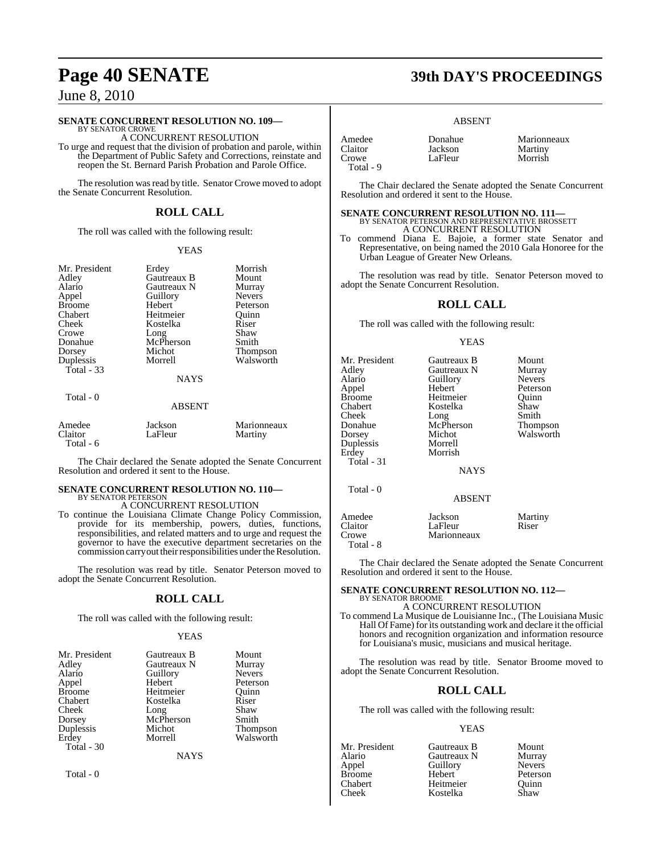#### **SENATE CONCURRENT RESOLUTION NO. 109—**

BY SENATOR CROWE A CONCURRENT RESOLUTION

To urge and request that the division of probation and parole, within the Department of Public Safety and Corrections, reinstate and reopen the St. Bernard Parish Probation and Parole Office.

The resolution was read by title. Senator Crowe moved to adopt the Senate Concurrent Resolution.

### **ROLL CALL**

The roll was called with the following result:

#### YEAS

| Mr. President<br>Adley<br>Alario<br>Appel<br><b>Broome</b><br>Chabert<br>Cheek<br>Crowe<br>Donahue<br>Dorsey<br>Duplessis<br>Total - 33 | Erdey<br>Gautreaux B<br><b>Gautreaux N</b><br>Guillory<br>Hebert<br>Heitmeier<br>Kostelka<br>Long<br>McPherson<br>Michot<br>Morrell<br><b>NAYS</b> | Morrish<br>Mount<br>Murray<br><b>Nevers</b><br>Peterson<br>Ouinn<br>Riser<br>Shaw<br>Smith<br>Thompson<br>Walsworth |
|-----------------------------------------------------------------------------------------------------------------------------------------|----------------------------------------------------------------------------------------------------------------------------------------------------|---------------------------------------------------------------------------------------------------------------------|
| Total - 0                                                                                                                               | <b>ABSENT</b>                                                                                                                                      |                                                                                                                     |

| Amedee    | Jackson | Marionneaux |
|-----------|---------|-------------|
| Claitor   | LaFleur | Martiny     |
| Total - 6 |         |             |

The Chair declared the Senate adopted the Senate Concurrent Resolution and ordered it sent to the House.

## **SENATE CONCURRENT RESOLUTION NO. 110—**

BY SENATOR PETERSON A CONCURRENT RESOLUTION

To continue the Louisiana Climate Change Policy Commission, provide for its membership, powers, duties, functions, responsibilities, and related matters and to urge and request the governor to have the executive department secretaries on the commission carry out their responsibilities under the Resolution.

The resolution was read by title. Senator Peterson moved to adopt the Senate Concurrent Resolution.

### **ROLL CALL**

The roll was called with the following result:

#### **YEAS**

| Mr. President | Gautreaux B | Mount           |
|---------------|-------------|-----------------|
| Adley         | Gautreaux N | Murray          |
| Alario        | Guillory    | <b>Nevers</b>   |
| Appel         | Hebert      | Peterson        |
| <b>Broome</b> | Heitmeier   | Ouinn           |
| Chabert       | Kostelka    | Riser           |
| Cheek         | Long        | Shaw            |
| Dorsey        | McPherson   | Smith           |
| Duplessis     | Michot      | <b>Thompson</b> |
| Erdey         | Morrell     | Walsworth       |
| Total - 30    |             |                 |
|               | <b>NAYS</b> |                 |

Total - 0

## **Page 40 SENATE 39th DAY'S PROCEEDINGS**

#### ABSENT

| Amedee    |  |
|-----------|--|
| Claitor   |  |
| Crowe     |  |
| Total - 9 |  |

Amedee Donahue Marionneaux<br>
Claitor Jackson Martiny<br>
Crowe LaFleur Morrish Martiny<br>Morrish

The Chair declared the Senate adopted the Senate Concurrent Resolution and ordered it sent to the House.

### **SENATE CONCURRENT RESOLUTION NO. 111—** BY SENATOR PETERSON AND REPRESENTATIVE BROSSETT A CONCURRENT RESOLUTION

LaFleur

To commend Diana E. Bajoie, a former state Senator and Representative, on being named the 2010 Gala Honoree for the Urban League of Greater New Orleans.

The resolution was read by title. Senator Peterson moved to adopt the Senate Concurrent Resolution.

### **ROLL CALL**

The roll was called with the following result:

#### YEAS

| Mr. President<br>Adley<br>Alario<br>Appel<br>Broome<br>Chabert<br>Cheek<br>Donahue<br>Dorsey<br>Duplessis<br>Erdev<br>Total - 31 | Gautreaux B<br>Gautreaux N<br>Guillory<br>Hebert<br>Heitmeier<br>Kostelka<br>Long<br>McPherson<br>Michot<br>Morrell<br>Morrish<br><b>NAYS</b> | Mount<br>Murray<br><b>Nevers</b><br>Peterson<br>Ouinn<br>Shaw<br>Smith<br>Thompson<br>Walsworth |
|----------------------------------------------------------------------------------------------------------------------------------|-----------------------------------------------------------------------------------------------------------------------------------------------|-------------------------------------------------------------------------------------------------|
| Total - 0                                                                                                                        | <b>ABSENT</b>                                                                                                                                 |                                                                                                 |
| Amedee<br>Claitor<br>Crowe                                                                                                       | Jackson<br>LaFleur<br>Marionneaux                                                                                                             | Martiny<br>Riser                                                                                |

The Chair declared the Senate adopted the Senate Concurrent Resolution and ordered it sent to the House.

#### **SENATE CONCURRENT RESOLUTION NO. 112—**

### BY SENATOR BROOME A CONCURRENT RESOLUTION

To commend La Musique de Louisianne Inc., (The Louisiana Music Hall Of Fame) for its outstanding work and declare it the official honors and recognition organization and information resource for Louisiana's music, musicians and musical heritage.

The resolution was read by title. Senator Broome moved to adopt the Senate Concurrent Resolution.

### **ROLL CALL**

The roll was called with the following result:

#### YEAS

Appel Guillory<br>Broome Hebert Chabert Heitmeier Quinn<br>Cheek Kostelka Shaw

Total - 8

Mr. President Gautreaux B Mount<br>Alario Gautreaux N Murray Alario Gautreaux N Murray Hebert Peterson<br>
Heitmeier Ouinn Kostelka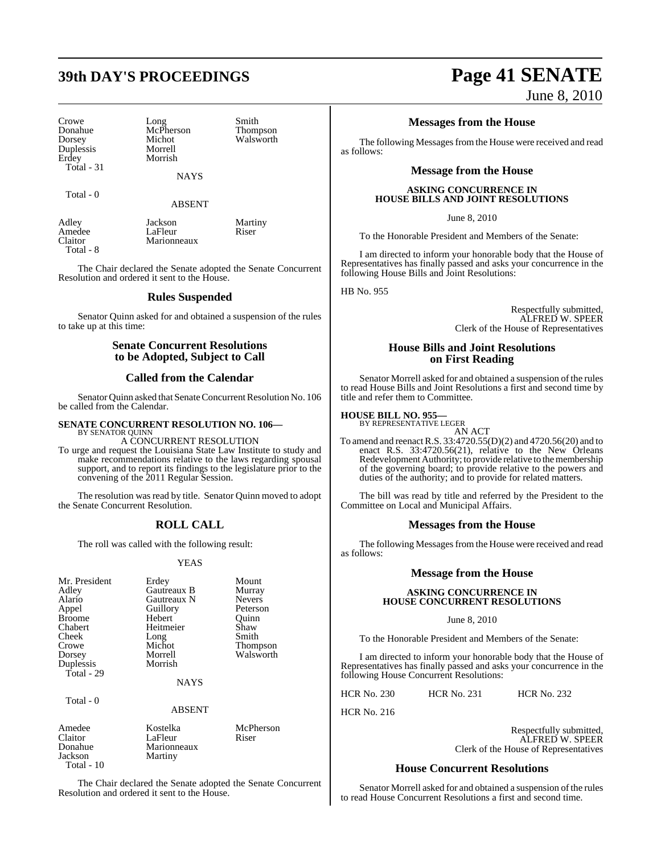## **39th DAY'S PROCEEDINGS Page 41 SENATE**

Crowe Long Smith Duplessis Morrell Erdey Total - 31

Donahue McPherson Thompson Dorsey Michot Walsworth

**NAYS** 

Total - 0

ABSENT

| Adley     | Jackson     | Martiny |
|-----------|-------------|---------|
| Amedee    | LaFleur     | Riser   |
| Claitor   | Marionneaux |         |
| Total - 8 |             |         |

The Chair declared the Senate adopted the Senate Concurrent Resolution and ordered it sent to the House.

### **Rules Suspended**

Senator Quinn asked for and obtained a suspension of the rules to take up at this time:

#### **Senate Concurrent Resolutions to be Adopted, Subject to Call**

#### **Called from the Calendar**

Senator Quinn asked that Senate Concurrent Resolution No. 106 be called from the Calendar.

#### **SENATE CONCURRENT RESOLUTION NO. 106—** BY SENATOR QUINN

A CONCURRENT RESOLUTION

To urge and request the Louisiana State Law Institute to study and make recommendations relative to the laws regarding spousal support, and to report its findings to the legislature prior to the convening of the 2011 Regular Session.

The resolution was read by title. Senator Quinn moved to adopt the Senate Concurrent Resolution.

### **ROLL CALL**

The roll was called with the following result:

#### YEAS

| Mr. President<br>Adley<br>Alario<br>Appel<br><b>Broome</b> | Erdey<br>Gautreaux B<br>Gautreaux N<br>Guillory<br>Hebert | Mount<br>Murray<br><b>Nevers</b><br>Peterson<br>Ouinn |
|------------------------------------------------------------|-----------------------------------------------------------|-------------------------------------------------------|
| Chabert                                                    | Heitmeier                                                 | Shaw                                                  |
| Cheek                                                      | Long                                                      | Smith                                                 |
| Crowe                                                      | Michot                                                    | <b>Thompson</b>                                       |
| Dorsey                                                     | Morrell                                                   | Walsworth                                             |
| Duplessis                                                  | Morrish                                                   |                                                       |
| Total - 29                                                 |                                                           |                                                       |
|                                                            | <b>NAYS</b>                                               |                                                       |
| Total - 0                                                  |                                                           |                                                       |
|                                                            | <b>ABSENT</b>                                             |                                                       |
| Amedee                                                     | Kostelka                                                  | McPherson                                             |
| Claitor                                                    | LaFleur                                                   | Riser                                                 |
| Donahue                                                    | Marionneaux                                               |                                                       |
| Jackson                                                    | Martiny                                                   |                                                       |

The Chair declared the Senate adopted the Senate Concurrent Resolution and ordered it sent to the House.

Total - 10

June 8, 2010

### **Messages from the House**

The following Messages from the House were received and read as follows:

### **Message from the House**

#### **ASKING CONCURRENCE IN HOUSE BILLS AND JOINT RESOLUTIONS**

June 8, 2010

To the Honorable President and Members of the Senate:

I am directed to inform your honorable body that the House of Representatives has finally passed and asks your concurrence in the following House Bills and Joint Resolutions:

HB No. 955

Respectfully submitted, ALFRED W. SPEER Clerk of the House of Representatives

### **House Bills and Joint Resolutions on First Reading**

Senator Morrell asked for and obtained a suspension of the rules to read House Bills and Joint Resolutions a first and second time by title and refer them to Committee.

#### **HOUSE BILL NO. 955—** BY REPRESENTATIVE LEGER

AN ACT To amend and reenactR.S. 33:4720.55(D)(2) and 4720.56(20) and to enact R.S. 33:4720.56(21), relative to the New Orleans Redevelopment Authority; to provide relative to the membership of the governing board; to provide relative to the powers and duties of the authority; and to provide for related matters.

The bill was read by title and referred by the President to the Committee on Local and Municipal Affairs.

### **Messages from the House**

The following Messages from the House were received and read as follows:

### **Message from the House**

#### **ASKING CONCURRENCE IN HOUSE CONCURRENT RESOLUTIONS**

June 8, 2010

To the Honorable President and Members of the Senate:

I am directed to inform your honorable body that the House of Representatives has finally passed and asks your concurrence in the following House Concurrent Resolutions:

HCR No. 230 HCR No. 231 HCR No. 232

HCR No. 216

Respectfully submitted, ALFRED W. SPEER Clerk of the House of Representatives

### **House Concurrent Resolutions**

Senator Morrell asked for and obtained a suspension of the rules to read House Concurrent Resolutions a first and second time.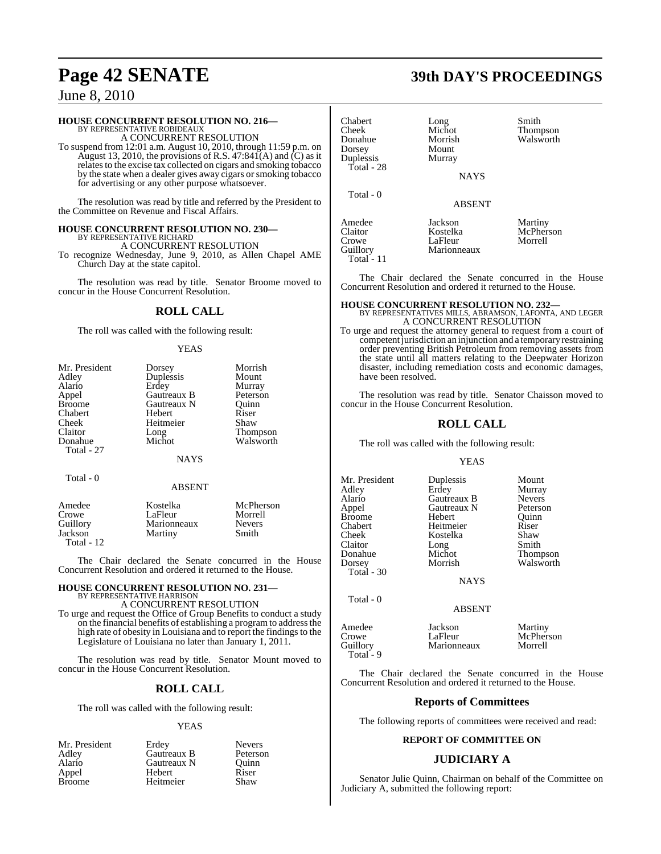### **HOUSE CONCURRENT RESOLUTION NO. 216—** BY REPRESENTATIVE ROBIDEAUX

A CONCURRENT RESOLUTION

To suspend from 12:01 a.m. August 10, 2010, through 11:59 p.m. on August 13, 2010, the provisions of R.S.  $47:841(A)$  and  $(C)$  as it relates to the excise tax collected on cigars and smoking tobacco by the state when a dealer gives away cigars or smoking tobacco for advertising or any other purpose whatsoever.

The resolution was read by title and referred by the President to the Committee on Revenue and Fiscal Affairs.

#### **HOUSE CONCURRENT RESOLUTION NO. 230—** BY REPRESENTATIVE RICHARD

A CONCURRENT RESOLUTION

To recognize Wednesday, June 9, 2010, as Allen Chapel AME Church Day at the state capitol.

The resolution was read by title. Senator Broome moved to concur in the House Concurrent Resolution.

#### **ROLL CALL**

The roll was called with the following result:

#### YEAS

| Mr. President | Dorsey      | Morrish         |
|---------------|-------------|-----------------|
| Adley         | Duplessis   | Mount           |
| Alario        | Erdey       | Murray          |
| Appel         | Gautreaux B | Peterson        |
| <b>Broome</b> | Gautreaux N | Ouinn           |
| Chabert       | Hebert      | Riser           |
| Cheek         | Heitmeier   | Shaw            |
| Claitor       | Long        | <b>Thompson</b> |
| Donahue       | Michot      | Walsworth       |
| Total - 27    |             |                 |
|               | <b>NAYS</b> |                 |

Total - 0

#### ABSENT

| Amedee     | Kostelka    | McPherson     |  |
|------------|-------------|---------------|--|
| Crowe      | LaFleur     | Morrell       |  |
| Guillory   | Marionneaux | <b>Nevers</b> |  |
| Jackson    | Martiny     | Smith         |  |
| Total - 12 |             |               |  |

The Chair declared the Senate concurred in the House Concurrent Resolution and ordered it returned to the House.

#### **HOUSE CONCURRENT RESOLUTION NO. 231—** BY REPRESENTATIVE HARRISON

A CONCURRENT RESOLUTION

To urge and request the Office of Group Benefits to conduct a study on the financial benefits of establishing a programto addressthe high rate of obesity in Louisiana and to report the findings to the Legislature of Louisiana no later than January 1, 2011.

The resolution was read by title. Senator Mount moved to concur in the House Concurrent Resolution.

#### **ROLL CALL**

The roll was called with the following result:

#### YEAS

Mr. President Erdey Nevers<br>Adley Gautreaux B Peterson Adley Gautreaux B Peterson Gautreaux N<br>Hebert Appel Hebert Riser Heitmeier

| Chabert<br>Cheek<br>Donahue<br>Dorsey<br>Duplessis<br>Total - 28 | Long<br>Michot<br>Morrish<br>Mount<br>Murray<br><b>NAYS</b> | Smith<br>Thompson<br>Walsworth  |
|------------------------------------------------------------------|-------------------------------------------------------------|---------------------------------|
| Total - 0                                                        | <b>ABSENT</b>                                               |                                 |
| Amedee<br>Claitor<br>Crowe<br>Guillory<br>Total - 11             | Jackson<br>Kostelka<br>LaFleur<br>Marionneaux               | Martiny<br>McPherson<br>Morrell |

The Chair declared the Senate concurred in the House Concurrent Resolution and ordered it returned to the House.

**HOUSE CONCURRENT RESOLUTION NO. 232—** BY REPRESENTATIVES MILLS, ABRAMSON, LAFONTA, AND LEGER A CONCURRENT RESOLUTION

To urge and request the attorney general to request from a court of competent jurisdiction an injunction and a temporary restraining order preventing British Petroleum from removing assets from the state until all matters relating to the Deepwater Horizon disaster, including remediation costs and economic damages, have been resolved.

The resolution was read by title. Senator Chaisson moved to concur in the House Concurrent Resolution.

#### **ROLL CALL**

The roll was called with the following result:

#### YEAS

Mr. President Duplessis Mount<br>Adley Erdey Murray Adley Erdey Murray Appel Gautreaux N Peterson<br>Broome Hebert Quinn Broome Hebert Quinn<br>
Chabert Heitmeier Riser Chabert Heitmeier Riser Claitor Long Smith<br>Donahue Michot Thom Donahue Michot Thompson Total - 30

Total - 0

Kostelka

**Gautreaux B** Nevers<br> **Gautreaux N** Peterson Walsworth

**NAYS** 

#### ABSENT

| Amedee      | Jackson     | Martiny   |
|-------------|-------------|-----------|
| Crowe       | LaFleur     | McPherson |
| Guillory    | Marionneaux | Morrell   |
| Total - $9$ |             |           |

The Chair declared the Senate concurred in the House Concurrent Resolution and ordered it returned to the House.

#### **Reports of Committees**

The following reports of committees were received and read:

#### **REPORT OF COMMITTEE ON**

#### **JUDICIARY A**

Senator Julie Quinn, Chairman on behalf of the Committee on Judiciary A, submitted the following report:

## **Page 42 SENATE 39th DAY'S PROCEEDINGS**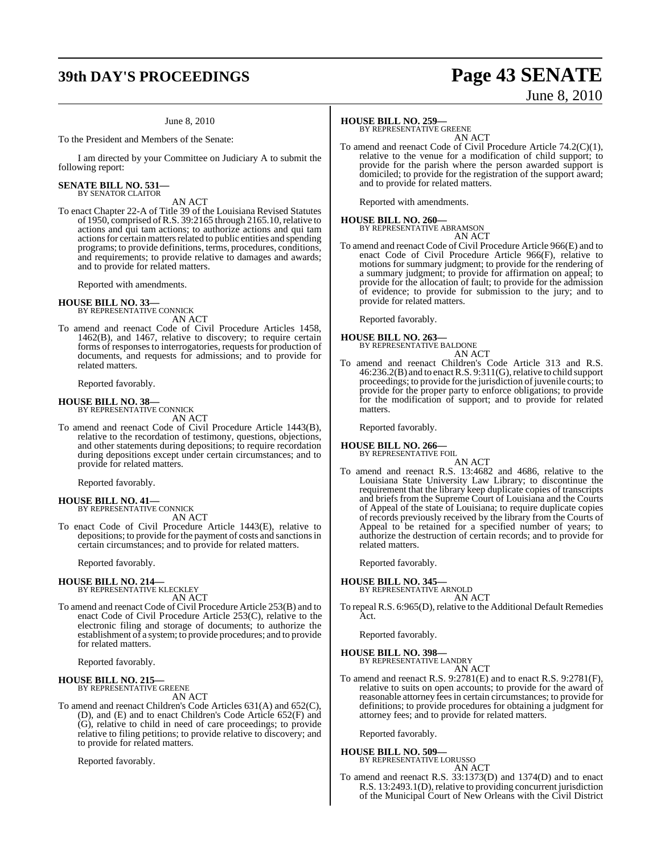## **39th DAY'S PROCEEDINGS Page 43 SENATE**

#### June 8, 2010

To the President and Members of the Senate:

I am directed by your Committee on Judiciary A to submit the following report:

#### **SENATE BILL NO. 531—** BY SENATOR CLAITOR

AN ACT

To enact Chapter 22-A of Title 39 of the Louisiana Revised Statutes of 1950, comprised ofR.S. 39:2165 through 2165.10,relative to actions and qui tam actions; to authorize actions and qui tam actions for certain matters related to public entities and spending programs; to provide definitions, terms, procedures, conditions, and requirements; to provide relative to damages and awards; and to provide for related matters.

Reported with amendments.

## **HOUSE BILL NO. 33—** BY REPRESENTATIVE CONNICK

AN ACT

To amend and reenact Code of Civil Procedure Articles 1458, 1462(B), and 1467, relative to discovery; to require certain forms of responses to interrogatories, requests for production of documents, and requests for admissions; and to provide for related matters.

Reported favorably.

### **HOUSE BILL NO. 38—** BY REPRESENTATIVE CONNICK

AN ACT

To amend and reenact Code of Civil Procedure Article 1443(B), relative to the recordation of testimony, questions, objections, and other statements during depositions; to require recordation during depositions except under certain circumstances; and to provide for related matters.

Reported favorably.

#### **HOUSE BILL NO. 41—**

BY REPRESENTATIVE CONNICK AN ACT

To enact Code of Civil Procedure Article 1443(E), relative to depositions; to provide for the payment of costs and sanctions in certain circumstances; and to provide for related matters.

Reported favorably.

### **HOUSE BILL NO. 214—**

BY REPRESENTATIVE KLECKLEY AN ACT

To amend and reenact Code of Civil Procedure Article 253(B) and to enact Code of Civil Procedure Article 253(C), relative to the electronic filing and storage of documents; to authorize the establishment of a system; to provide procedures; and to provide for related matters.

Reported favorably.

#### **HOUSE BILL NO. 215—** BY REPRESENTATIVE GREENE

AN ACT

To amend and reenact Children's Code Articles 631(A) and 652(C), (D), and (E) and to enact Children's Code Article 652(F) and (G), relative to child in need of care proceedings; to provide relative to filing petitions; to provide relative to discovery; and to provide for related matters.

Reported favorably.

#### **HOUSE BILL NO. 259—**

BY REPRESENTATIVE GREENE

AN ACT To amend and reenact Code of Civil Procedure Article 74.2(C)(1), relative to the venue for a modification of child support; to provide for the parish where the person awarded support is domiciled; to provide for the registration of the support award; and to provide for related matters.

Reported with amendments.

### **HOUSE BILL NO. 260—** BY REPRESENTATIVE ABRAMSON

AN ACT

To amend and reenact Code of Civil Procedure Article 966(E) and to enact Code of Civil Procedure Article 966(F), relative to motions for summary judgment; to provide for the rendering of a summary judgment; to provide for affirmation on appeal; to provide for the allocation of fault; to provide for the admission of evidence; to provide for submission to the jury; and to provide for related matters.

Reported favorably.

- **HOUSE BILL NO. 263—** BY REPRESENTATIVE BALDONE AN ACT
- To amend and reenact Children's Code Article 313 and R.S. 46:236.2(B) and to enactR.S. 9:311(G),relative to child support proceedings; to provide for the jurisdiction of juvenile courts; to provide for the proper party to enforce obligations; to provide for the modification of support; and to provide for related matters.

Reported favorably.

**HOUSE BILL NO. 266—** BY REPRESENTATIVE FOIL

AN ACT

To amend and reenact R.S. 13:4682 and 4686, relative to the Louisiana State University Law Library; to discontinue the requirement that the library keep duplicate copies of transcripts and briefs from the Supreme Court of Louisiana and the Courts of Appeal of the state of Louisiana; to require duplicate copies of records previously received by the library from the Courts of Appeal to be retained for a specified number of years; to authorize the destruction of certain records; and to provide for related matters.

Reported favorably.

#### **HOUSE BILL NO. 345—**

BY REPRESENTATIVE ARNOLD AN ACT

To repeal R.S. 6:965(D), relative to the Additional Default Remedies Act.

Reported favorably.

### **HOUSE BILL NO. 398—** BY REPRESENTATIVE LANDRY

AN ACT

To amend and reenact R.S. 9:2781(E) and to enact R.S. 9:2781(F), relative to suits on open accounts; to provide for the award of reasonable attorney fees in certain circumstances; to provide for definitions; to provide procedures for obtaining a judgment for attorney fees; and to provide for related matters.

Reported favorably.

#### **HOUSE BILL NO. 509—**

BY REPRESENTATIVE LORUSSO

- AN ACT
- To amend and reenact R.S. 33:1373(D) and 1374(D) and to enact R.S. 13:2493.1(D), relative to providing concurrent jurisdiction of the Municipal Court of New Orleans with the Civil District

June 8, 2010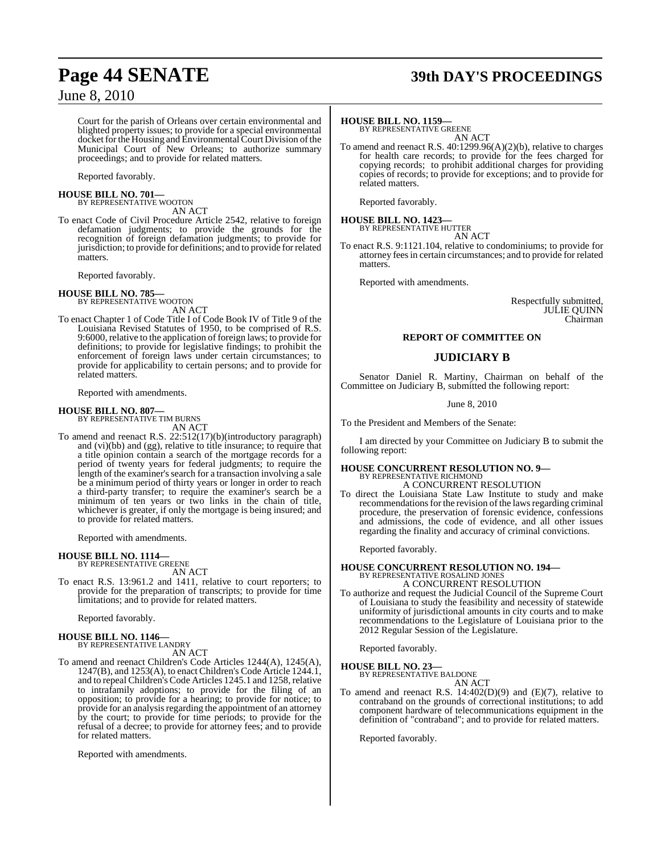Court for the parish of Orleans over certain environmental and blighted property issues; to provide for a special environmental docket for the Housing and Environmental Court Division of the Municipal Court of New Orleans; to authorize summary proceedings; and to provide for related matters.

Reported favorably.

**HOUSE BILL NO. 701—** BY REPRESENTATIVE WOOTON

AN ACT

To enact Code of Civil Procedure Article 2542, relative to foreign defamation judgments; to provide the grounds for the recognition of foreign defamation judgments; to provide for jurisdiction; to provide for definitions; and to provide forrelated matters.

Reported favorably.

#### **HOUSE BILL NO. 785—**

BY REPRESENTATIVE WOOTON AN ACT

To enact Chapter 1 of Code Title I of Code Book IV of Title 9 of the Louisiana Revised Statutes of 1950, to be comprised of R.S. 9:6000, relative to the application of foreign laws; to provide for definitions; to provide for legislative findings; to prohibit the enforcement of foreign laws under certain circumstances; to provide for applicability to certain persons; and to provide for related matters.

Reported with amendments.

## **HOUSE BILL NO. 807—** BY REPRESENTATIVE TIM BURNS

AN ACT

To amend and reenact R.S. 22:512(17)(b)(introductory paragraph) and (vi)(bb) and (gg), relative to title insurance; to require that a title opinion contain a search of the mortgage records for a period of twenty years for federal judgments; to require the length of the examiner's search for a transaction involving a sale be a minimum period of thirty years or longer in order to reach a third-party transfer; to require the examiner's search be a minimum of ten years or two links in the chain of title, whichever is greater, if only the mortgage is being insured; and to provide for related matters.

Reported with amendments.

## **HOUSE BILL NO. 1114—** BY REPRESENTATIVE GREENE

AN ACT

To enact R.S. 13:961.2 and 1411, relative to court reporters; to provide for the preparation of transcripts; to provide for time limitations; and to provide for related matters.

Reported favorably.

#### **HOUSE BILL NO. 1146—** BY REPRESENTATIVE LANDRY

AN ACT

To amend and reenact Children's Code Articles 1244(A), 1245(A), 1247(B), and 1253(A), to enact Children's Code Article 1244.1, and to repeal Children's Code Articles 1245.1 and 1258, relative to intrafamily adoptions; to provide for the filing of an opposition; to provide for a hearing; to provide for notice; to provide for an analysis regarding the appointment of an attorney by the court; to provide for time periods; to provide for the refusal of a decree; to provide for attorney fees; and to provide for related matters.

Reported with amendments.

## **Page 44 SENATE 39th DAY'S PROCEEDINGS**

#### **HOUSE BILL NO. 1159—**

BY REPRESENTATIVE GREENE AN ACT

To amend and reenact R.S. 40:1299.96(A)(2)(b), relative to charges for health care records; to provide for the fees charged for copying records; to prohibit additional charges for providing copies of records; to provide for exceptions; and to provide for related matters.

Reported favorably.

## **HOUSE BILL NO. 1423—** BY REPRESENTATIVE HUTTER

AN ACT

To enact R.S. 9:1121.104, relative to condominiums; to provide for attorney feesin certain circumstances; and to provide for related matters.

Reported with amendments.

Respectfully submitted, JULIE QUINN Chairman

#### **REPORT OF COMMITTEE ON**

### **JUDICIARY B**

Senator Daniel R. Martiny, Chairman on behalf of the Committee on Judiciary B, submitted the following report:

June 8, 2010

To the President and Members of the Senate:

I am directed by your Committee on Judiciary B to submit the following report:

### **HOUSE CONCURRENT RESOLUTION NO. 9—** BY REPRESENTATIVE RICHMOND A CONCURRENT RESOLUTION

To direct the Louisiana State Law Institute to study and make recommendations for the revision of the laws regarding criminal procedure, the preservation of forensic evidence, confessions and admissions, the code of evidence, and all other issues regarding the finality and accuracy of criminal convictions.

Reported favorably.

### **HOUSE CONCURRENT RESOLUTION NO. 194—** BY REPRESENTATIVE ROSALIND JONES A CONCURRENT RESOLUTION

To authorize and request the Judicial Council of the Supreme Court of Louisiana to study the feasibility and necessity of statewide uniformity of jurisdictional amounts in city courts and to make recommendations to the Legislature of Louisiana prior to the 2012 Regular Session of the Legislature.

Reported favorably.

**HOUSE BILL NO. 23—** BY REPRESENTATIVE BALDONE

AN ACT

To amend and reenact R.S.  $14:402(D)(9)$  and  $(E)(7)$ , relative to contraband on the grounds of correctional institutions; to add component hardware of telecommunications equipment in the definition of "contraband"; and to provide for related matters.

Reported favorably.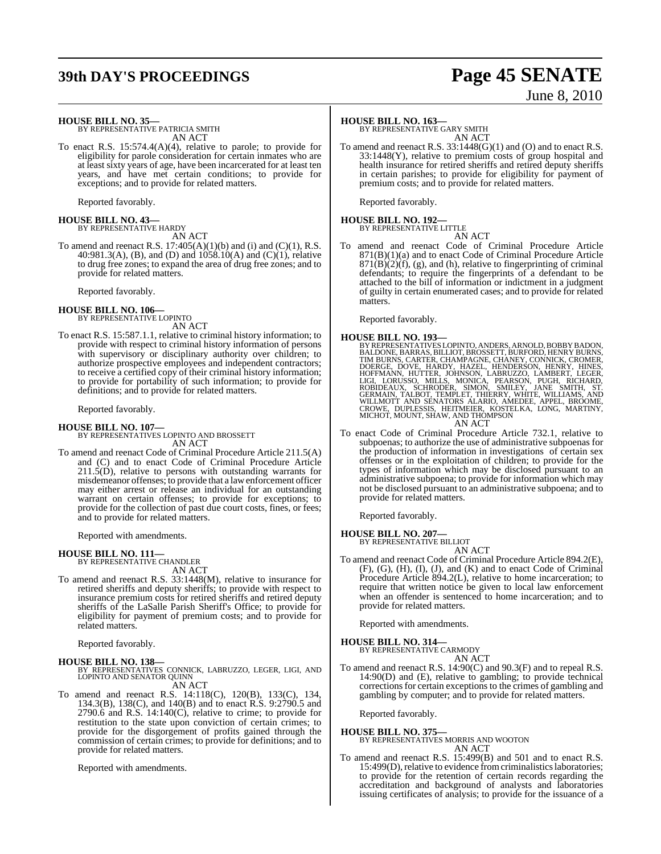## **39th DAY'S PROCEEDINGS Page 45 SENATE**

# June 8, 2010

#### **HOUSE BILL NO. 35—**

BY REPRESENTATIVE PATRICIA SMITH AN ACT

To enact R.S. 15:574.4(A)(4), relative to parole; to provide for eligibility for parole consideration for certain inmates who are at least sixty years of age, have been incarcerated for at least ten years, and have met certain conditions; to provide for exceptions; and to provide for related matters.

Reported favorably.

## **HOUSE BILL NO. 43—** BY REPRESENTATIVE HARDY

AN ACT

To amend and reenact R.S.  $17:405(A)(1)(b)$  and (i) and (C)(1), R.S. 40:981.3(A), (B), and (D) and 1058.10(A) and (C)(1), relative to drug free zones; to expand the area of drug free zones; and to provide for related matters.

Reported favorably.

#### **HOUSE BILL NO. 106—** BY REPRESENTATIVE LOPINTO

AN ACT

To enact R.S. 15:587.1.1, relative to criminal history information; to provide with respect to criminal history information of persons with supervisory or disciplinary authority over children; to authorize prospective employees and independent contractors; to receive a certified copy of their criminal history information; to provide for portability of such information; to provide for definitions; and to provide for related matters.

Reported favorably.

#### **HOUSE BILL NO. 107—**

BY REPRESENTATIVES LOPINTO AND BROSSETT AN ACT

To amend and reenact Code of Criminal Procedure Article 211.5(A) and (C) and to enact Code of Criminal Procedure Article  $211.5(D)$ , relative to persons with outstanding warrants for misdemeanor offenses; to provide that a lawenforcement officer may either arrest or release an individual for an outstanding warrant on certain offenses; to provide for exceptions; to provide for the collection of past due court costs, fines, or fees; and to provide for related matters.

Reported with amendments.

**HOUSE BILL NO. 111—** BY REPRESENTATIVE CHANDLER AN ACT

To amend and reenact R.S. 33:1448(M), relative to insurance for retired sheriffs and deputy sheriffs; to provide with respect to insurance premium costs for retired sheriffs and retired deputy sheriffs of the LaSalle Parish Sheriff's Office; to provide for eligibility for payment of premium costs; and to provide for related matters.

#### Reported favorably.

**HOUSE BILL NO. 138—** BY REPRESENTATIVES CONNICK, LABRUZZO, LEGER, LIGI, AND LOPINTO AND SENATOR QUINN

- AN ACT
- To amend and reenact R.S. 14:118(C), 120(B), 133(C), 134, 134.3(B), 138(C), and 140(B) and to enact R.S. 9:2790.5 and 2790.6 and R.S. 14:140(C), relative to crime; to provide for restitution to the state upon conviction of certain crimes; to provide for the disgorgement of profits gained through the commission of certain crimes; to provide for definitions; and to provide for related matters.

Reported with amendments.

#### **HOUSE BILL NO. 163—**

BY REPRESENTATIVE GARY SMITH AN ACT

To amend and reenact R.S. 33:1448(G)(1) and (O) and to enact R.S. 33:1448(Y), relative to premium costs of group hospital and health insurance for retired sheriffs and retired deputy sheriffs in certain parishes; to provide for eligibility for payment of premium costs; and to provide for related matters.

Reported favorably.

## **HOUSE BILL NO. 192—** BY REPRESENTATIVE LITTLE

AN ACT To amend and reenact Code of Criminal Procedure Article 871(B)(1)(a) and to enact Code of Criminal Procedure Article  $871(B)(2)(f)$ , (g), and (h), relative to fingerprinting of criminal defendants; to require the fingerprints of a defendant to be attached to the bill of information or indictment in a judgment of guilty in certain enumerated cases; and to provide for related matters.

Reported favorably.

#### **HOUSE BILL NO. 193—**

- BY REPRESENTATIVES LOPINTO, ANDERS, ARNOLD, BOBBY BADON, BALDONE, BARRAS, BILLIOT, BROSSETT, BURFORD, HENRY BURNS, CARTER, CHAMPAGNE, CHANEY, CONNICK, CROMER, INDEX HOLD ROBOTING HOFFORDE, DOUGH, HOFFORD, HENRY, HOLD HOFFO AN ACT
- To enact Code of Criminal Procedure Article 732.1, relative to subpoenas; to authorize the use of administrative subpoenas for the production of information in investigations of certain sex offenses or in the exploitation of children; to provide for the types of information which may be disclosed pursuant to an administrative subpoena; to provide for information which may not be disclosed pursuant to an administrative subpoena; and to provide for related matters.

Reported favorably.

**HOUSE BILL NO. 207—** BY REPRESENTATIVE BILLIOT

AN ACT

To amend and reenact Code of Criminal Procedure Article 894.2(E), (F), (G), (H), (I), (J), and (K) and to enact Code of Criminal Procedure Article 894.2(L), relative to home incarceration; to require that written notice be given to local law enforcement when an offender is sentenced to home incarceration; and to provide for related matters.

Reported with amendments.

**HOUSE BILL NO. 314—** BY REPRESENTATIVE CARMODY AN ACT

To amend and reenact R.S. 14:90(C) and 90.3(F) and to repeal R.S. 14:90(D) and (E), relative to gambling; to provide technical corrections for certain exceptions to the crimes of gambling and gambling by computer; and to provide for related matters.

Reported favorably.

### **HOUSE BILL NO. 375—**

### BY REPRESENTATIVES MORRIS AND WOOTON

AN ACT

To amend and reenact R.S. 15:499(B) and 501 and to enact R.S. 15:499(D), relative to evidence from criminalistics laboratories; to provide for the retention of certain records regarding the accreditation and background of analysts and laboratories issuing certificates of analysis; to provide for the issuance of a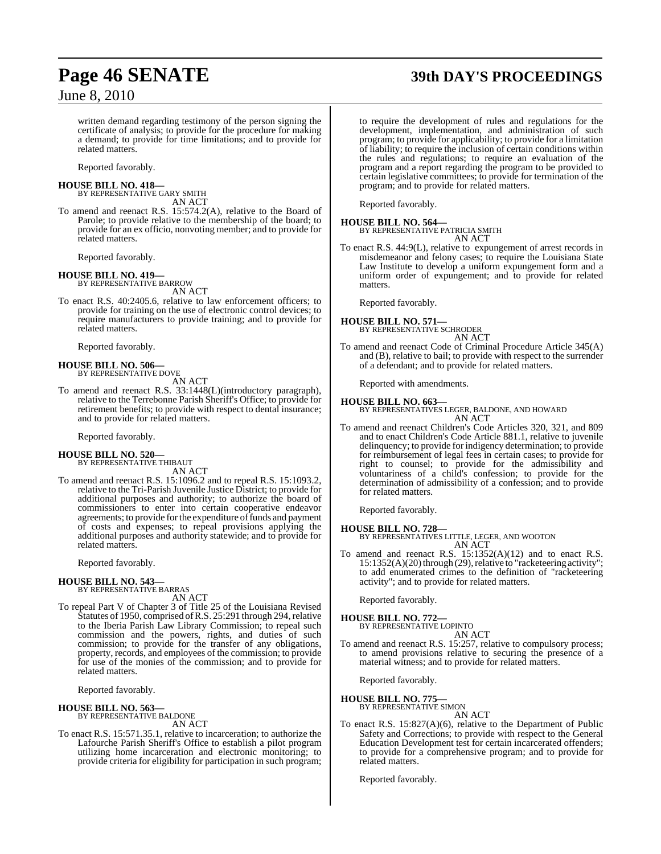## **Page 46 SENATE 39th DAY'S PROCEEDINGS**

written demand regarding testimony of the person signing the certificate of analysis; to provide for the procedure for making a demand; to provide for time limitations; and to provide for related matters.

Reported favorably.

#### **HOUSE BILL NO. 418—**

BY REPRESENTATIVE GARY SMITH AN ACT

To amend and reenact R.S. 15:574.2(A), relative to the Board of Parole; to provide relative to the membership of the board; to provide for an ex officio, nonvoting member; and to provide for related matters.

Reported favorably.

#### **HOUSE BILL NO. 419—**

BY REPRESENTATIVE BARROW AN ACT

To enact R.S. 40:2405.6, relative to law enforcement officers; to provide for training on the use of electronic control devices; to require manufacturers to provide training; and to provide for related matters.

Reported favorably.

## **HOUSE BILL NO. 506—** BY REPRESENTATIVE DOVE

AN ACT

To amend and reenact R.S. 33:1448(L)(introductory paragraph), relative to the Terrebonne Parish Sheriff's Office; to provide for retirement benefits; to provide with respect to dental insurance; and to provide for related matters.

Reported favorably.

#### **HOUSE BILL NO. 520—** BY REPRESENTATIVE THIBAUT

AN ACT

To amend and reenact R.S. 15:1096.2 and to repeal R.S. 15:1093.2, relative to the Tri-Parish Juvenile Justice District; to provide for additional purposes and authority; to authorize the board of commissioners to enter into certain cooperative endeavor agreements; to provide for the expenditure of funds and payment of costs and expenses; to repeal provisions applying the additional purposes and authority statewide; and to provide for related matters.

Reported favorably.

#### **HOUSE BILL NO. 543—**

BY REPRESENTATIVE BARRAS AN ACT

To repeal Part V of Chapter 3 of Title 25 of the Louisiana Revised Statutes of 1950, comprised of R.S. 25:291 through 294, relative to the Iberia Parish Law Library Commission; to repeal such commission and the powers, rights, and duties of such commission; to provide for the transfer of any obligations, property, records, and employees of the commission; to provide for use of the monies of the commission; and to provide for related matters.

Reported favorably.

**HOUSE BILL NO. 563—** BY REPRESENTATIVE BALDONE

AN ACT

To enact R.S. 15:571.35.1, relative to incarceration; to authorize the Lafourche Parish Sheriff's Office to establish a pilot program utilizing home incarceration and electronic monitoring; to provide criteria for eligibility for participation in such program;

to require the development of rules and regulations for the development, implementation, and administration of such program; to provide for applicability; to provide for a limitation of liability; to require the inclusion of certain conditions within the rules and regulations; to require an evaluation of the program and a report regarding the program to be provided to certain legislative committees; to provide for termination of the program; and to provide for related matters.

Reported favorably.

**HOUSE BILL NO. 564—** BY REPRESENTATIVE PATRICIA SMITH AN ACT

To enact R.S. 44:9(L), relative to expungement of arrest records in misdemeanor and felony cases; to require the Louisiana State Law Institute to develop a uniform expungement form and a uniform order of expungement; and to provide for related matters.

Reported favorably.

#### **HOUSE BILL NO. 571—**

BY REPRESENTATIVE SCHRODER

AN ACT To amend and reenact Code of Criminal Procedure Article 345(A) and (B), relative to bail; to provide with respect to the surrender of a defendant; and to provide for related matters.

Reported with amendments.

**HOUSE BILL NO. 663—** BY REPRESENTATIVES LEGER, BALDONE, AND HOWARD AN ACT

To amend and reenact Children's Code Articles 320, 321, and 809 and to enact Children's Code Article 881.1, relative to juvenile delinquency; to provide for indigency determination; to provide for reimbursement of legal fees in certain cases; to provide for right to counsel; to provide for the admissibility and voluntariness of a child's confession; to provide for the determination of admissibility of a confession; and to provide for related matters.

Reported favorably.

**HOUSE BILL NO. 728—** BY REPRESENTATIVES LITTLE, LEGER, AND WOOTON AN ACT

To amend and reenact R.S. 15:1352(A)(12) and to enact R.S.  $15:1352(A)(20)$  through (29), relative to "racketeering activity"; to add enumerated crimes to the definition of "racketeering activity"; and to provide for related matters.

Reported favorably.

### **HOUSE BILL NO. 772—**

BY REPRESENTATIVE LOPINTO AN ACT

To amend and reenact R.S. 15:257, relative to compulsory process; to amend provisions relative to securing the presence of a material witness; and to provide for related matters.

Reported favorably.

#### **HOUSE BILL NO. 775—** BY REPRESENTATIVE SIMON

AN ACT

To enact R.S. 15:827(A)(6), relative to the Department of Public Safety and Corrections; to provide with respect to the General Education Development test for certain incarcerated offenders; to provide for a comprehensive program; and to provide for related matters.

Reported favorably.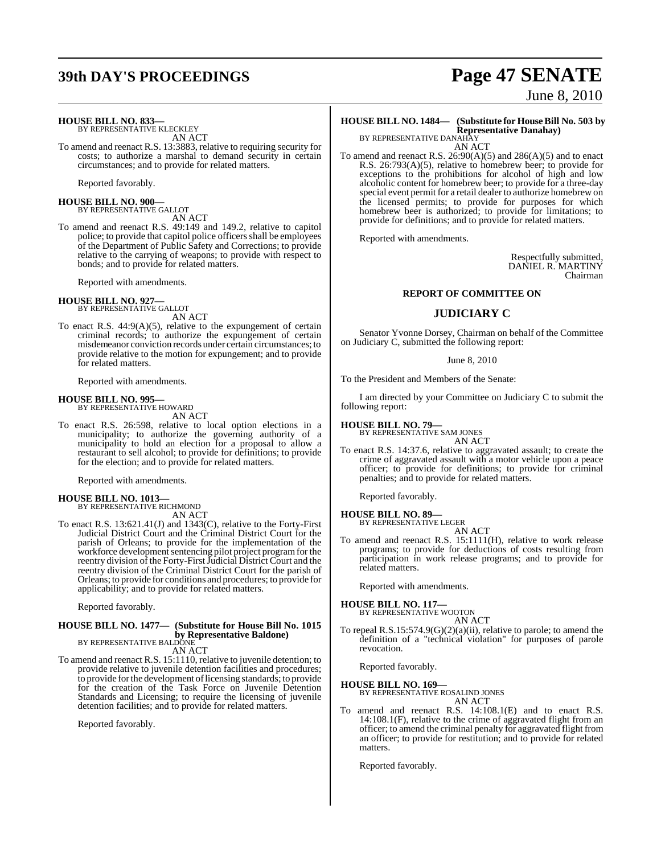## **39th DAY'S PROCEEDINGS Page 47 SENATE**

June 8, 2010

#### **HOUSE BILL NO. 833—**

BY REPRESENTATIVE KLECKLEY AN ACT

To amend and reenact R.S. 13:3883, relative to requiring security for costs; to authorize a marshal to demand security in certain circumstances; and to provide for related matters.

Reported favorably.

**HOUSE BILL NO. 900—** BY REPRESENTATIVE GALLOT

AN ACT

To amend and reenact R.S. 49:149 and 149.2, relative to capitol police; to provide that capitol police officers shall be employees of the Department of Public Safety and Corrections; to provide relative to the carrying of weapons; to provide with respect to bonds; and to provide for related matters.

Reported with amendments.

#### **HOUSE BILL NO. 927—** BY REPRESENTATIVE GALLOT

AN ACT

To enact R.S. 44:9(A)(5), relative to the expungement of certain criminal records; to authorize the expungement of certain misdemeanor conviction records under certain circumstances; to provide relative to the motion for expungement; and to provide for related matters.

Reported with amendments.

### **HOUSE BILL NO. 995—** BY REPRESENTATIVE HOWARD

AN ACT

To enact R.S. 26:598, relative to local option elections in a municipality; to authorize the governing authority of a municipality to hold an election for a proposal to allow a restaurant to sell alcohol; to provide for definitions; to provide for the election; and to provide for related matters.

Reported with amendments.

#### **HOUSE BILL NO. 1013—** BY REPRESENTATIVE RICHMOND

AN ACT

To enact R.S. 13:621.41(J) and 1343(C), relative to the Forty-First Judicial District Court and the Criminal District Court for the parish of Orleans; to provide for the implementation of the workforce development sentencing pilot project program for the reentry division of the Forty-First Judicial District Court and the reentry division of the Criminal District Court for the parish of Orleans; to provide for conditions and procedures; to provide for applicability; and to provide for related matters.

Reported favorably.

#### **HOUSE BILL NO. 1477— (Substitute for House Bill No. 1015 by Representative Baldone)** BY REPRESENTATIVE BALDONE

AN ACT

To amend and reenact R.S. 15:1110, relative to juvenile detention; to provide relative to juvenile detention facilities and procedures; to provide forthe development oflicensing standards; to provide for the creation of the Task Force on Juvenile Detention Standards and Licensing; to require the licensing of juvenile detention facilities; and to provide for related matters.

Reported favorably.

#### **HOUSE BILL NO. 1484— (Substitute for HouseBill No. 503 by Representative Danahay)** BY REPRESENTATIVE DANAHAY

AN ACT

To amend and reenact R.S.  $26:90(A)(5)$  and  $286(A)(5)$  and to enact R.S. 26:793(A)(5), relative to homebrew beer; to provide for exceptions to the prohibitions for alcohol of high and low alcoholic content for homebrew beer; to provide for a three-day special event permit for a retail dealer to authorize homebrew on the licensed permits; to provide for purposes for which homebrew beer is authorized; to provide for limitations; to provide for definitions; and to provide for related matters.

Reported with amendments.

Respectfully submitted, DANIEL R. MARTINY Chairman

#### **REPORT OF COMMITTEE ON**

#### **JUDICIARY C**

Senator Yvonne Dorsey, Chairman on behalf of the Committee on Judiciary C, submitted the following report:

#### June 8, 2010

To the President and Members of the Senate:

I am directed by your Committee on Judiciary C to submit the following report:

#### **HOUSE BILL NO. 79—**

BY REPRESENTATIVE SAM JONES AN ACT

To enact R.S. 14:37.6, relative to aggravated assault; to create the crime of aggravated assault with a motor vehicle upon a peace officer; to provide for definitions; to provide for criminal penalties; and to provide for related matters.

Reported favorably.

#### **HOUSE BILL NO. 89—** BY REPRESENTATIVE LEGER

AN ACT

To amend and reenact R.S. 15:1111(H), relative to work release programs; to provide for deductions of costs resulting from participation in work release programs; and to provide for related matters.

Reported with amendments.

## **HOUSE BILL NO. 117—** BY REPRESENTATIVE WOOTON

AN ACT

To repeal R.S.15:574.9(G)(2)(a)(ii), relative to parole; to amend the definition of a "technical violation" for purposes of parole revocation.

Reported favorably.

**HOUSE BILL NO. 169—** BY REPRESENTATIVE ROSALIND JONES AN ACT

To amend and reenact R.S. 14:108.1(E) and to enact R.S. 14:108.1(F), relative to the crime of aggravated flight from an officer; to amend the criminal penalty for aggravated flight from an officer; to provide for restitution; and to provide for related matters.

Reported favorably.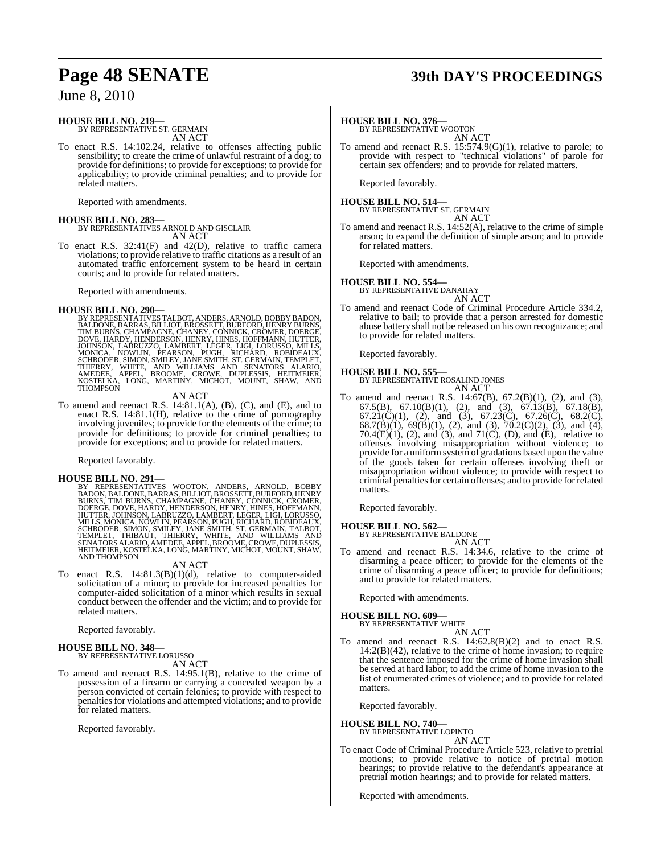### **HOUSE BILL NO. 219—**

BY REPRESENTATIVE ST. GERMAIN AN ACT

To enact R.S. 14:102.24, relative to offenses affecting public sensibility; to create the crime of unlawful restraint of a dog; to provide for definitions; to provide for exceptions; to provide for applicability; to provide criminal penalties; and to provide for related matters.

Reported with amendments.

**HOUSE BILL NO. 283—** BY REPRESENTATIVES ARNOLD AND GISCLAIR AN ACT

To enact R.S. 32:41(F) and 42(D), relative to traffic camera violations; to provide relative to traffic citations as a result of an automated traffic enforcement system to be heard in certain courts; and to provide for related matters.

Reported with amendments.

HOUSE BILL NO. 290—<br>BY REPRESENTATIVES TALBOT, ANDERS, ARNOLD, BOBBY BADON, BALDONE, BARRAS, BILLIOT, BROSSETT, BURFORD, HENRY BURNS, TIM BURNS, CHAMPAGNE, CHANEY, CONNICK, CROMER, DOERGE, DOVE, HARDY, HENDERSON, HENRY, HI

#### AN ACT

To amend and reenact R.S. 14:81.1(A), (B), (C), and (E), and to enact R.S. 14:81.1(H), relative to the crime of pornography involving juveniles; to provide for the elements of the crime; to provide for definitions; to provide for criminal penalties; to provide for exceptions; and to provide for related matters.

Reported favorably.

HOUSE BILL NO. 291—<br>BY REPRESENTATIVES WOOTON, ANDERS, ARNOLD, BOBBY<br>BADON, BALDONE, BARRAS, BILLIOT, BROSSETT, BURFORD, HENRY<br>BURNS, TIM BURNS, CHAMPAGNE, CHANEY, CONNICK, CROMER,<br>DOERGE, DOVE, HARDY, HENDERSON, HENRY, HI

#### AN ACT

To enact R.S. 14:81.3(B)(1)(d), relative to computer-aided solicitation of a minor; to provide for increased penalties for computer-aided solicitation of a minor which results in sexual conduct between the offender and the victim; and to provide for related matters.

Reported favorably.

## **HOUSE BILL NO. 348—** BY REPRESENTATIVE LORUSSO

AN ACT

To amend and reenact R.S. 14:95.1(B), relative to the crime of possession of a firearm or carrying a concealed weapon by a person convicted of certain felonies; to provide with respect to penalties for violations and attempted violations; and to provide for related matters.

Reported favorably.

## **Page 48 SENATE 39th DAY'S PROCEEDINGS**

### **HOUSE BILL NO. 376—** BY REPRESENTATIVE WOOTON

AN ACT

To amend and reenact R.S. 15:574.9(G)(1), relative to parole; to provide with respect to "technical violations" of parole for certain sex offenders; and to provide for related matters.

Reported favorably.

#### **HOUSE BILL NO. 514—** BY REPRESENTATIVE ST. GERMAIN

AN ACT To amend and reenact R.S. 14:52(A), relative to the crime of simple arson; to expand the definition of simple arson; and to provide for related matters.

Reported with amendments.

**HOUSE BILL NO. 554—** BY REPRESENTATIVE DANAHAY AN ACT

To amend and reenact Code of Criminal Procedure Article 334.2, relative to bail; to provide that a person arrested for domestic abuse battery shall not be released on his own recognizance; and to provide for related matters.

Reported favorably.

#### **HOUSE BILL NO. 555—** BY REPRESENTATIVE ROSALIND JONES AN ACT

To amend and reenact R.S. 14:67(B), 67.2(B)(1), (2), and (3), 67.5(B), 67.10(B)(1), (2), and (3), 67.13(B), 67.18(B), 67.21(C)(1), (2), and (3), 67.23(C), 67.26(C), 68.2(C), 68.7(B)(1), 69(B)(1), (2), and (3), 70.2(C)(2), (3), and (4), 70.4 $(E)(1)$ , (2), and (3), and 71 $(C)$ , (D), and  $(E)$ , relative to offenses involving misappropriation without violence; to provide for a uniformsystemof gradations based upon the value of the goods taken for certain offenses involving theft or misappropriation without violence; to provide with respect to criminal penalties for certain offenses; and to provide for related matters.

Reported favorably.

### **HOUSE BILL NO. 562—**

BY REPRESENTATIVE BALDONE AN ACT

To amend and reenact R.S. 14:34.6, relative to the crime of disarming a peace officer; to provide for the elements of the crime of disarming a peace officer; to provide for definitions; and to provide for related matters.

Reported with amendments.

### **HOUSE BILL NO. 609—** BY REPRESENTATIVE WHITE

AN ACT

To amend and reenact R.S. 14:62.8(B)(2) and to enact R.S.  $14:2(B)(42)$ , relative to the crime of home invasion; to require that the sentence imposed for the crime of home invasion shall be served at hard labor; to add the crime of home invasion to the list of enumerated crimes of violence; and to provide for related matters.

Reported favorably.

## **HOUSE BILL NO. 740—** BY REPRESENTATIVE LOPINTO

AN ACT

To enact Code of Criminal Procedure Article 523, relative to pretrial motions; to provide relative to notice of pretrial motion hearings; to provide relative to the defendant's appearance at pretrial motion hearings; and to provide for related matters.

Reported with amendments.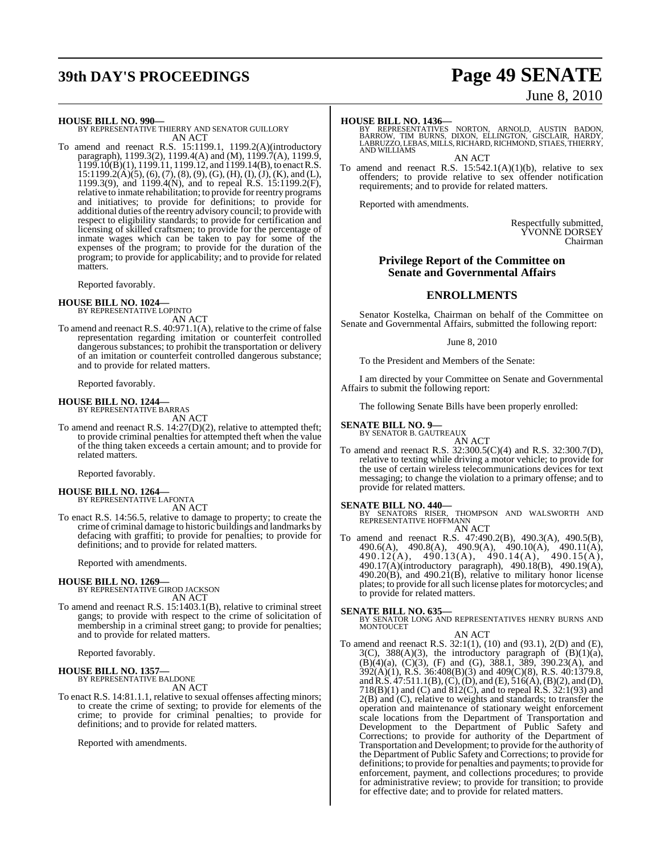## **39th DAY'S PROCEEDINGS Page 49 SENATE**

# June 8, 2010

**HOUSE BILL NO. 990—** BY REPRESENTATIVE THIERRY AND SENATOR GUILLORY AN ACT

To amend and reenact R.S. 15:1199.1, 1199.2(A)(introductory paragraph), 1199.3(2), 1199.4(A) and (M), 1199.7(A), 1199.9,  $1199.10(B)(1)$ ,  $1199.11$ ,  $1199.12$ , and  $1199.14(B)$ , to enact R.S.  $15:1199.2(A)(5), (6), (7), (8), (9), (G), (H), (I), (J), (K),$  and (L), 1199.3(9), and 1199.4(N), and to repeal R.S. 15:1199.2(F), relative to inmate rehabilitation; to provide for reentry programs and initiatives; to provide for definitions; to provide for additional duties ofthe reentry advisory council; to provide with respect to eligibility standards; to provide for certification and licensing of skilled craftsmen; to provide for the percentage of inmate wages which can be taken to pay for some of the expenses of the program; to provide for the duration of the program; to provide for applicability; and to provide for related matters.

Reported favorably.

**HOUSE BILL NO. 1024—** BY REPRESENTATIVE LOPINTO AN ACT

To amend and reenact R.S. 40:971.1(A), relative to the crime of false representation regarding imitation or counterfeit controlled dangerous substances; to prohibit the transportation or delivery of an imitation or counterfeit controlled dangerous substance; and to provide for related matters.

Reported favorably.

### **HOUSE BILL NO. 1244—** BY REPRESENTATIVE BARRAS

AN ACT

To amend and reenact R.S. 14:27(D)(2), relative to attempted theft; to provide criminal penalties for attempted theft when the value of the thing taken exceeds a certain amount; and to provide for related matters.

Reported favorably.

**HOUSE BILL NO. 1264—** BY REPRESENTATIVE LAFONTA AN ACT

To enact R.S. 14:56.5, relative to damage to property; to create the crime of criminal damage to historic buildings and landmarks by defacing with graffiti; to provide for penalties; to provide for definitions; and to provide for related matters.

Reported with amendments.

#### **HOUSE BILL NO. 1269—**

BY REPRESENTATIVE GIROD JACKSON AN ACT

To amend and reenact R.S. 15:1403.1(B), relative to criminal street gangs; to provide with respect to the crime of solicitation of membership in a criminal street gang; to provide for penalties; and to provide for related matters.

Reported favorably.

#### **HOUSE BILL NO. 1357—** BY REPRESENTATIVE BALDONE

AN ACT

To enact R.S. 14:81.1.1, relative to sexual offenses affecting minors; to create the crime of sexting; to provide for elements of the crime; to provide for criminal penalties; to provide for definitions; and to provide for related matters.

Reported with amendments.

**HOUSE BILL NO. 1436—** BY REPRESENTATIVES NORTON, ARNOLD, AUSTIN BADON, BARROW, TIM BURNS, DIXON, ELLINGTON, GISCLAIR, HARDY, LABRUZZO,LEBAS, MILLS,RICHARD, RICHMOND, STIAES,THIERRY, AND WILLIAMS

AN ACT

To amend and reenact R.S.  $15:542.1(A)(1)(b)$ , relative to sex offenders; to provide relative to sex offender notification requirements; and to provide for related matters.

Reported with amendments.

Respectfully submitted, YVONNE DORSEY Chairman

#### **Privilege Report of the Committee on Senate and Governmental Affairs**

#### **ENROLLMENTS**

Senator Kostelka, Chairman on behalf of the Committee on Senate and Governmental Affairs, submitted the following report:

#### June 8, 2010

To the President and Members of the Senate:

I am directed by your Committee on Senate and Governmental Affairs to submit the following report:

The following Senate Bills have been properly enrolled:

## **SENATE BILL NO. 9—** BY SENATOR B. GAUTREAUX

AN ACT To amend and reenact R.S. 32:300.5(C)(4) and R.S. 32:300.7(D), relative to texting while driving a motor vehicle; to provide for the use of certain wireless telecommunications devices for text messaging; to change the violation to a primary offense; and to provide for related matters.

**SENATE BILL NO. 440—**<br>BY SENATORS RISER, THOMPSON AND WALSWORTH AND REPRESENTATIVE HOFFMANN AN ACT

To amend and reenact R.S. 47:490.2(B), 490.3(A), 490.5(B), 490.6(A), 490.8(A), 490.9(A), 490.10(A), 490.11(A), 490.12(A), 490.13(A), 490.14(A), 490.15(A), 490.17(A)(introductory paragraph), 490.18(B), 490.19(A),  $490.20(B)$ , and  $490.21(B)$ , relative to military honor license plates; to provide for all such license plates for motorcycles; and to provide for related matters.

#### **SENATE BILL NO. 635—**

BY SENATOR LONG AND REPRESENTATIVES HENRY BURNS AND MONTOUCET AN ACT

To amend and reenact R.S. 32:1(1), (10) and (93.1), 2(D) and (E),  $3(C)$ ,  $388(A)(3)$ , the introductory paragraph of  $(B)(1)(a)$ ,  $(B)(4)(a)$ ,  $(C)(3)$ ,  $(F)$  and  $(G)$ , 388.1, 389, 390.23 $(A)$ , and 392(A)(1), R.S. 36:408(B)(3) and 409(C)(8), R.S. 40:1379.8, andR.S. 47:511.1(B),(C),(D), and (E), 516(A),(B)(2), and (D), 718(B)(1) and (C) and 812(C), and to repeal R.S. 32:1(93) and 2(B) and (C), relative to weights and standards; to transfer the operation and maintenance of stationary weight enforcement scale locations from the Department of Transportation and Development to the Department of Public Safety and Corrections; to provide for authority of the Department of Transportation and Development; to provide for the authority of the Department of Public Safety and Corrections; to provide for definitions; to provide for penalties and payments; to provide for enforcement, payment, and collections procedures; to provide for administrative review; to provide for transition; to provide for effective date; and to provide for related matters.